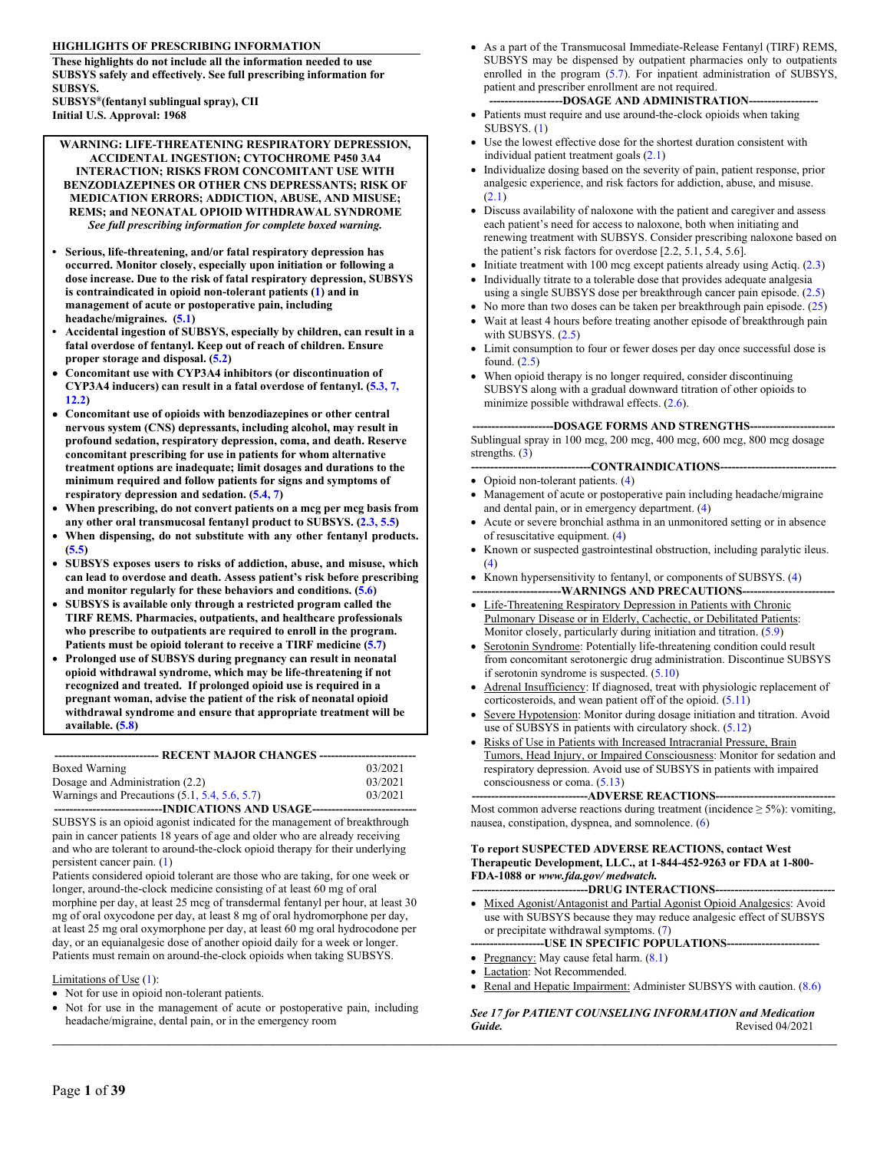#### **HIGHLIGHTS OF PRESCRIBING INFORMATION**

**These highlights do not include all the information needed to use SUBSYS safely and effectively. See full prescribing information for SUBSYS. SUBSYS®(fentanyl sublingual spray), CII**

**Initial U.S. Approval: 1968**

**WARNING: LIFE-THREATENING RESPIRATORY DEPRESSION, ACCIDENTAL INGESTION; CYTOCHROME P450 3A4 INTERACTION; RISKS FROM CONCOMITANT USE WITH BENZODIAZEPINES OR OTHER CNS DEPRESSANTS; RISK OF MEDICATION ERRORS; ADDICTION, ABUSE, AND MISUSE; REMS; and NEONATAL OPIOID WITHDRAWAL SYNDROME** *See full prescribing information for complete boxed warning.*

- **• Serious, life-threatening, and/or fatal respiratory depression has occurred. Monitor closely, especially upon initiation or following a dose increase. Due to the risk of fatal respiratory depression, SUBSYS is contraindicated in opioid non-tolerant patients (1) and in management of acute or postoperative pain, including headache/migraines. (5.1)**
- **• Accidental ingestion of SUBSYS, especially by children, can result in a fatal overdose of fentanyl. Keep out of reach of children. Ensure proper storage and disposal. (5.2)**
- **Concomitant use with CYP3A4 inhibitors (or discontinuation of CYP3A4 inducers) can result in a fatal overdose of fentanyl. (5.3, 7, 12.2)**
- **Concomitant use of opioids with benzodiazepines or other central nervous system (CNS) depressants, including alcohol, may result in profound sedation, respiratory depression, coma, and death. Reserve concomitant prescribing for use in patients for whom alternative treatment options are inadequate; limit dosages and durations to the minimum required and follow patients for signs and symptoms of respiratory depression and sedation. (5.4, 7)**
- **When prescribing, do not convert patients on a mcg per mcg basis from any other oral transmucosal fentanyl product to SUBSYS. (2.3, 5.5)**
- **When dispensing, do not substitute with any other fentanyl products. (5.5)**
- **SUBSYS exposes users to risks of addiction, abuse, and misuse, which can lead to overdose and death. Assess patient's risk before prescribing and monitor regularly for these behaviors and conditions. (5.6)**
- **SUBSYS is available only through a restricted program called the TIRF REMS. Pharmacies, outpatients, and healthcare professionals who prescribe to outpatients are required to enroll in the program. Patients must be opioid tolerant to receive a TIRF medicine (5.7)**
- **Prolonged use of SUBSYS during pregnancy can result in neonatal opioid withdrawal syndrome, which may be life-threatening if not recognized and treated. If prolonged opioid use is required in a pregnant woman, advise the patient of the risk of neonatal opioid withdrawal syndrome and ensure that appropriate treatment will be available. (5.8)**

| Boxed Warning                                   | 03/2021 |  |  |
|-------------------------------------------------|---------|--|--|
|                                                 |         |  |  |
| Dosage and Administration (2.2)                 | 03/2021 |  |  |
| Warnings and Precautions $(5.1, 5.4, 5.6, 5.7)$ | 03/2021 |  |  |
| <b>IMBIO ATIONS AND HEACE</b>                   |         |  |  |

**----------------------------INDICATIONS AND USAGE---------------------------** SUBSYS is an opioid agonist indicated for the management of breakthrough pain in cancer patients 18 years of age and older who are already receiving and who are tolerant to around-the-clock opioid therapy for their underlying persistent cancer pain. (1)

Patients considered opioid tolerant are those who are taking, for one week or longer, around-the-clock medicine consisting of at least 60 mg of oral morphine per day, at least 25 mcg of transdermal fentanyl per hour, at least 30 mg of oral oxycodone per day, at least 8 mg of oral hydromorphone per day, at least 25 mg oral oxymorphone per day, at least 60 mg oral hydrocodone per day, or an equianalgesic dose of another opioid daily for a week or longer. Patients must remain on around-the-clock opioids when taking SUBSYS.

#### Limitations of Use (1):

- Not for use in opioid non-tolerant patients.
- Not for use in the management of acute or postoperative pain, including headache/migraine, dental pain, or in the emergency room

• As a part of the Transmucosal Immediate-Release Fentanyl (TIRF) REMS, SUBSYS may be dispensed by outpatient pharmacies only to outpatients enrolled in the program (5.7). For inpatient administration of SUBSYS, patient and prescriber enrollment are not required.

#### -DOSAGE AND ADMINISTRATION-

- Patients must require and use around-the-clock opioids when taking SUBSYS. (1)
- Use the lowest effective dose for the shortest duration consistent with individual patient treatment goals (2.1)
- Individualize dosing based on the severity of pain, patient response, prior analgesic experience, and risk factors for addiction, abuse, and misuse. (2.1)
- Discuss availability of naloxone with the patient and caregiver and assess each patient's need for access to naloxone, both when initiating and renewing treatment with SUBSYS. Consider prescribing naloxone based on the patient's risk factors for overdose [2.2, 5.1, 5.4, 5.6].
- Initiate treatment with 100 mcg except patients already using Actiq. (2.3)
- Individually titrate to a tolerable dose that provides adequate analgesia using a single SUBSYS dose per breakthrough cancer pain episode. (2.5)
- No more than two doses can be taken per breakthrough pain episode. (25)
- Wait at least 4 hours before treating another episode of breakthrough pain with SUBSYS. (2.5)
- Limit consumption to four or fewer doses per day once successful dose is found. (2.5)
- When opioid therapy is no longer required, consider discontinuing SUBSYS along with a gradual downward titration of other opioids to minimize possible withdrawal effects. (2.6).

**---------------------DOSAGE FORMS AND STRENGTHS----------------------**

Sublingual spray in 100 mcg, 200 mcg, 400 mcg, 600 mcg, 800 mcg dosage strengths.  $(3)$ 

#### **-------------------------------CONTRAINDICATIONS------------------------------**

- Opioid non-tolerant patients. (4)
- Management of acute or postoperative pain including headache/migraine and dental pain, or in emergency department. (4)
- Acute or severe bronchial asthma in an unmonitored setting or in absence of resuscitative equipment. (4)
- Known or suspected gastrointestinal obstruction, including paralytic ileus.  $(4)$
- Known hypersensitivity to fentanyl, or components of SUBSYS. (4) ---WARNINGS AND PRECAUTIONS---
- Life-Threatening Respiratory Depression in Patients with Chronic Pulmonary Disease or in Elderly, Cachectic, or Debilitated Patients: Monitor closely, particularly during initiation and titration. (5.9)
- Serotonin Syndrome: Potentially life-threatening condition could result from concomitant serotonergic drug administration. Discontinue SUBSYS if serotonin syndrome is suspected.  $(5.10)$
- Adrenal Insufficiency: If diagnosed, treat with physiologic replacement of corticosteroids, and wean patient off of the opioid. (5.11)
- Severe Hypotension: Monitor during dosage initiation and titration. Avoid use of SUBSYS in patients with circulatory shock. (5.12)
- Risks of Use in Patients with Increased Intracranial Pressure, Brain Tumors, Head Injury, or Impaired Consciousness: Monitor for sedation and respiratory depression. Avoid use of SUBSYS in patients with impaired consciousness or coma. (5.13)

**------------------------------ADVERSE REACTIONS-------------------------------**

Most common adverse reactions during treatment (incidence  $\geq$  5%): vomiting, nausea, constipation, dyspnea, and somnolence. (6)

#### **To report SUSPECTED ADVERSE REACTIONS, contact West Therapeutic Development, LLC., at 1-844-452-9263 or FDA at 1-800- FDA-1088 or** *www.fda.gov/ medwatch.*

----DRUG INTERACTIONS--

- Mixed Agonist/Antagonist and Partial Agonist Opioid Analgesics: Avoid use with SUBSYS because they may reduce analgesic effect of SUBSYS or precipitate withdrawal symptoms. (7)
- **-------------------USE IN SPECIFIC POPULATIONS------------------------** Pregnancy: May cause fetal harm.  $(8.1)$
- Lactation: Not Recommended.
- Renal and Hepatic Impairment: Administer SUBSYS with caution. (8.6)

*See 17 for PATIENT COUNSELING INFORMATION and Medication Guide.* Revised 04/2021 **\_\_\_\_\_\_\_\_\_\_\_\_\_\_\_\_\_\_\_\_\_\_\_\_\_\_\_\_\_\_\_\_\_\_\_\_\_\_\_\_\_\_\_\_\_\_\_\_\_\_\_\_\_\_\_\_\_\_\_\_\_\_\_\_\_\_\_\_\_\_\_\_\_\_\_\_\_\_\_\_\_\_\_\_\_\_\_\_\_\_\_\_\_\_\_\_\_\_\_\_\_\_\_\_\_\_\_\_\_\_\_\_\_\_\_\_\_\_\_\_\_\_\_\_\_\_\_\_\_\_\_\_\_\_\_**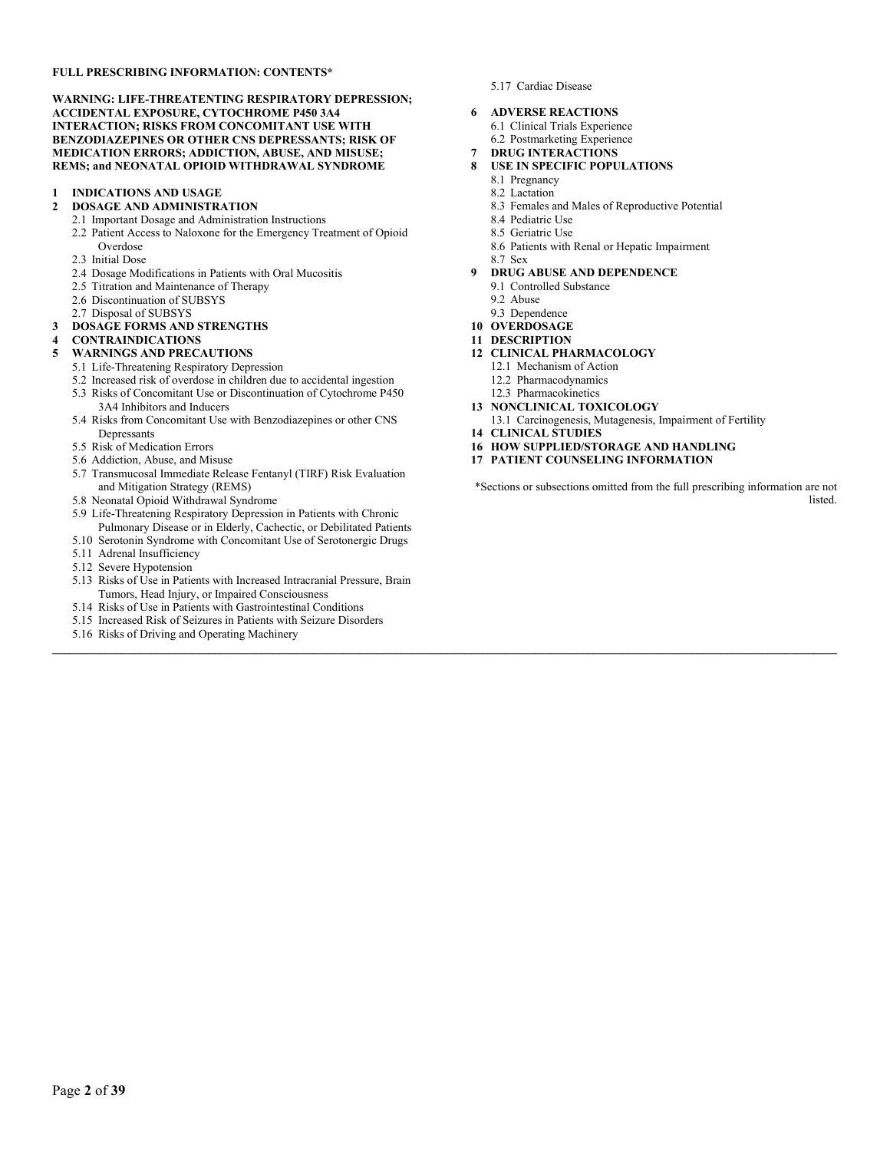#### **FULL PRESCRIBING INFORMATION: CONTENTS\***

**WARNING: LIFE-THREATENTING RESPIRATORY DEPRESSION; ACCIDENTAL EXPOSURE, CYTOCHROME P450 3A4 INTERACTION; RISKS FROM CONCOMITANT USE WITH BENZODIAZEPINES OR OTHER CNS DEPRESSANTS; RISK OF MEDICATION ERRORS; ADDICTION, ABUSE, AND MISUSE; REMS; and NEONATAL OPIOID WITHDRAWAL SYNDROME**

#### **1 INDICATIONS AND USAGE**

- <span id="page-1-0"></span>**2 DOSAGE AND ADMINISTRATION**
	- 2.1 Important Dosage and Administration Instructions
	- 2.2 Patient Access to Naloxone for the Emergency Treatment of Opioid Overdose
	- 2.3 Initial Dose
	- 2.4 Dosage Modifications in Patients with Oral Mucositis
	- 2.5 Titration and Maintenance of Therapy
	- 2.6 Discontinuation of SUBSYS
	- 2.7 Disposal of SUBSYS

#### **3 DOSAGE FORMS AND STRENGTHS**

#### **4 CONTRAINDICATIONS**

- **5 WARNINGS AND PRECAUTIONS**
- <span id="page-1-1"></span>5.1 Life-Threatening Respiratory Depression
- 5.2 Increased risk of overdose in children due to accidental ingestion
- 5.3 Risks of Concomitant Use or Discontinuation of Cytochrome P450 3A4 Inhibitors and Inducers
- <span id="page-1-2"></span>5.4 Risks from Concomitant Use with Benzodiazepines or other CNS Depressants
- 5.5 Risk of Medication Errors
- <span id="page-1-3"></span>5.6 Addiction, Abuse, and Misuse
- <span id="page-1-4"></span>5.7 Transmucosal Immediate Release Fentanyl (TIRF) Risk Evaluation and Mitigation Strategy (REMS)
- 5.8 Neonatal Opioid Withdrawal Syndrome
- 5.9 Life-Threatening Respiratory Depression in Patients with Chronic Pulmonary Disease or in Elderly, Cachectic, or Debilitated Patients
- 5.10 Serotonin Syndrome with Concomitant Use of Serotonergic Drugs
- 5.11 Adrenal Insufficiency
- 5.12 Severe Hypotension
- 5.13 Risks of Use in Patients with Increased Intracranial Pressure, Brain Tumors, Head Injury, or Impaired Consciousness
- 5.14 Risks of Use in Patients with Gastrointestinal Conditions
- 5.15 Increased Risk of Seizures in Patients with Seizure Disorders
- 5.16 Risks of Driving and Operating Machinery

#### 5.17 Cardiac Disease

- **6 ADVERSE REACTIONS**
- 6.1 Clinical Trials Experience 6.2 Postmarketing Experience
- 
- **7 DRUG INTERACTIONS 8 USE IN SPECIFIC POPULATIONS**
	- 8.1 Pregnancy
	- 8.2 Lactation
	- 8.3 Females and Males of Reproductive Potential
	- 8.4 Pediatric Use
	- 8.5 Geriatric Use
	- 8.6 Patients with Renal or Hepatic Impairment
	- 8.7 Sex
- **9 DRUG ABUSE AND DEPENDENCE**
	- 9.1 Controlled Substance
	- 9.2 Abuse
	- 9.3 Dependence
- **10 OVERDOSAGE**
- **11 DESCRIPTION**
- **12 CLINICAL PHARMACOLOGY**
	- 12.1 Mechanism of Action
	- 12.2 Pharmacodynamics
	- 12.3 Pharmacokinetics
- **13 NONCLINICAL TOXICOLOGY** 13.1 Carcinogenesis, Mutagenesis, Impairment of Fertility
- 
- **14 CLINICAL STUDIES**

**\_\_\_\_\_\_\_\_\_\_\_\_\_\_\_\_\_\_\_\_\_\_\_\_\_\_\_\_\_\_\_\_\_\_\_\_\_\_\_\_\_\_\_\_\_\_\_\_\_\_\_\_\_\_\_\_\_\_\_\_\_\_\_\_\_\_\_\_\_\_\_\_\_\_\_\_\_\_\_\_\_\_\_\_\_\_\_\_\_\_\_\_\_\_\_\_\_\_\_\_\_\_\_\_\_\_\_\_\_\_\_\_\_\_\_\_\_\_\_\_\_\_\_\_\_\_\_\_\_\_\_\_\_\_\_**

- **16 HOW SUPPLIED/STORAGE AND HANDLING**
- **17 PATIENT COUNSELING INFORMATION**

\*Sections or subsections omitted from the full prescribing information are not listed.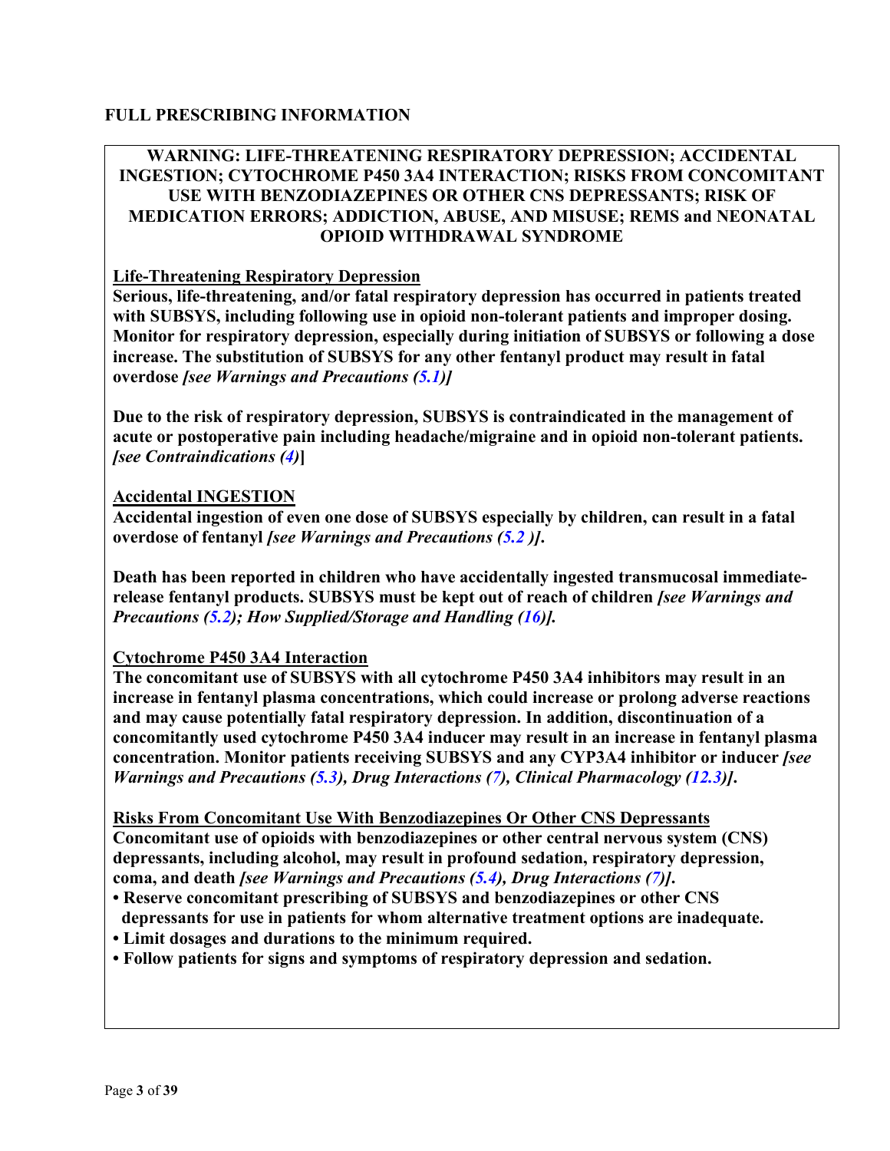# **FULL PRESCRIBING INFORMATION**

# **WARNING: LIFE-THREATENING RESPIRATORY DEPRESSION; ACCIDENTAL INGESTION; CYTOCHROME P450 3A4 INTERACTION; RISKS FROM CONCOMITANT USE WITH BENZODIAZEPINES OR OTHER CNS DEPRESSANTS; RISK OF MEDICATION ERRORS; ADDICTION, ABUSE, AND MISUSE; REMS and NEONATAL OPIOID WITHDRAWAL SYNDROME**

#### **Life-Threatening Respiratory Depression**

**Serious, life-threatening, and/or fatal respiratory depression has occurred in patients treated with SUBSYS, including following use in opioid non-tolerant patients and improper dosing. Monitor for respiratory depression, especially during initiation of SUBSYS or following a dose increase. The substitution of SUBSYS for any other fentanyl product may result in fatal overdose** *[see Warnings and Precautions (5.1)]*

**Due to the risk of respiratory depression, SUBSYS is contraindicated in the management of acute or postoperative pain including headache/migraine and in opioid non-tolerant patients.**  *[see Contraindications (4)***]**

### **Accidental INGESTION**

**Accidental ingestion of even one dose of SUBSYS especially by children, can result in a fatal overdose of fentanyl** *[see Warnings and Precautions (5.2 )]***.** 

**Death has been reported in children who have accidentally ingested transmucosal immediaterelease fentanyl products. SUBSYS must be kept out of reach of children** *[see Warnings and Precautions (5.2); How Supplied/Storage and Handling (16)].*

### **Cytochrome P450 3A4 Interaction**

**The concomitant use of SUBSYS with all cytochrome P450 3A4 inhibitors may result in an increase in fentanyl plasma concentrations, which could increase or prolong adverse reactions and may cause potentially fatal respiratory depression. In addition, discontinuation of a concomitantly used cytochrome P450 3A4 inducer may result in an increase in fentanyl plasma concentration. Monitor patients receiving SUBSYS and any CYP3A4 inhibitor or inducer** *[see Warnings and Precautions (5.3), Drug Interactions (7), Clinical Pharmacology (12.3)]***.** 

**Risks From Concomitant Use With Benzodiazepines Or Other CNS Depressants Concomitant use of opioids with benzodiazepines or other central nervous system (CNS) depressants, including alcohol, may result in profound sedation, respiratory depression, coma, and death** *[see Warnings and Precautions (5.4), Drug Interactions (7)]***.**

- **Reserve concomitant prescribing of SUBSYS and benzodiazepines or other CNS depressants for use in patients for whom alternative treatment options are inadequate.**
- **Limit dosages and durations to the minimum required.**
- **Follow patients for signs and symptoms of respiratory depression and sedation.**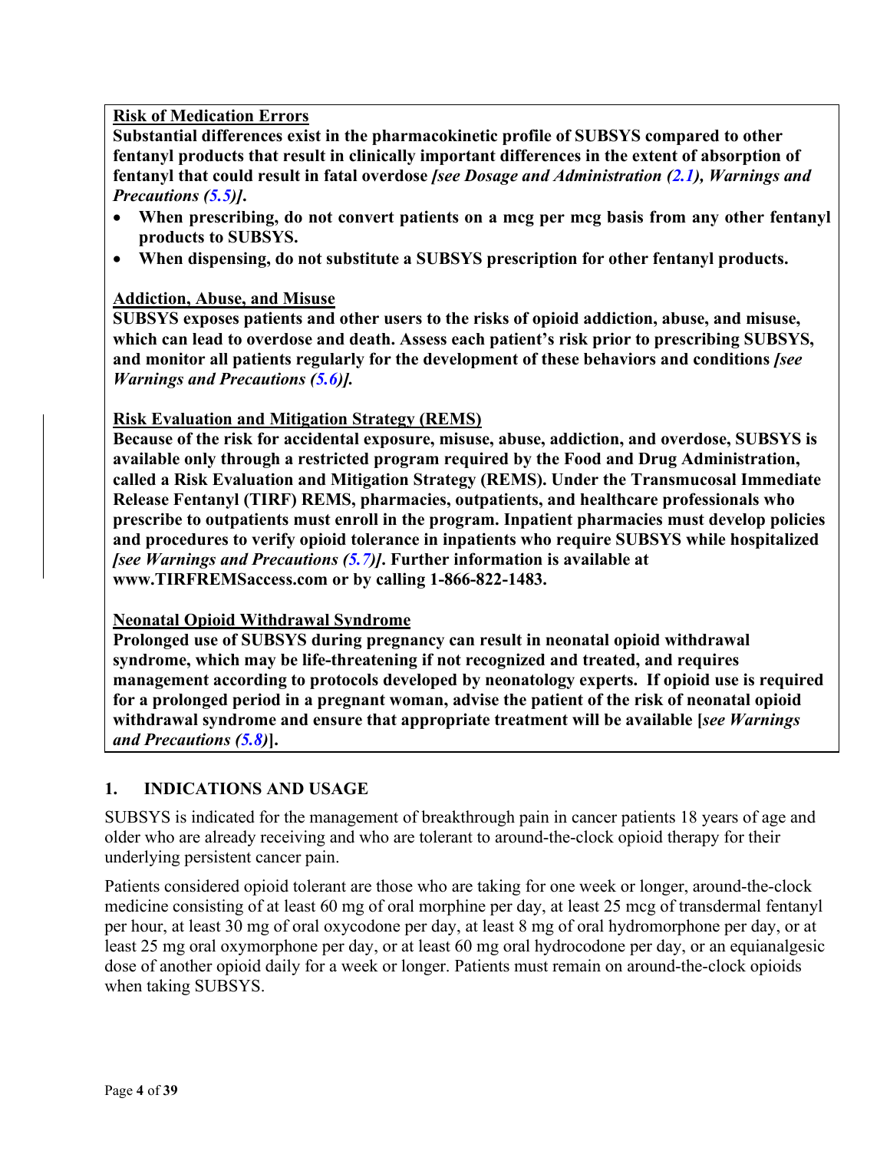# **Risk of Medication Errors**

**Substantial differences exist in the pharmacokinetic profile of SUBSYS compared to other fentanyl products that result in clinically important differences in the extent of absorption of fentanyl that could result in fatal overdose** *[see Dosage and Administration (2.1), Warnings and Precautions (5.5)]***.** 

- **When prescribing, do not convert patients on a mcg per mcg basis from any other fentanyl products to SUBSYS.**
- **When dispensing, do not substitute a SUBSYS prescription for other fentanyl products.**

# **Addiction, Abuse, and Misuse**

**SUBSYS exposes patients and other users to the risks of opioid addiction, abuse, and misuse, which can lead to overdose and death. Assess each patient's risk prior to prescribing SUBSYS, and monitor all patients regularly for the development of these behaviors and conditions** *[see Warnings and Precautions (5.6)].* 

## **Risk Evaluation and Mitigation Strategy (REMS)**

**Because of the risk for accidental exposure, misuse, abuse, addiction, and overdose, SUBSYS is available only through a restricted program required by the Food and Drug Administration, called a Risk Evaluation and Mitigation Strategy (REMS). Under the Transmucosal Immediate Release Fentanyl (TIRF) REMS, pharmacies, outpatients, and healthcare professionals who prescribe to outpatients must enroll in the program. Inpatient pharmacies must develop policies and procedures to verify opioid tolerance in inpatients who require SUBSYS while hospitalized**  *[see Warnings and Precautions (5.7)]***. Further information is available at www.TIRFREMSaccess.com or by calling 1-866-822-1483.**

# **Neonatal Opioid Withdrawal Syndrome**

**Prolonged use of SUBSYS during pregnancy can result in neonatal opioid withdrawal syndrome, which may be life-threatening if not recognized and treated, and requires management according to protocols developed by neonatology experts. If opioid use is required for a prolonged period in a pregnant woman, advise the patient of the risk of neonatal opioid withdrawal syndrome and ensure that appropriate treatment will be available [***see Warnings and Precautions (5.8)***].**

# **1. INDICATIONS AND USAGE**

SUBSYS is indicated for the management of breakthrough pain in cancer patients 18 years of age and older who are already receiving and who are tolerant to around-the-clock opioid therapy for their underlying persistent cancer pain.

Patients considered opioid tolerant are those who are taking for one week or longer, around-the-clock medicine consisting of at least 60 mg of oral morphine per day, at least 25 mcg of transdermal fentanyl per hour, at least 30 mg of oral oxycodone per day, at least 8 mg of oral hydromorphone per day, or at least 25 mg oral oxymorphone per day, or at least 60 mg oral hydrocodone per day, or an equianalgesic dose of another opioid daily for a week or longer. Patients must remain on around-the-clock opioids when taking SUBSYS.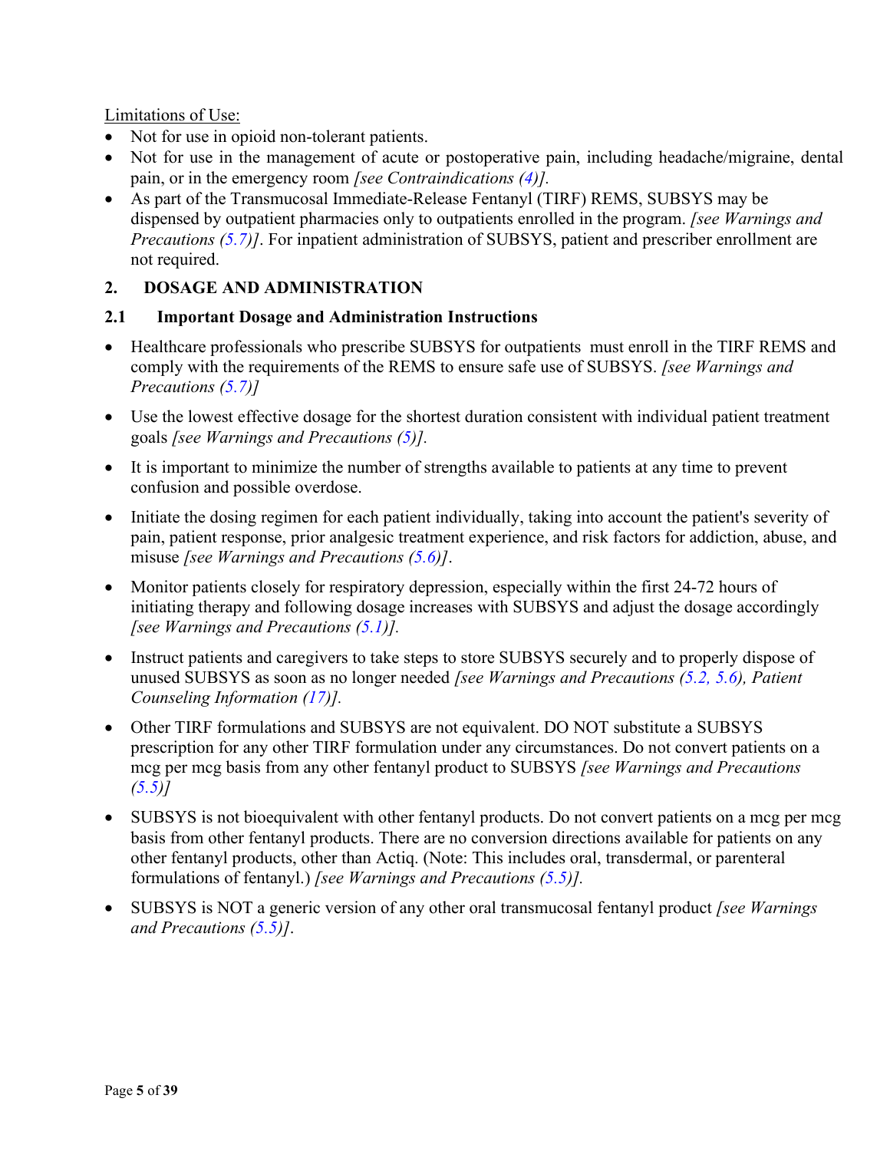Limitations of Use:

- Not for use in opioid non-tolerant patients.
- Not for use in the management of acute or postoperative pain, including headache/migraine, dental pain, or in the emergency room *[see Contraindications (4)].*
- As part of the Transmucosal Immediate-Release Fentanyl (TIRF) REMS, SUBSYS may be dispensed by outpatient pharmacies only to outpatients enrolled in the program. *[see Warnings and Precautions (5.7)]*. For inpatient administration of SUBSYS, patient and prescriber enrollment are not required.

# **2. DOSAGE AND ADMINISTRATION**

## **2.1 Important Dosage and Administration Instructions**

- Healthcare professionals who prescribe SUBSYS for outpatients must enroll in the TIRF REMS and comply with the requirements of the REMS to ensure safe use of SUBSYS. *[see Warnings and Precautions (5.7)]*
- Use the lowest effective dosage for the shortest duration consistent with individual patient treatment goals *[see Warnings and Precautions (5)].*
- It is important to minimize the number of strengths available to patients at any time to prevent confusion and possible overdose.
- Initiate the dosing regimen for each patient individually, taking into account the patient's severity of pain, patient response, prior analgesic treatment experience, and risk factors for addiction, abuse, and misuse *[see Warnings and Precautions (5.6)]*.
- Monitor patients closely for respiratory depression, especially within the first 24-72 hours of initiating therapy and following dosage increases with SUBSYS and adjust the dosage accordingly *[see Warnings and Precautions (5.1)].*
- Instruct patients and caregivers to take steps to store SUBSYS securely and to properly dispose of unused SUBSYS as soon as no longer needed *[see Warnings and Precautions (5.2, 5.6), Patient Counseling Information (17)].*
- Other TIRF formulations and SUBSYS are not equivalent. DO NOT substitute a SUBSYS prescription for any other TIRF formulation under any circumstances. Do not convert patients on a mcg per mcg basis from any other fentanyl product to SUBSYS *[see Warnings and Precautions (5.5)]*
- SUBSYS is not bioequivalent with other fentanyl products. Do not convert patients on a mcg per mcg basis from other fentanyl products. There are no conversion directions available for patients on any other fentanyl products, other than Actiq. (Note: This includes oral, transdermal, or parenteral formulations of fentanyl.) *[see Warnings and Precautions (5.5)].*
- SUBSYS is NOT a generic version of any other oral transmucosal fentanyl product *[see Warnings and Precautions (5.5)]*.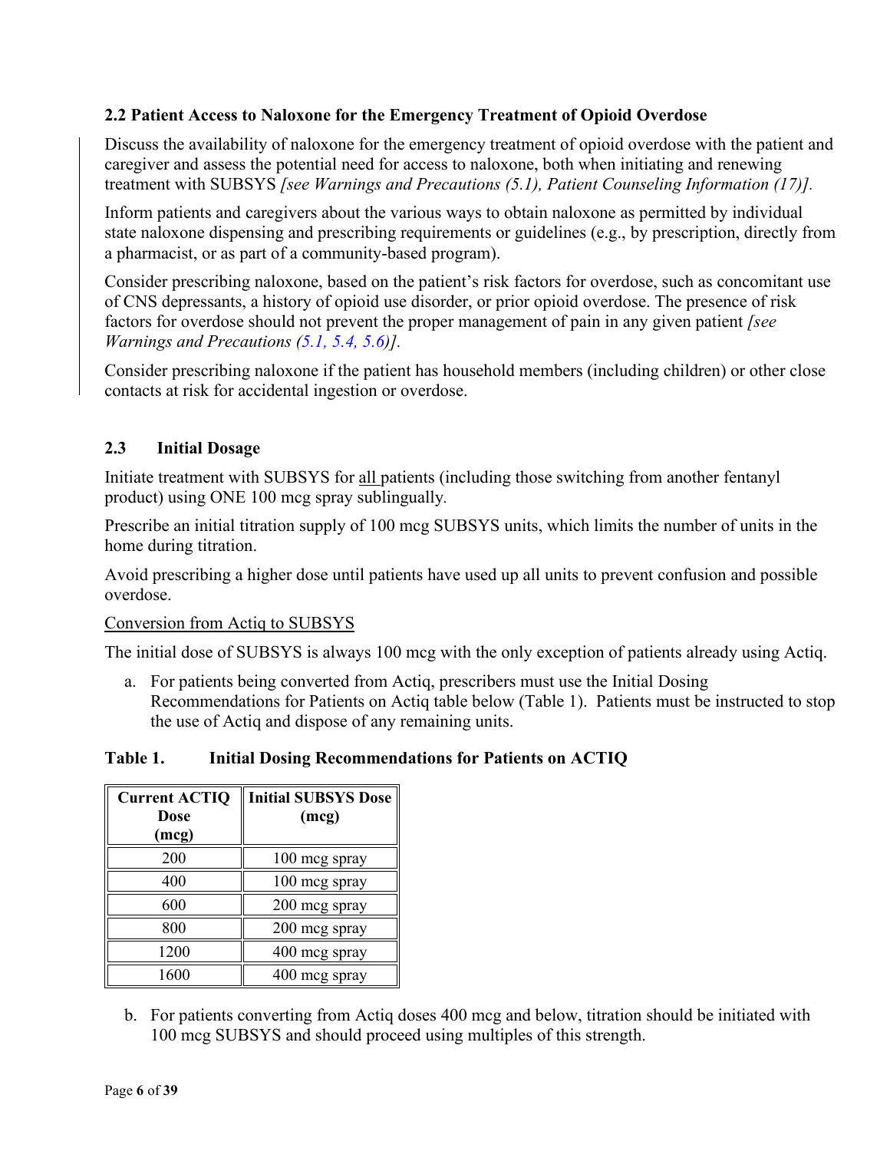# **2.2 Patient Access to Naloxone for the Emergency Treatment of Opioid Overdose**

Discuss the availability of naloxone for the emergency treatment of opioid overdose with the patient and caregiver and assess the potential need for access to naloxone, both when initiating and renewing treatment with SUBSYS *[see Warnings and Precautions (5.1), Patient Counseling Information (17)].*

Inform patients and caregivers about the various ways to obtain naloxone as permitted by individual state naloxone dispensing and prescribing requirements or guidelines (e.g., by prescription, directly from a pharmacist, or as part of a community-based program).

Consider prescribing naloxone, based on the patient's risk factors for overdose, such as concomitant use of CNS depressants, a history of opioid use disorder, or prior opioid overdose. The presence of risk factors for overdose should not prevent the proper management of pain in any given patient *[see Warnings and Precautions (5.1, 5.4, 5.6)].*

Consider prescribing naloxone if the patient has household members (including children) or other close contacts at risk for accidental ingestion or overdose.

# **2.3 Initial Dosage**

Initiate treatment with SUBSYS for all patients (including those switching from another fentanyl product) using ONE 100 mcg spray sublingually*.* 

Prescribe an initial titration supply of 100 mcg SUBSYS units, which limits the number of units in the home during titration.

Avoid prescribing a higher dose until patients have used up all units to prevent confusion and possible overdose.

Conversion from Actiq to SUBSYS

The initial dose of SUBSYS is always 100 mcg with the only exception of patients already using Actiq.

a. For patients being converted from Actiq, prescribers must use the Initial Dosing Recommendations for Patients on Actiq table below (Table 1). Patients must be instructed to stop the use of Actiq and dispose of any remaining units.

# **Table 1. Initial Dosing Recommendations for Patients on ACTIQ**

| <b>Current ACTIQ</b><br>Dose | <b>Initial SUBSYS Dose</b><br>(mcg) |  |
|------------------------------|-------------------------------------|--|
| (mcg)                        |                                     |  |
| 200                          | 100 mcg spray                       |  |
| 400                          | 100 mcg spray                       |  |
| 600                          | 200 mcg spray                       |  |
| 800                          | 200 mcg spray                       |  |
| 1200                         | 400 mcg spray                       |  |
| 1600                         | 400 mcg spray                       |  |

b. For patients converting from Actiq doses 400 mcg and below, titration should be initiated with 100 mcg SUBSYS and should proceed using multiples of this strength.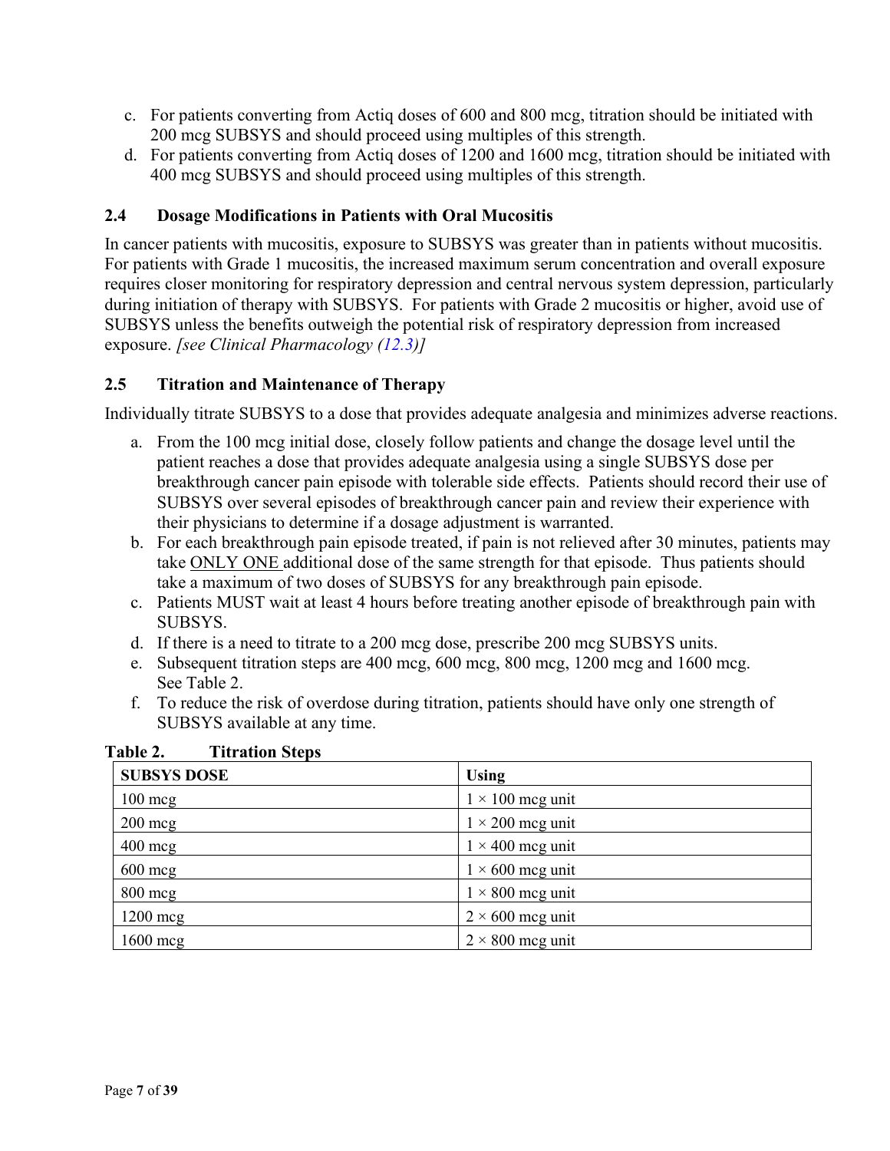- c. For patients converting from Actiq doses of 600 and 800 mcg, titration should be initiated with 200 mcg SUBSYS and should proceed using multiples of this strength.
- d. For patients converting from Actiq doses of 1200 and 1600 mcg, titration should be initiated with 400 mcg SUBSYS and should proceed using multiples of this strength.

# **2.4 Dosage Modifications in Patients with Oral Mucositis**

In cancer patients with mucositis, exposure to SUBSYS was greater than in patients without mucositis. For patients with Grade 1 mucositis, the increased maximum serum concentration and overall exposure requires closer monitoring for respiratory depression and central nervous system depression, particularly during initiation of therapy with SUBSYS. For patients with Grade 2 mucositis or higher, avoid use of SUBSYS unless the benefits outweigh the potential risk of respiratory depression from increased exposure. *[see Clinical Pharmacology (12.3)]*

## **2.5 Titration and Maintenance of Therapy**

Individually titrate SUBSYS to a dose that provides adequate analgesia and minimizes adverse reactions.

- a. From the 100 mcg initial dose, closely follow patients and change the dosage level until the patient reaches a dose that provides adequate analgesia using a single SUBSYS dose per breakthrough cancer pain episode with tolerable side effects. Patients should record their use of SUBSYS over several episodes of breakthrough cancer pain and review their experience with their physicians to determine if a dosage adjustment is warranted.
- b. For each breakthrough pain episode treated, if pain is not relieved after 30 minutes, patients may take ONLY ONE additional dose of the same strength for that episode. Thus patients should take a maximum of two doses of SUBSYS for any breakthrough pain episode.
- c. Patients MUST wait at least 4 hours before treating another episode of breakthrough pain with SUBSYS.
- d. If there is a need to titrate to a 200 mcg dose, prescribe 200 mcg SUBSYS units.
- e. Subsequent titration steps are 400 mcg, 600 mcg, 800 mcg, 1200 mcg and 1600 mcg. See [Table 2.](#page-6-0)
- f. To reduce the risk of overdose during titration, patients should have only one strength of SUBSYS available at any time.

| <b>SUBSYS DOSE</b> | <b>Using</b>            |
|--------------------|-------------------------|
| $100 \text{ mg}$   | $1 \times 100$ mcg unit |
| $200 \text{ mg}$   | $1 \times 200$ mcg unit |
| $400 \text{~mg}$   | $1 \times 400$ mcg unit |
| $600 \text{ mg}$   | $1 \times 600$ mcg unit |
| $800 \text{ mg}$   | $1 \times 800$ mcg unit |
| $1200 \text{ meg}$ | $2 \times 600$ mcg unit |
| $1600 \text{ meg}$ | $2 \times 800$ mcg unit |

<span id="page-6-0"></span>**Table 2. Titration Steps**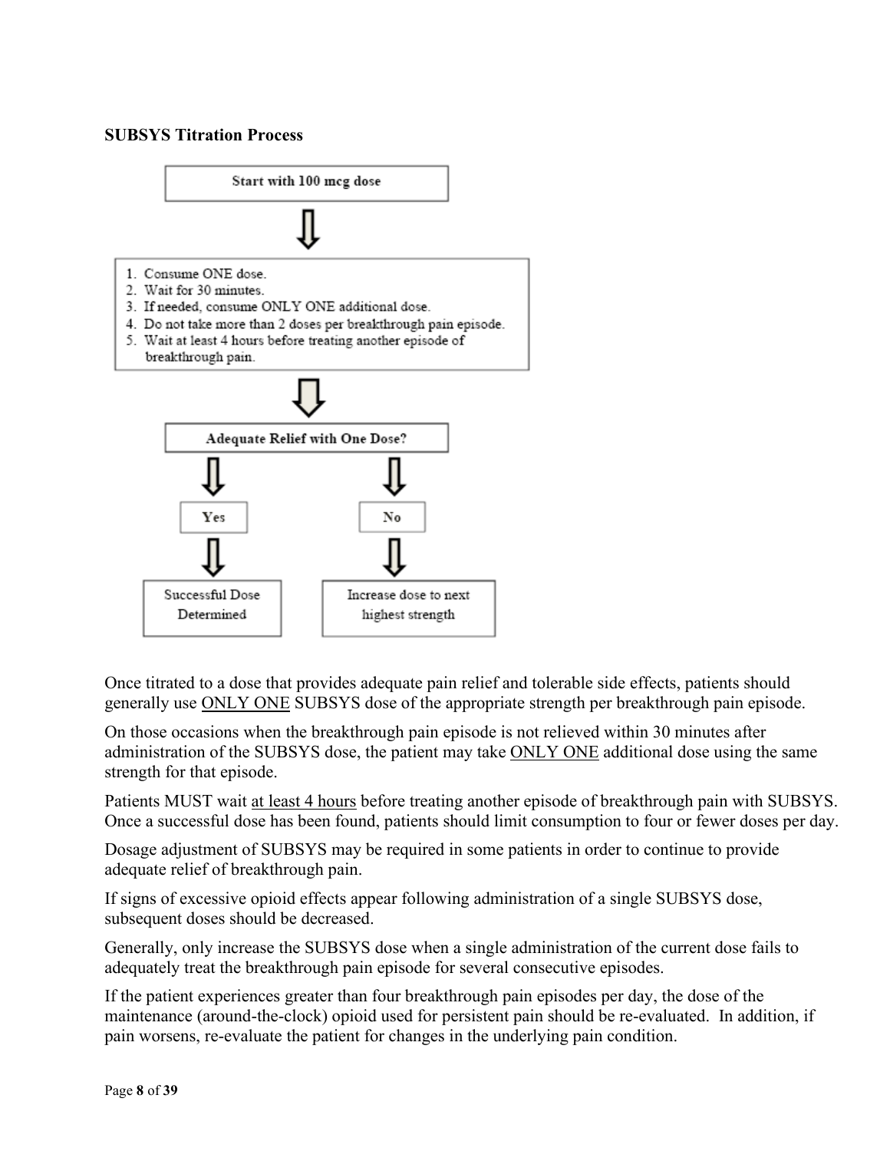## **SUBSYS Titration Process**



Once titrated to a dose that provides adequate pain relief and tolerable side effects, patients should generally use ONLY ONE SUBSYS dose of the appropriate strength per breakthrough pain episode.

On those occasions when the breakthrough pain episode is not relieved within 30 minutes after administration of the SUBSYS dose, the patient may take ONLY ONE additional dose using the same strength for that episode.

Patients MUST wait at least 4 hours before treating another episode of breakthrough pain with SUBSYS. Once a successful dose has been found, patients should limit consumption to four or fewer doses per day.

Dosage adjustment of SUBSYS may be required in some patients in order to continue to provide adequate relief of breakthrough pain.

If signs of excessive opioid effects appear following administration of a single SUBSYS dose, subsequent doses should be decreased.

Generally, only increase the SUBSYS dose when a single administration of the current dose fails to adequately treat the breakthrough pain episode for several consecutive episodes.

If the patient experiences greater than four breakthrough pain episodes per day, the dose of the maintenance (around-the-clock) opioid used for persistent pain should be re-evaluated. In addition, if pain worsens, re-evaluate the patient for changes in the underlying pain condition.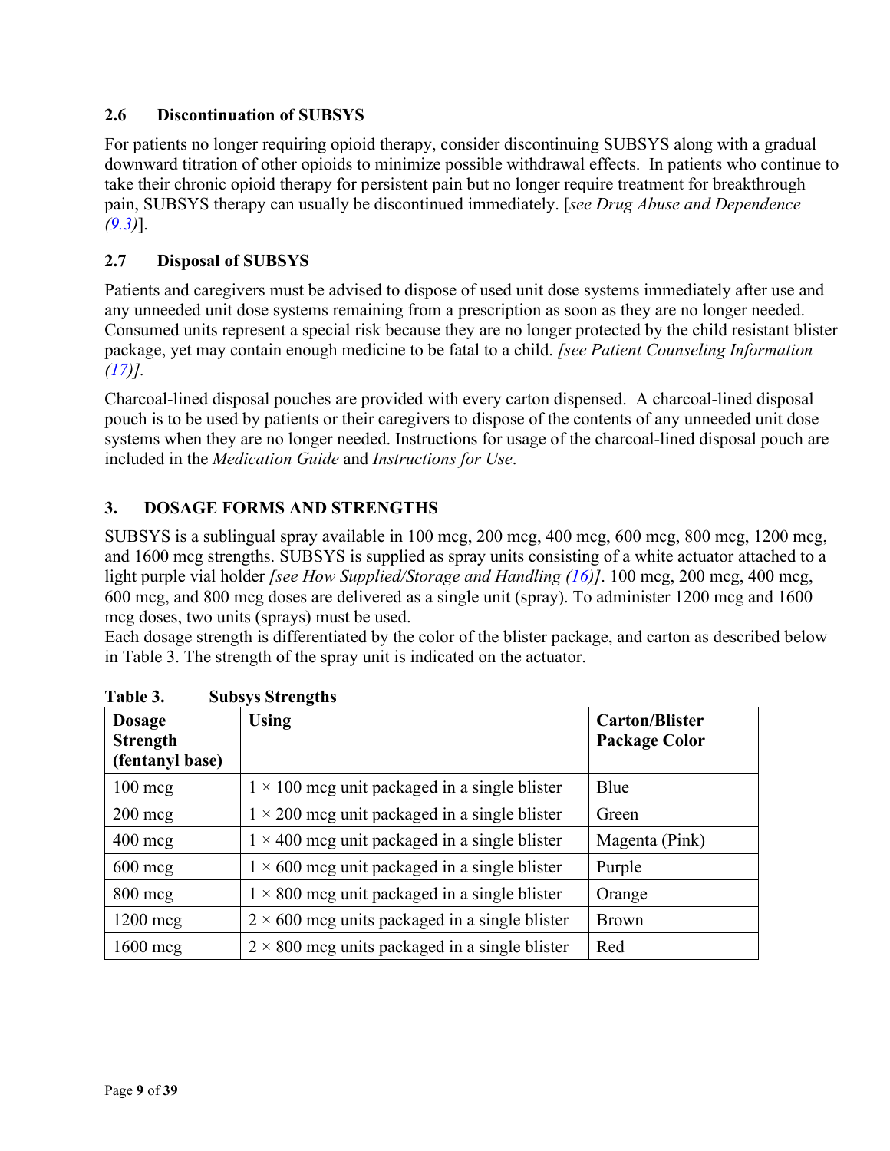# **2.6 Discontinuation of SUBSYS**

For patients no longer requiring opioid therapy, consider discontinuing SUBSYS along with a gradual downward titration of other opioids to minimize possible withdrawal effects. In patients who continue to take their chronic opioid therapy for persistent pain but no longer require treatment for breakthrough pain, SUBSYS therapy can usually be discontinued immediately. [*see Drug Abuse and Dependence (9.3)*].

# **2.7 Disposal of SUBSYS**

Patients and caregivers must be advised to dispose of used unit dose systems immediately after use and any unneeded unit dose systems remaining from a prescription as soon as they are no longer needed. Consumed units represent a special risk because they are no longer protected by the child resistant blister package, yet may contain enough medicine to be fatal to a child. *[see Patient Counseling Information (17)].*

Charcoal-lined disposal pouches are provided with every carton dispensed. A charcoal-lined disposal pouch is to be used by patients or their caregivers to dispose of the contents of any unneeded unit dose systems when they are no longer needed. Instructions for usage of the charcoal-lined disposal pouch are included in the *Medication Guide* and *Instructions for Use*.

# **3. DOSAGE FORMS AND STRENGTHS**

SUBSYS is a sublingual spray available in 100 mcg, 200 mcg, 400 mcg, 600 mcg, 800 mcg, 1200 mcg, and 1600 mcg strengths. SUBSYS is supplied as spray units consisting of a white actuator attached to a light purple vial holder *[see How Supplied/Storage and Handling (16)]*. 100 mcg, 200 mcg, 400 mcg, 600 mcg, and 800 mcg doses are delivered as a single unit (spray). To administer 1200 mcg and 1600 mcg doses, two units (sprays) must be used.

Each dosage strength is differentiated by the color of the blister package, and carton as described below in [Table 3.](#page-8-0) The strength of the spray unit is indicated on the actuator.

<span id="page-8-0"></span>

| Table 3.<br><b>Subsys Strengths</b>                 |                                                       |                                               |  |
|-----------------------------------------------------|-------------------------------------------------------|-----------------------------------------------|--|
| <b>Dosage</b><br><b>Strength</b><br>(fentanyl base) | <b>Using</b>                                          | <b>Carton/Blister</b><br><b>Package Color</b> |  |
| $100 \text{ mg}$                                    | $1 \times 100$ mcg unit packaged in a single blister  | Blue                                          |  |
| $200$ mcg                                           | $1 \times 200$ mcg unit packaged in a single blister  | Green                                         |  |
| $400 \text{ mg}$                                    | $1 \times 400$ mcg unit packaged in a single blister  | Magenta (Pink)                                |  |
| $600 \text{~mg}$                                    | $1 \times 600$ mcg unit packaged in a single blister  | Purple                                        |  |
| $800 \text{ mg}$                                    | $1 \times 800$ mcg unit packaged in a single blister  | Orange                                        |  |
| $1200 \text{~mg}$                                   | $2 \times 600$ mcg units packaged in a single blister | <b>Brown</b>                                  |  |
| $1600 \text{~mg}$                                   | $2 \times 800$ mcg units packaged in a single blister | Red                                           |  |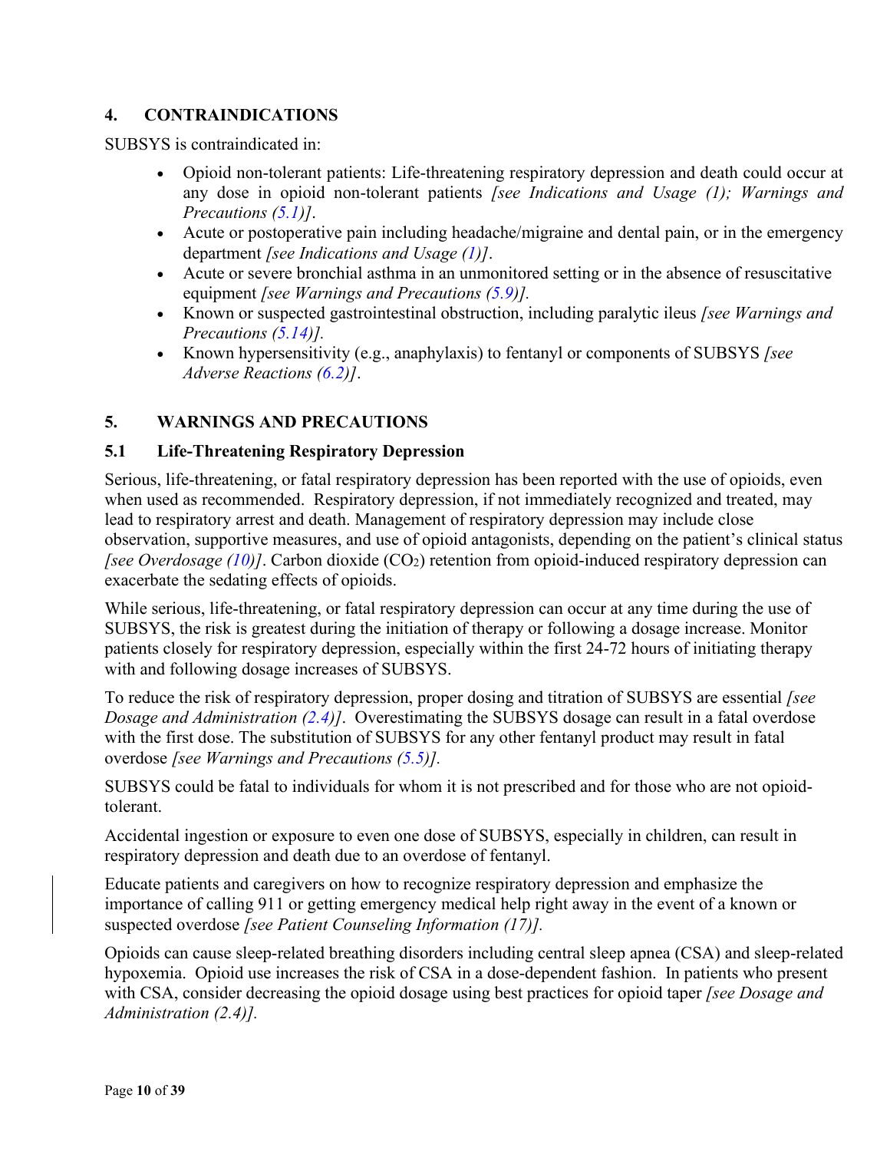# **4. CONTRAINDICATIONS**

SUBSYS is contraindicated in:

- Opioid non-tolerant patients: Life-threatening respiratory depression and death could occur at any dose in opioid non-tolerant patients *[see Indications and Usage (1); Warnings and Precautions (5.1)]*.
- Acute or postoperative pain including headache/migraine and dental pain, or in the emergency department *[see Indications and Usage (1)]*.
- Acute or severe bronchial asthma in an unmonitored setting or in the absence of resuscitative equipment *[see Warnings and Precautions (5.9)].*
- Known or suspected gastrointestinal obstruction, including paralytic ileus *[see Warnings and Precautions (5.14)].*
- Known hypersensitivity (e.g., anaphylaxis) to fentanyl or components of SUBSYS *[see Adverse Reactions (6.2)]*.

# **5. WARNINGS AND PRECAUTIONS**

# **5.1 Life-Threatening Respiratory Depression**

Serious, life-threatening, or fatal respiratory depression has been reported with the use of opioids, even when used as recommended. Respiratory depression, if not immediately recognized and treated, may lead to respiratory arrest and death. Management of respiratory depression may include close observation, supportive measures, and use of opioid antagonists, depending on the patient's clinical status *[see Overdosage (10)]*. Carbon dioxide (CO<sub>2</sub>) retention from opioid-induced respiratory depression can exacerbate the sedating effects of opioids.

While serious, life-threatening, or fatal respiratory depression can occur at any time during the use of SUBSYS, the risk is greatest during the initiation of therapy or following a dosage increase. Monitor patients closely for respiratory depression, especially within the first 24-72 hours of initiating therapy with and following dosage increases of SUBSYS.

To reduce the risk of respiratory depression, proper dosing and titration of SUBSYS are essential *[see Dosage and Administration (2.4)]*. Overestimating the SUBSYS dosage can result in a fatal overdose with the first dose. The substitution of SUBSYS for any other fentanyl product may result in fatal overdose *[see Warnings and Precautions (5.5)].*

SUBSYS could be fatal to individuals for whom it is not prescribed and for those who are not opioidtolerant.

Accidental ingestion or exposure to even one dose of SUBSYS, especially in children, can result in respiratory depression and death due to an overdose of fentanyl.

Educate patients and caregivers on how to recognize respiratory depression and emphasize the importance of calling 911 or getting emergency medical help right away in the event of a known or suspected overdose *[see Patient Counseling Information (17)].*

Opioids can cause sleep-related breathing disorders including central sleep apnea (CSA) and sleep-related hypoxemia. Opioid use increases the risk of CSA in a dose-dependent fashion. In patients who present with CSA, consider decreasing the opioid dosage using best practices for opioid taper *[see Dosage and Administration (2.4)].*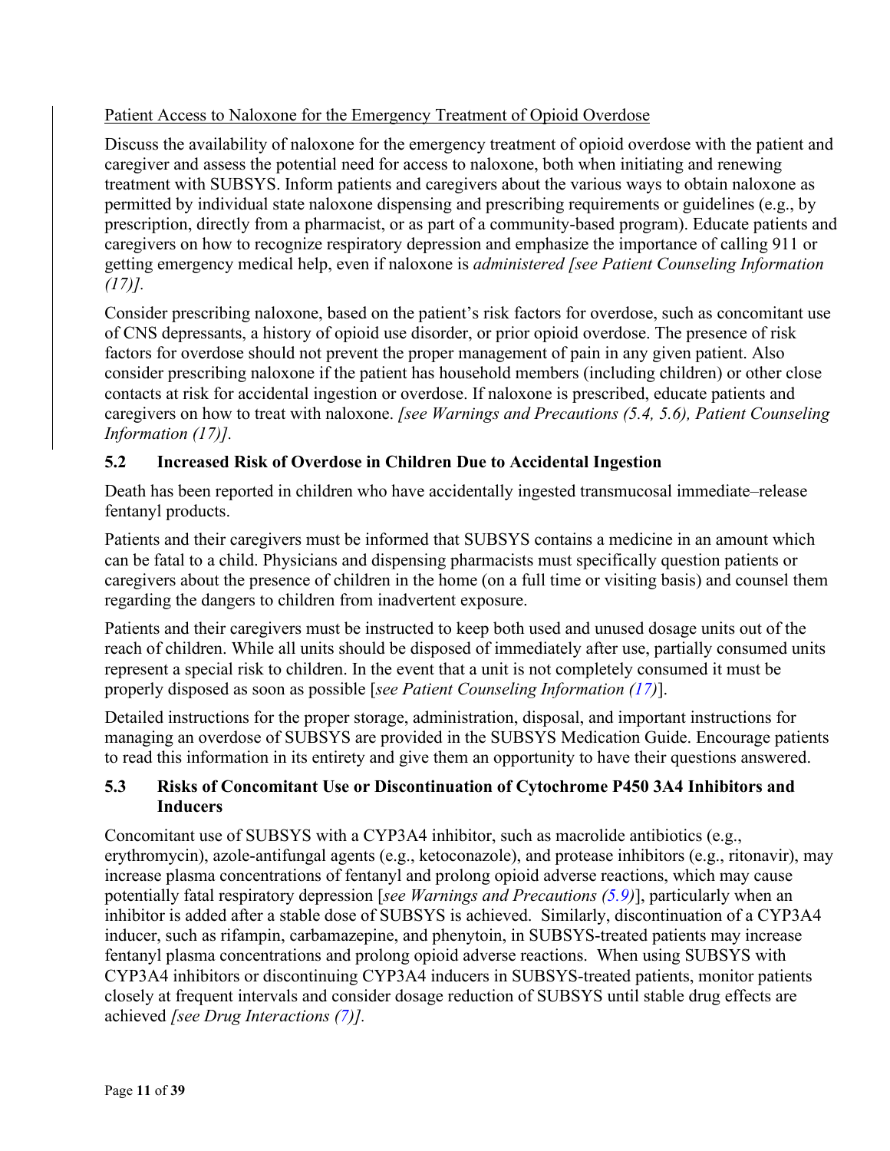# Patient Access to Naloxone for the Emergency Treatment of Opioid Overdose

Discuss the availability of naloxone for the emergency treatment of opioid overdose with the patient and caregiver and assess the potential need for access to naloxone, both when initiating and renewing treatment with SUBSYS. Inform patients and caregivers about the various ways to obtain naloxone as permitted by individual state naloxone dispensing and prescribing requirements or guidelines (e.g., by prescription, directly from a pharmacist, or as part of a community-based program). Educate patients and caregivers on how to recognize respiratory depression and emphasize the importance of calling 911 or getting emergency medical help, even if naloxone is *administered [see Patient Counseling Information (17)].*

Consider prescribing naloxone, based on the patient's risk factors for overdose, such as concomitant use of CNS depressants, a history of opioid use disorder, or prior opioid overdose. The presence of risk factors for overdose should not prevent the proper management of pain in any given patient. Also consider prescribing naloxone if the patient has household members (including children) or other close contacts at risk for accidental ingestion or overdose. If naloxone is prescribed, educate patients and caregivers on how to treat with naloxone. *[see Warnings and Precautions (5.4, 5.6), Patient Counseling Information (17)].* 

# **5.2 Increased Risk of Overdose in Children Due to Accidental Ingestion**

Death has been reported in children who have accidentally ingested transmucosal immediate–release fentanyl products.

Patients and their caregivers must be informed that SUBSYS contains a medicine in an amount which can be fatal to a child. Physicians and dispensing pharmacists must specifically question patients or caregivers about the presence of children in the home (on a full time or visiting basis) and counsel them regarding the dangers to children from inadvertent exposure.

Patients and their caregivers must be instructed to keep both used and unused dosage units out of the reach of children. While all units should be disposed of immediately after use, partially consumed units represent a special risk to children. In the event that a unit is not completely consumed it must be properly disposed as soon as possible [*see Patient Counseling Information (17)*].

Detailed instructions for the proper storage, administration, disposal, and important instructions for managing an overdose of SUBSYS are provided in the SUBSYS Medication Guide. Encourage patients to read this information in its entirety and give them an opportunity to have their questions answered.

# **5.3 Risks of Concomitant Use or Discontinuation of Cytochrome P450 3A4 Inhibitors and Inducers**

Concomitant use of SUBSYS with a CYP3A4 inhibitor, such as macrolide antibiotics (e.g., erythromycin), azole-antifungal agents (e.g., ketoconazole), and protease inhibitors (e.g., ritonavir), may increase plasma concentrations of fentanyl and prolong opioid adverse reactions, which may cause potentially fatal respiratory depression [*see Warnings and Precautions (5.9)*], particularly when an inhibitor is added after a stable dose of SUBSYS is achieved. Similarly, discontinuation of a CYP3A4 inducer, such as rifampin, carbamazepine, and phenytoin, in SUBSYS-treated patients may increase fentanyl plasma concentrations and prolong opioid adverse reactions. When using SUBSYS with CYP3A4 inhibitors or discontinuing CYP3A4 inducers in SUBSYS-treated patients, monitor patients closely at frequent intervals and consider dosage reduction of SUBSYS until stable drug effects are achieved *[see Drug Interactions (7)].*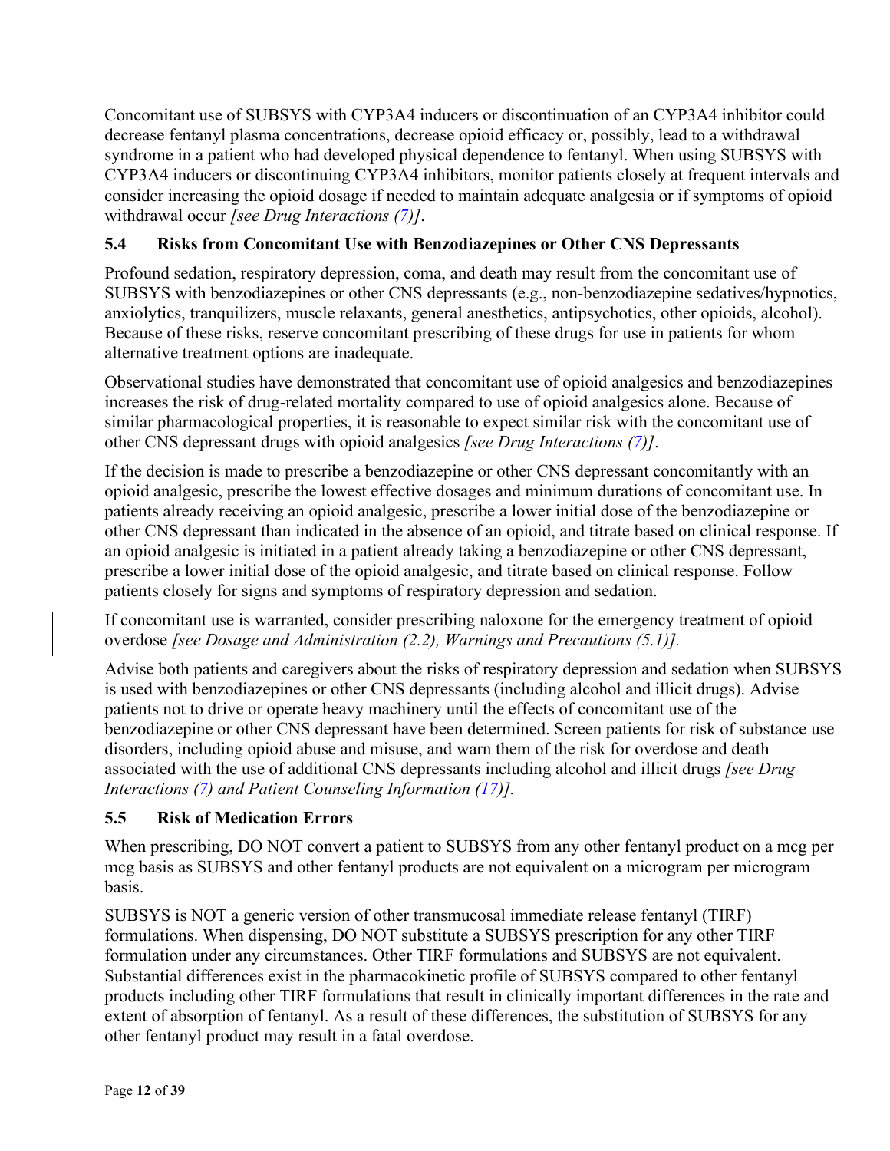Concomitant use of SUBSYS with CYP3A4 inducers or discontinuation of an CYP3A4 inhibitor could decrease fentanyl plasma concentrations, decrease opioid efficacy or, possibly, lead to a withdrawal syndrome in a patient who had developed physical dependence to fentanyl. When using SUBSYS with CYP3A4 inducers or discontinuing CYP3A4 inhibitors, monitor patients closely at frequent intervals and consider increasing the opioid dosage if needed to maintain adequate analgesia or if symptoms of opioid withdrawal occur *[see Drug Interactions (7)]*.

# **5.4 Risks from Concomitant Use with Benzodiazepines or Other CNS Depressants**

Profound sedation, respiratory depression, coma, and death may result from the concomitant use of SUBSYS with benzodiazepines or other CNS depressants (e.g., non-benzodiazepine sedatives/hypnotics, anxiolytics, tranquilizers, muscle relaxants, general anesthetics, antipsychotics, other opioids, alcohol). Because of these risks, reserve concomitant prescribing of these drugs for use in patients for whom alternative treatment options are inadequate.

Observational studies have demonstrated that concomitant use of opioid analgesics and benzodiazepines increases the risk of drug-related mortality compared to use of opioid analgesics alone. Because of similar pharmacological properties, it is reasonable to expect similar risk with the concomitant use of other CNS depressant drugs with opioid analgesics *[see Drug Interactions (7)]*.

If the decision is made to prescribe a benzodiazepine or other CNS depressant concomitantly with an opioid analgesic, prescribe the lowest effective dosages and minimum durations of concomitant use. In patients already receiving an opioid analgesic, prescribe a lower initial dose of the benzodiazepine or other CNS depressant than indicated in the absence of an opioid, and titrate based on clinical response. If an opioid analgesic is initiated in a patient already taking a benzodiazepine or other CNS depressant, prescribe a lower initial dose of the opioid analgesic, and titrate based on clinical response. Follow patients closely for signs and symptoms of respiratory depression and sedation.

If concomitant use is warranted, consider prescribing naloxone for the emergency treatment of opioid overdose *[see Dosage and Administration (2.2), Warnings and Precautions (5.1)].*

Advise both patients and caregivers about the risks of respiratory depression and sedation when SUBSYS is used with benzodiazepines or other CNS depressants (including alcohol and illicit drugs). Advise patients not to drive or operate heavy machinery until the effects of concomitant use of the benzodiazepine or other CNS depressant have been determined. Screen patients for risk of substance use disorders, including opioid abuse and misuse, and warn them of the risk for overdose and death associated with the use of additional CNS depressants including alcohol and illicit drugs *[see Drug Interactions (7) and Patient Counseling Information (17)].*

# **5.5 Risk of Medication Errors**

When prescribing, DO NOT convert a patient to SUBSYS from any other fentanyl product on a mcg per mcg basis as SUBSYS and other fentanyl products are not equivalent on a microgram per microgram basis.

SUBSYS is NOT a generic version of other transmucosal immediate release fentanyl (TIRF) formulations. When dispensing, DO NOT substitute a SUBSYS prescription for any other TIRF formulation under any circumstances. Other TIRF formulations and SUBSYS are not equivalent. Substantial differences exist in the pharmacokinetic profile of SUBSYS compared to other fentanyl products including other TIRF formulations that result in clinically important differences in the rate and extent of absorption of fentanyl. As a result of these differences, the substitution of SUBSYS for any other fentanyl product may result in a fatal overdose.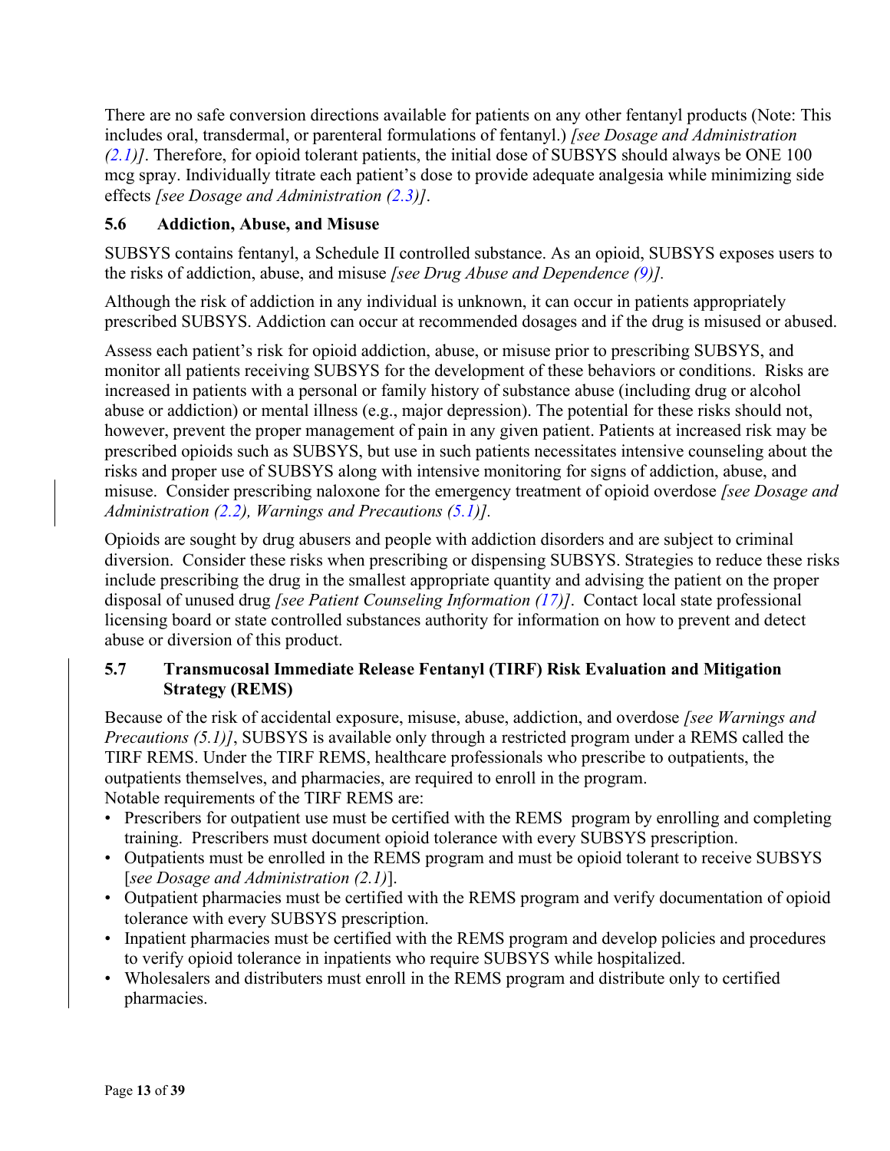There are no safe conversion directions available for patients on any other fentanyl products (Note: This includes oral, transdermal, or parenteral formulations of fentanyl.) *[see Dosage and Administration (2.1)]*. Therefore, for opioid tolerant patients, the initial dose of SUBSYS should always be ONE 100 mcg spray. Individually titrate each patient's dose to provide adequate analgesia while minimizing side effects *[see Dosage and Administration (2.3)]*.

# **5.6 Addiction, Abuse, and Misuse**

SUBSYS contains fentanyl, a Schedule II controlled substance. As an opioid, SUBSYS exposes users to the risks of addiction, abuse, and misuse *[see Drug Abuse and Dependence (9)].*

Although the risk of addiction in any individual is unknown, it can occur in patients appropriately prescribed SUBSYS. Addiction can occur at recommended dosages and if the drug is misused or abused.

Assess each patient's risk for opioid addiction, abuse, or misuse prior to prescribing SUBSYS, and monitor all patients receiving SUBSYS for the development of these behaviors or conditions. Risks are increased in patients with a personal or family history of substance abuse (including drug or alcohol abuse or addiction) or mental illness (e.g., major depression). The potential for these risks should not, however, prevent the proper management of pain in any given patient. Patients at increased risk may be prescribed opioids such as SUBSYS, but use in such patients necessitates intensive counseling about the risks and proper use of SUBSYS along with intensive monitoring for signs of addiction, abuse, and misuse. Consider prescribing naloxone for the emergency treatment of opioid overdose *[see Dosage and Administration (2.2), Warnings and Precautions (5.1)].*

Opioids are sought by drug abusers and people with addiction disorders and are subject to criminal diversion. Consider these risks when prescribing or dispensing SUBSYS. Strategies to reduce these risks include prescribing the drug in the smallest appropriate quantity and advising the patient on the proper disposal of unused drug *[see Patient Counseling Information (17)]*. Contact local state professional licensing board or state controlled substances authority for information on how to prevent and detect abuse or diversion of this product.

# **5.7 Transmucosal Immediate Release Fentanyl (TIRF) Risk Evaluation and Mitigation Strategy (REMS)**

Because of the risk of accidental exposure, misuse, abuse, addiction, and overdose *[see Warnings and Precautions (5.1)]*, SUBSYS is available only through a restricted program under a REMS called the TIRF REMS. Under the TIRF REMS, healthcare professionals who prescribe to outpatients, the outpatients themselves, and pharmacies, are required to enroll in the program. Notable requirements of the TIRF REMS are:

- Prescribers for outpatient use must be certified with the REMS program by enrolling and completing training. Prescribers must document opioid tolerance with every SUBSYS prescription.
- Outpatients must be enrolled in the REMS program and must be opioid tolerant to receive SUBSYS [*see Dosage and Administration (2.1)*].
- Outpatient pharmacies must be certified with the REMS program and verify documentation of opioid tolerance with every SUBSYS prescription.
- Inpatient pharmacies must be certified with the REMS program and develop policies and procedures to verify opioid tolerance in inpatients who require SUBSYS while hospitalized.
- Wholesalers and distributers must enroll in the REMS program and distribute only to certified pharmacies.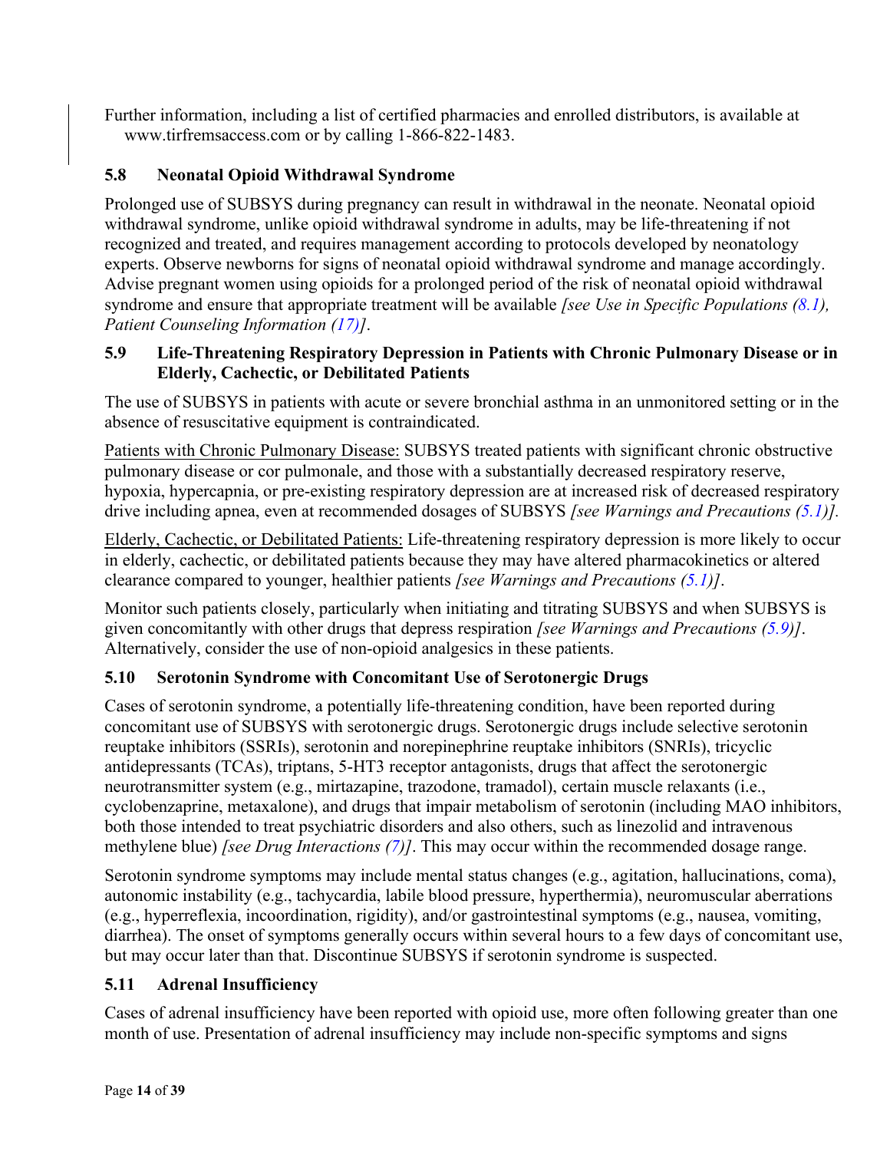Further information, including a list of certified pharmacies and enrolled distributors, is available at www.tirfremsaccess.com or by calling 1-866-822-1483.

# **5.8 Neonatal Opioid Withdrawal Syndrome**

Prolonged use of SUBSYS during pregnancy can result in withdrawal in the neonate. Neonatal opioid withdrawal syndrome, unlike opioid withdrawal syndrome in adults, may be life-threatening if not recognized and treated, and requires management according to protocols developed by neonatology experts. Observe newborns for signs of neonatal opioid withdrawal syndrome and manage accordingly. Advise pregnant women using opioids for a prolonged period of the risk of neonatal opioid withdrawal syndrome and ensure that appropriate treatment will be available *[see Use in Specific Populations (8.1), Patient Counseling Information (17)]*.

# **5.9 Life-Threatening Respiratory Depression in Patients with Chronic Pulmonary Disease or in Elderly, Cachectic, or Debilitated Patients**

The use of SUBSYS in patients with acute or severe bronchial asthma in an unmonitored setting or in the absence of resuscitative equipment is contraindicated.

Patients with Chronic Pulmonary Disease: SUBSYS treated patients with significant chronic obstructive pulmonary disease or cor pulmonale, and those with a substantially decreased respiratory reserve, hypoxia, hypercapnia, or pre-existing respiratory depression are at increased risk of decreased respiratory drive including apnea, even at recommended dosages of SUBSYS *[see Warnings and Precautions (5.1)].*

Elderly, Cachectic, or Debilitated Patients: Life-threatening respiratory depression is more likely to occur in elderly, cachectic, or debilitated patients because they may have altered pharmacokinetics or altered clearance compared to younger, healthier patients *[see Warnings and Precautions (5.1)]*.

Monitor such patients closely, particularly when initiating and titrating SUBSYS and when SUBSYS is given concomitantly with other drugs that depress respiration *[see Warnings and Precautions (5.9)]*. Alternatively, consider the use of non-opioid analgesics in these patients.

# **5.10 Serotonin Syndrome with Concomitant Use of Serotonergic Drugs**

Cases of serotonin syndrome, a potentially life-threatening condition, have been reported during concomitant use of SUBSYS with serotonergic drugs. Serotonergic drugs include selective serotonin reuptake inhibitors (SSRIs), serotonin and norepinephrine reuptake inhibitors (SNRIs), tricyclic antidepressants (TCAs), triptans, 5-HT3 receptor antagonists, drugs that affect the serotonergic neurotransmitter system (e.g., mirtazapine, trazodone, tramadol), certain muscle relaxants (i.e., cyclobenzaprine, metaxalone), and drugs that impair metabolism of serotonin (including MAO inhibitors, both those intended to treat psychiatric disorders and also others, such as linezolid and intravenous methylene blue) *[see Drug Interactions (7)]*. This may occur within the recommended dosage range.

Serotonin syndrome symptoms may include mental status changes (e.g., agitation, hallucinations, coma), autonomic instability (e.g., tachycardia, labile blood pressure, hyperthermia), neuromuscular aberrations (e.g., hyperreflexia, incoordination, rigidity), and/or gastrointestinal symptoms (e.g., nausea, vomiting, diarrhea). The onset of symptoms generally occurs within several hours to a few days of concomitant use, but may occur later than that. Discontinue SUBSYS if serotonin syndrome is suspected.

# **5.11 Adrenal Insufficiency**

Cases of adrenal insufficiency have been reported with opioid use, more often following greater than one month of use. Presentation of adrenal insufficiency may include non-specific symptoms and signs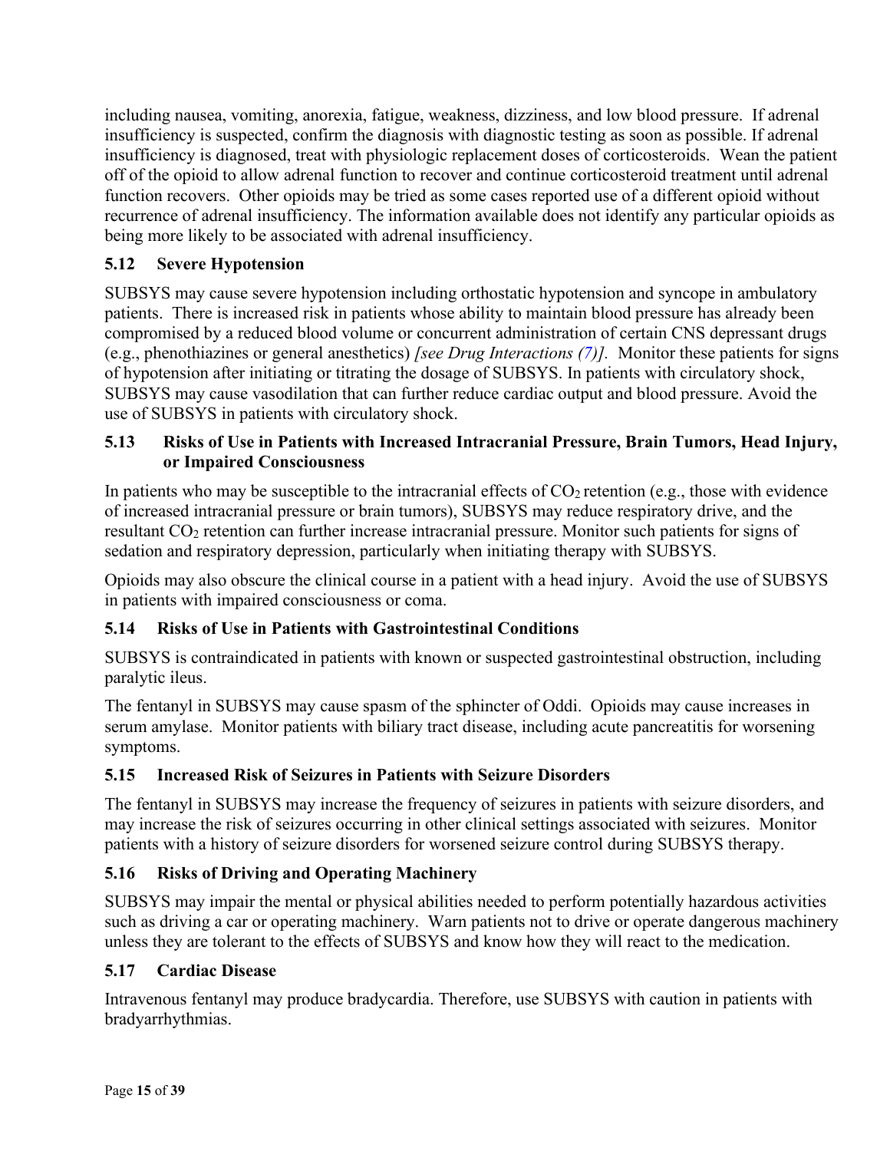including nausea, vomiting, anorexia, fatigue, weakness, dizziness, and low blood pressure. If adrenal insufficiency is suspected, confirm the diagnosis with diagnostic testing as soon as possible. If adrenal insufficiency is diagnosed, treat with physiologic replacement doses of corticosteroids. Wean the patient off of the opioid to allow adrenal function to recover and continue corticosteroid treatment until adrenal function recovers. Other opioids may be tried as some cases reported use of a different opioid without recurrence of adrenal insufficiency. The information available does not identify any particular opioids as being more likely to be associated with adrenal insufficiency.

# **5.12 Severe Hypotension**

SUBSYS may cause severe hypotension including orthostatic hypotension and syncope in ambulatory patients. There is increased risk in patients whose ability to maintain blood pressure has already been compromised by a reduced blood volume or concurrent administration of certain CNS depressant drugs (e.g., phenothiazines or general anesthetics) *[see Drug Interactions (7)].* Monitor these patients for signs of hypotension after initiating or titrating the dosage of SUBSYS. In patients with circulatory shock, SUBSYS may cause vasodilation that can further reduce cardiac output and blood pressure. Avoid the use of SUBSYS in patients with circulatory shock.

# **5.13 Risks of Use in Patients with Increased Intracranial Pressure, Brain Tumors, Head Injury, or Impaired Consciousness**

In patients who may be susceptible to the intracranial effects of  $CO<sub>2</sub>$  retention (e.g., those with evidence of increased intracranial pressure or brain tumors), SUBSYS may reduce respiratory drive, and the resultant CO<sub>2</sub> retention can further increase intracranial pressure. Monitor such patients for signs of sedation and respiratory depression, particularly when initiating therapy with SUBSYS.

Opioids may also obscure the clinical course in a patient with a head injury. Avoid the use of SUBSYS in patients with impaired consciousness or coma.

# **5.14 Risks of Use in Patients with Gastrointestinal Conditions**

SUBSYS is contraindicated in patients with known or suspected gastrointestinal obstruction, including paralytic ileus.

The fentanyl in SUBSYS may cause spasm of the sphincter of Oddi. Opioids may cause increases in serum amylase. Monitor patients with biliary tract disease, including acute pancreatitis for worsening symptoms.

# **5.15 Increased Risk of Seizures in Patients with Seizure Disorders**

The fentanyl in SUBSYS may increase the frequency of seizures in patients with seizure disorders, and may increase the risk of seizures occurring in other clinical settings associated with seizures. Monitor patients with a history of seizure disorders for worsened seizure control during SUBSYS therapy.

# **5.16 Risks of Driving and Operating Machinery**

SUBSYS may impair the mental or physical abilities needed to perform potentially hazardous activities such as driving a car or operating machinery. Warn patients not to drive or operate dangerous machinery unless they are tolerant to the effects of SUBSYS and know how they will react to the medication.

# **5.17 Cardiac Disease**

Intravenous fentanyl may produce bradycardia. Therefore, use SUBSYS with caution in patients with bradyarrhythmias.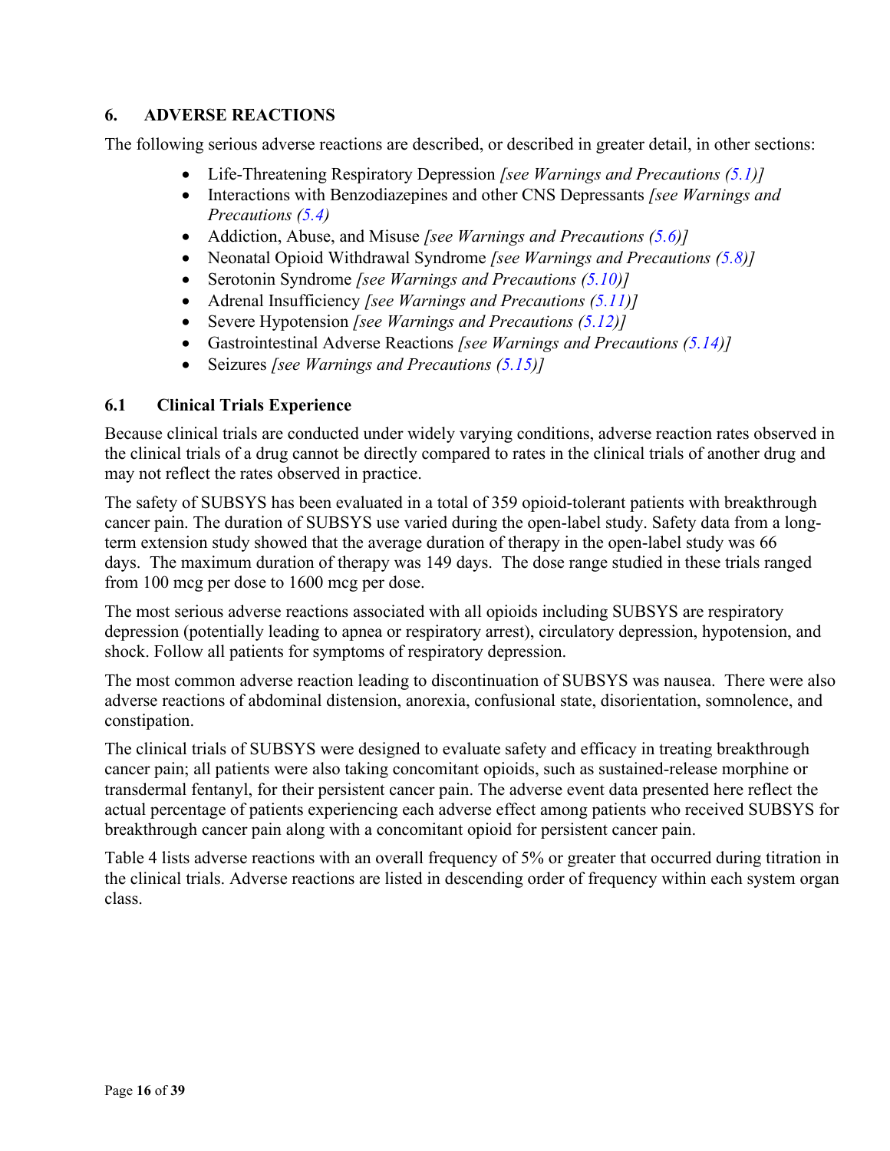# **6. ADVERSE REACTIONS**

The following serious adverse reactions are described, or described in greater detail, in other sections:

- Life-Threatening Respiratory Depression *[see Warnings and Precautions (5.1)]*
- Interactions with Benzodiazepines and other CNS Depressants *[see Warnings and Precautions (5.4)*
- Addiction, Abuse, and Misuse *[see Warnings and Precautions (5.6)]*
- Neonatal Opioid Withdrawal Syndrome *[see Warnings and Precautions (5.8)]*
- Serotonin Syndrome *[see Warnings and Precautions (5.10)]*
- Adrenal Insufficiency *[see Warnings and Precautions (5.11)]*
- Severe Hypotension *[see Warnings and Precautions (5.12)]*
- Gastrointestinal Adverse Reactions *[see Warnings and Precautions (5.14)]*
- Seizures *[see Warnings and Precautions (5.15)]*

# **6.1 Clinical Trials Experience**

Because clinical trials are conducted under widely varying conditions, adverse reaction rates observed in the clinical trials of a drug cannot be directly compared to rates in the clinical trials of another drug and may not reflect the rates observed in practice.

The safety of SUBSYS has been evaluated in a total of 359 opioid-tolerant patients with breakthrough cancer pain. The duration of SUBSYS use varied during the open-label study. Safety data from a longterm extension study showed that the average duration of therapy in the open-label study was 66 days. The maximum duration of therapy was 149 days. The dose range studied in these trials ranged from 100 mcg per dose to 1600 mcg per dose.

The most serious adverse reactions associated with all opioids including SUBSYS are respiratory depression (potentially leading to apnea or respiratory arrest), circulatory depression, hypotension, and shock. Follow all patients for symptoms of respiratory depression.

The most common adverse reaction leading to discontinuation of SUBSYS was nausea. There were also adverse reactions of abdominal distension, anorexia, confusional state, disorientation, somnolence, and constipation.

The clinical trials of SUBSYS were designed to evaluate safety and efficacy in treating breakthrough cancer pain; all patients were also taking concomitant opioids, such as sustained-release morphine or transdermal fentanyl, for their persistent cancer pain. The adverse event data presented here reflect the actual percentage of patients experiencing each adverse effect among patients who received SUBSYS for breakthrough cancer pain along with a concomitant opioid for persistent cancer pain.

Table 4 lists adverse reactions with an overall frequency of 5% or greater that occurred during titration in the clinical trials. Adverse reactions are listed in descending order of frequency within each system organ class.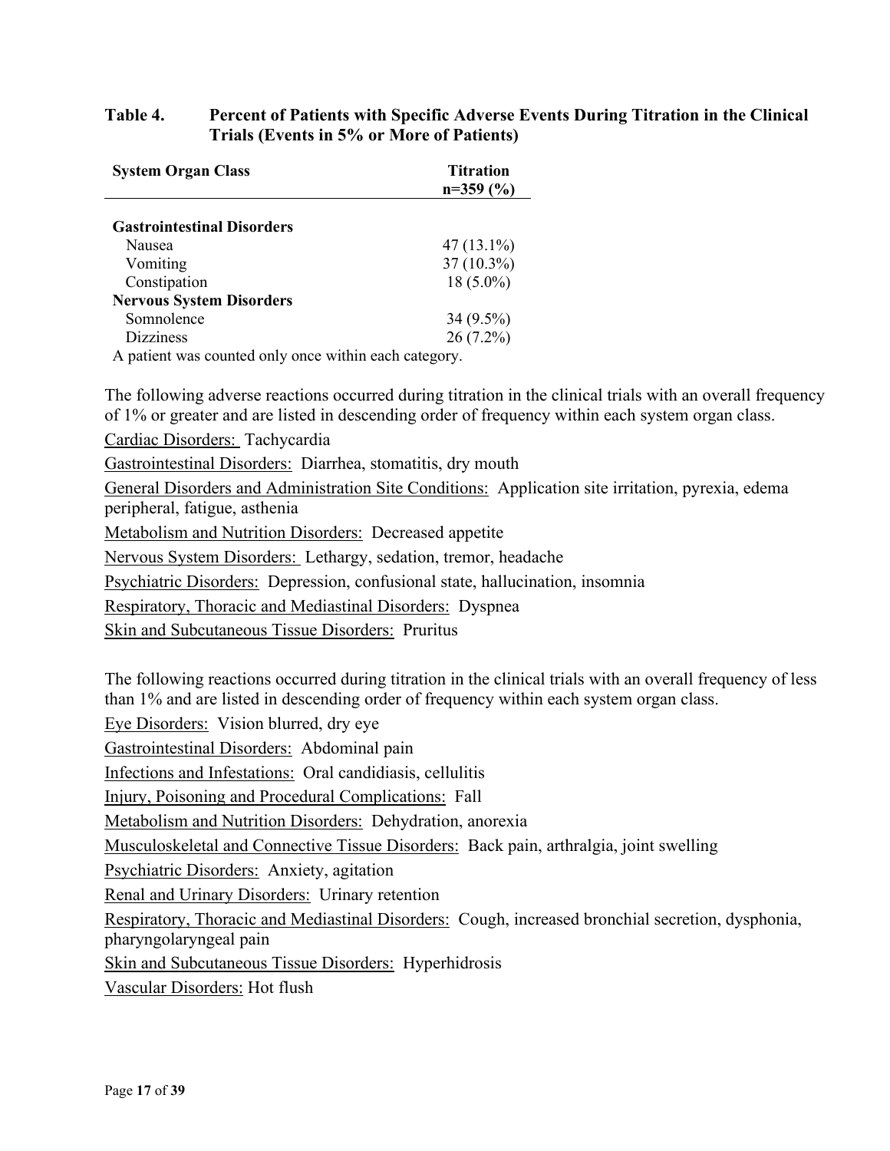## **Table 4. Percent of Patients with Specific Adverse Events During Titration in the Clinical Trials (Events in 5% or More of Patients)**

| <b>System Organ Class</b>                             | <b>Titration</b><br>$n=359(%)$ |  |
|-------------------------------------------------------|--------------------------------|--|
| <b>Gastrointestinal Disorders</b>                     |                                |  |
| Nausea                                                | $47(13.1\%)$                   |  |
| Vomiting                                              | $37(10.3\%)$                   |  |
| Constipation                                          | $18(5.0\%)$                    |  |
| <b>Nervous System Disorders</b>                       |                                |  |
| Somnolence                                            | $34(9.5\%)$                    |  |
| <b>Dizziness</b>                                      | $26(7.2\%)$                    |  |
| A patient was counted only once within each category. |                                |  |

The following adverse reactions occurred during titration in the clinical trials with an overall frequency of 1% or greater and are listed in descending order of frequency within each system organ class.

Cardiac Disorders: Tachycardia

Gastrointestinal Disorders:Diarrhea, stomatitis, dry mouth

General Disorders and Administration Site Conditions:Application site irritation, pyrexia, edema

peripheral, fatigue, asthenia

Metabolism and Nutrition Disorders:Decreased appetite

Nervous System Disorders: Lethargy, sedation, tremor, headache

Psychiatric Disorders:Depression, confusional state, hallucination, insomnia

Respiratory, Thoracic and Mediastinal Disorders:Dyspnea

Skin and Subcutaneous Tissue Disorders: Pruritus

The following reactions occurred during titration in the clinical trials with an overall frequency of less than 1% and are listed in descending order of frequency within each system organ class.

Eye Disorders:Vision blurred, dry eye

Gastrointestinal Disorders:Abdominal pain

Infections and Infestations:Oral candidiasis, cellulitis

Injury, Poisoning and Procedural Complications: Fall

Metabolism and Nutrition Disorders:Dehydration, anorexia

Musculoskeletal and Connective Tissue Disorders: Back pain, arthralgia, joint swelling

Psychiatric Disorders:Anxiety, agitation

Renal and Urinary Disorders:Urinary retention

Respiratory, Thoracic and Mediastinal Disorders:Cough, increased bronchial secretion, dysphonia,

pharyngolaryngeal pain

Skin and Subcutaneous Tissue Disorders:Hyperhidrosis

Vascular Disorders: Hot flush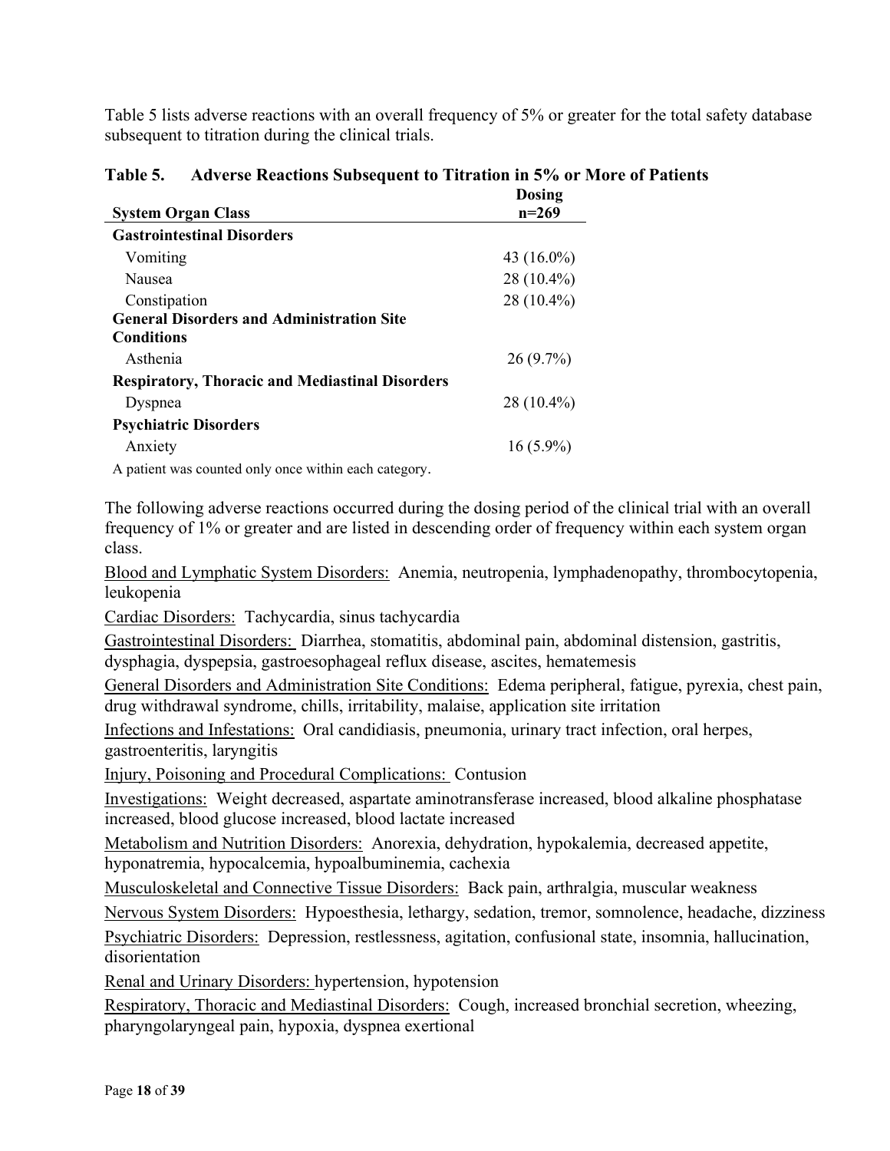[Table 5](#page-17-0) lists adverse reactions with an overall frequency of 5% or greater for the total safety database subsequent to titration during the clinical trials.

|                                                        | <b>Dosing</b> |
|--------------------------------------------------------|---------------|
| <b>System Organ Class</b>                              | $n=269$       |
| <b>Gastrointestinal Disorders</b>                      |               |
| Vomiting                                               | 43 $(16.0\%)$ |
| <b>Nausea</b>                                          | 28 (10.4%)    |
| Constipation                                           | 28 (10.4%)    |
| <b>General Disorders and Administration Site</b>       |               |
| <b>Conditions</b>                                      |               |
| Asthenia                                               | $26(9.7\%)$   |
| <b>Respiratory, Thoracic and Mediastinal Disorders</b> |               |
| Dyspnea                                                | 28 (10.4%)    |
| <b>Psychiatric Disorders</b>                           |               |
| Anxiety                                                | $16(5.9\%)$   |
|                                                        |               |

## <span id="page-17-0"></span>**Table 5. Adverse Reactions Subsequent to Titration in 5% or More of Patients**

A patient was counted only once within each category.

The following adverse reactions occurred during the dosing period of the clinical trial with an overall frequency of 1% or greater and are listed in descending order of frequency within each system organ class.

Blood and Lymphatic System Disorders:Anemia, neutropenia, lymphadenopathy, thrombocytopenia, leukopenia

Cardiac Disorders:Tachycardia, sinus tachycardia

Gastrointestinal Disorders: Diarrhea, stomatitis, abdominal pain, abdominal distension, gastritis, dysphagia, dyspepsia, gastroesophageal reflux disease, ascites, hematemesis

General Disorders and Administration Site Conditions:Edema peripheral, fatigue, pyrexia, chest pain, drug withdrawal syndrome, chills, irritability, malaise, application site irritation

Infections and Infestations:Oral candidiasis, pneumonia, urinary tract infection, oral herpes, gastroenteritis, laryngitis

Injury, Poisoning and Procedural Complications: Contusion

Investigations:Weight decreased, aspartate aminotransferase increased, blood alkaline phosphatase increased, blood glucose increased, blood lactate increased

Metabolism and Nutrition Disorders:Anorexia, dehydration, hypokalemia, decreased appetite, hyponatremia, hypocalcemia, hypoalbuminemia, cachexia

Musculoskeletal and Connective Tissue Disorders: Back pain, arthralgia, muscular weakness

Nervous System Disorders:Hypoesthesia, lethargy, sedation, tremor, somnolence, headache, dizziness

Psychiatric Disorders:Depression, restlessness, agitation, confusional state, insomnia, hallucination, disorientation

Renal and Urinary Disorders: hypertension, hypotension

Respiratory, Thoracic and Mediastinal Disorders:Cough, increased bronchial secretion, wheezing, pharyngolaryngeal pain, hypoxia, dyspnea exertional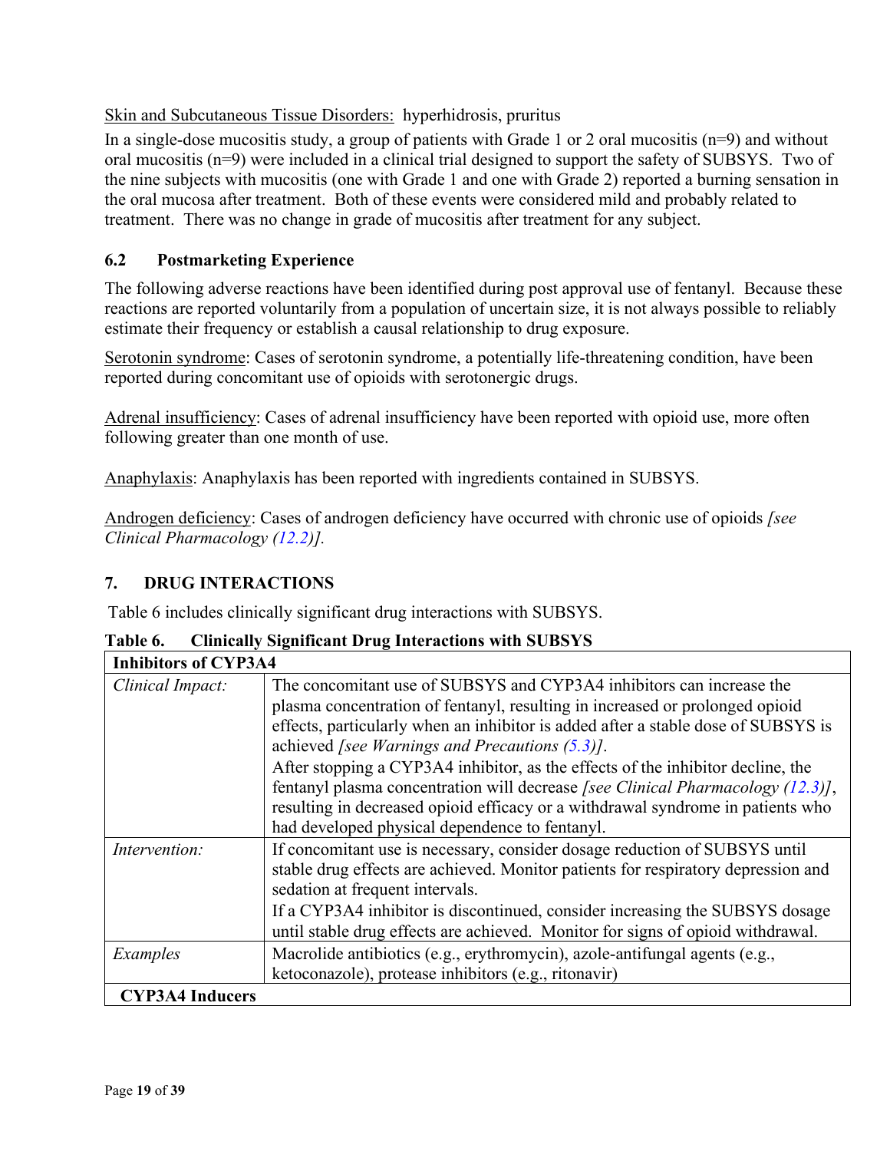Skin and Subcutaneous Tissue Disorders:hyperhidrosis, pruritus

In a single-dose mucositis study, a group of patients with Grade 1 or 2 oral mucositis  $(n=9)$  and without oral mucositis (n=9) were included in a clinical trial designed to support the safety of SUBSYS. Two of the nine subjects with mucositis (one with Grade 1 and one with Grade 2) reported a burning sensation in the oral mucosa after treatment. Both of these events were considered mild and probably related to treatment. There was no change in grade of mucositis after treatment for any subject.

# **6.2 Postmarketing Experience**

The following adverse reactions have been identified during post approval use of fentanyl. Because these reactions are reported voluntarily from a population of uncertain size, it is not always possible to reliably estimate their frequency or establish a causal relationship to drug exposure.

Serotonin syndrome: Cases of serotonin syndrome, a potentially life-threatening condition, have been reported during concomitant use of opioids with serotonergic drugs.

Adrenal insufficiency: Cases of adrenal insufficiency have been reported with opioid use, more often following greater than one month of use.

Anaphylaxis: Anaphylaxis has been reported with ingredients contained in SUBSYS.

Androgen deficiency: Cases of androgen deficiency have occurred with chronic use of opioids *[see Clinical Pharmacology (12.2)].*

# **7. DRUG INTERACTIONS**

[Table 6](#page-18-0) includes clinically significant drug interactions with SUBSYS.

| <b>Inhibitors of CYP3A4</b> |                                                                                                                                                                                                                                                                                                                                                                                                                                                                                                                                                                                                           |
|-----------------------------|-----------------------------------------------------------------------------------------------------------------------------------------------------------------------------------------------------------------------------------------------------------------------------------------------------------------------------------------------------------------------------------------------------------------------------------------------------------------------------------------------------------------------------------------------------------------------------------------------------------|
| Clinical Impact:            | The concomitant use of SUBSYS and CYP3A4 inhibitors can increase the<br>plasma concentration of fentanyl, resulting in increased or prolonged opioid<br>effects, particularly when an inhibitor is added after a stable dose of SUBSYS is<br>achieved [see Warnings and Precautions $(5.3)$ ].<br>After stopping a CYP3A4 inhibitor, as the effects of the inhibitor decline, the<br>fentanyl plasma concentration will decrease [see Clinical Pharmacology (12.3)],<br>resulting in decreased opioid efficacy or a withdrawal syndrome in patients who<br>had developed physical dependence to fentanyl. |
| Intervention:               | If concomitant use is necessary, consider dosage reduction of SUBSYS until<br>stable drug effects are achieved. Monitor patients for respiratory depression and<br>sedation at frequent intervals.<br>If a CYP3A4 inhibitor is discontinued, consider increasing the SUBSYS dosage<br>until stable drug effects are achieved. Monitor for signs of opioid withdrawal.                                                                                                                                                                                                                                     |
| Examples                    | Macrolide antibiotics (e.g., erythromycin), azole-antifungal agents (e.g.,<br>ketoconazole), protease inhibitors (e.g., ritonavir)                                                                                                                                                                                                                                                                                                                                                                                                                                                                        |
| <b>CYP3A4 Inducers</b>      |                                                                                                                                                                                                                                                                                                                                                                                                                                                                                                                                                                                                           |

<span id="page-18-0"></span>**Table 6. Clinically Significant Drug Interactions with SUBSYS**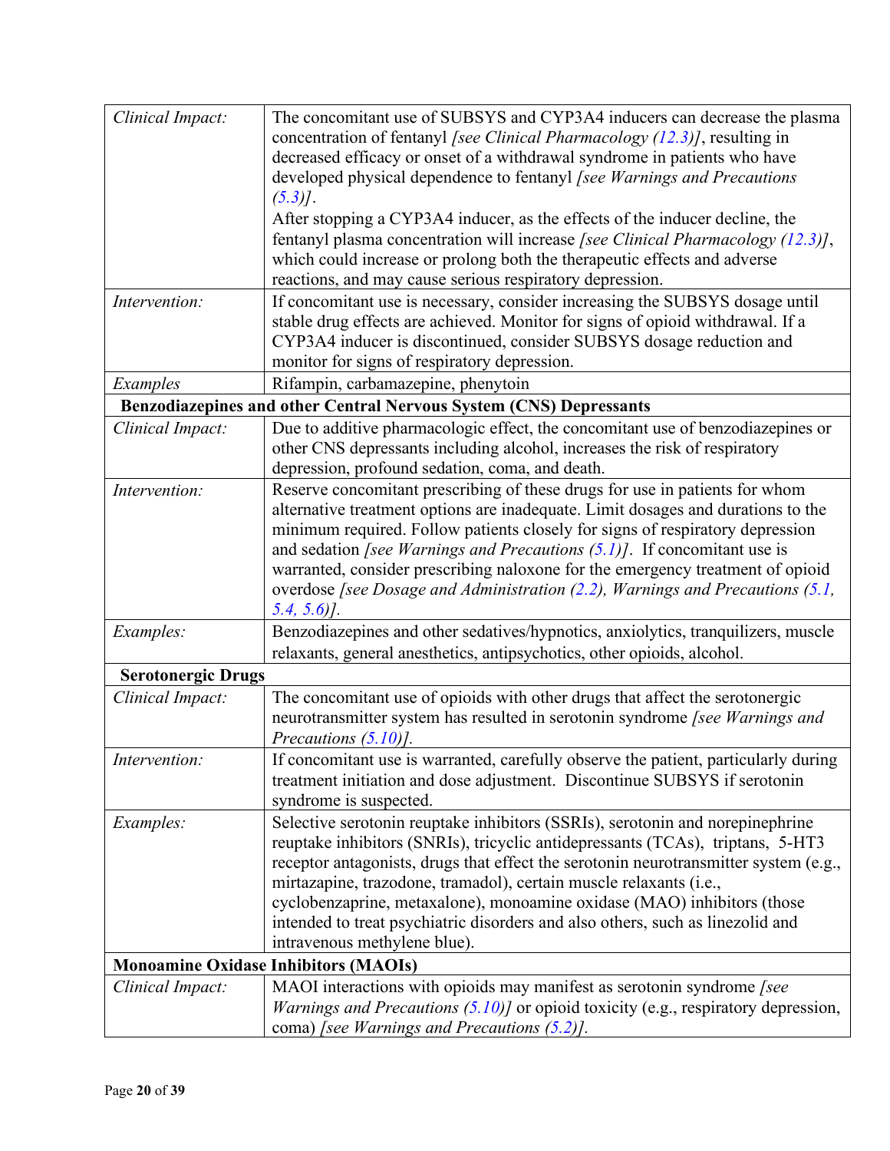| Clinical Impact:          | The concomitant use of SUBSYS and CYP3A4 inducers can decrease the plasma                                                                                          |  |  |  |
|---------------------------|--------------------------------------------------------------------------------------------------------------------------------------------------------------------|--|--|--|
|                           | concentration of fentanyl [see Clinical Pharmacology (12.3)], resulting in                                                                                         |  |  |  |
|                           | decreased efficacy or onset of a withdrawal syndrome in patients who have                                                                                          |  |  |  |
|                           | developed physical dependence to fentanyl [see Warnings and Precautions                                                                                            |  |  |  |
|                           | $(5.3)$ .                                                                                                                                                          |  |  |  |
|                           | After stopping a CYP3A4 inducer, as the effects of the inducer decline, the                                                                                        |  |  |  |
|                           | fentanyl plasma concentration will increase [see Clinical Pharmacology $(12.3)$ ],                                                                                 |  |  |  |
|                           | which could increase or prolong both the therapeutic effects and adverse                                                                                           |  |  |  |
|                           | reactions, and may cause serious respiratory depression.                                                                                                           |  |  |  |
| Intervention:             | If concomitant use is necessary, consider increasing the SUBSYS dosage until                                                                                       |  |  |  |
|                           | stable drug effects are achieved. Monitor for signs of opioid withdrawal. If a                                                                                     |  |  |  |
|                           | CYP3A4 inducer is discontinued, consider SUBSYS dosage reduction and                                                                                               |  |  |  |
|                           | monitor for signs of respiratory depression.                                                                                                                       |  |  |  |
| Examples                  | Rifampin, carbamazepine, phenytoin                                                                                                                                 |  |  |  |
|                           | Benzodiazepines and other Central Nervous System (CNS) Depressants                                                                                                 |  |  |  |
| Clinical Impact:          | Due to additive pharmacologic effect, the concomitant use of benzodiazepines or                                                                                    |  |  |  |
|                           | other CNS depressants including alcohol, increases the risk of respiratory                                                                                         |  |  |  |
|                           | depression, profound sedation, coma, and death.                                                                                                                    |  |  |  |
| Intervention:             | Reserve concomitant prescribing of these drugs for use in patients for whom                                                                                        |  |  |  |
|                           | alternative treatment options are inadequate. Limit dosages and durations to the                                                                                   |  |  |  |
|                           | minimum required. Follow patients closely for signs of respiratory depression                                                                                      |  |  |  |
|                           | and sedation [see Warnings and Precautions $(5.1)$ ]. If concomitant use is                                                                                        |  |  |  |
|                           | warranted, consider prescribing naloxone for the emergency treatment of opioid<br>overdose [see Dosage and Administration $(2.2)$ , Warnings and Precautions (5.1, |  |  |  |
|                           | $5.4, 5.6$ ].                                                                                                                                                      |  |  |  |
| Examples:                 | Benzodiazepines and other sedatives/hypnotics, anxiolytics, tranquilizers, muscle                                                                                  |  |  |  |
|                           | relaxants, general anesthetics, antipsychotics, other opioids, alcohol.                                                                                            |  |  |  |
| <b>Serotonergic Drugs</b> |                                                                                                                                                                    |  |  |  |
| Clinical Impact:          | The concomitant use of opioids with other drugs that affect the serotonergic                                                                                       |  |  |  |
|                           | neurotransmitter system has resulted in serotonin syndrome [see Warnings and                                                                                       |  |  |  |
|                           | Precautions $(5.10)$ ].                                                                                                                                            |  |  |  |
| Intervention:             | If concomitant use is warranted, carefully observe the patient, particularly during                                                                                |  |  |  |
|                           | treatment initiation and dose adjustment. Discontinue SUBSYS if serotonin                                                                                          |  |  |  |
|                           | syndrome is suspected.                                                                                                                                             |  |  |  |
| Examples:                 | Selective serotonin reuptake inhibitors (SSRIs), serotonin and norepinephrine                                                                                      |  |  |  |
|                           | reuptake inhibitors (SNRIs), tricyclic antidepressants (TCAs), triptans, 5-HT3                                                                                     |  |  |  |
|                           | receptor antagonists, drugs that effect the serotonin neurotransmitter system (e.g.,                                                                               |  |  |  |
|                           | mirtazapine, trazodone, tramadol), certain muscle relaxants (i.e.,                                                                                                 |  |  |  |
|                           | cyclobenzaprine, metaxalone), monoamine oxidase (MAO) inhibitors (those                                                                                            |  |  |  |
|                           | intended to treat psychiatric disorders and also others, such as linezolid and                                                                                     |  |  |  |
|                           | intravenous methylene blue).                                                                                                                                       |  |  |  |
|                           | <b>Monoamine Oxidase Inhibitors (MAOIs)</b>                                                                                                                        |  |  |  |
| Clinical Impact:          | MAOI interactions with opioids may manifest as serotonin syndrome [see                                                                                             |  |  |  |
|                           | <i>Warnings and Precautions (5.10)</i> or opioid toxicity (e.g., respiratory depression,                                                                           |  |  |  |
|                           | coma) [see Warnings and Precautions $(5.2)$ ].                                                                                                                     |  |  |  |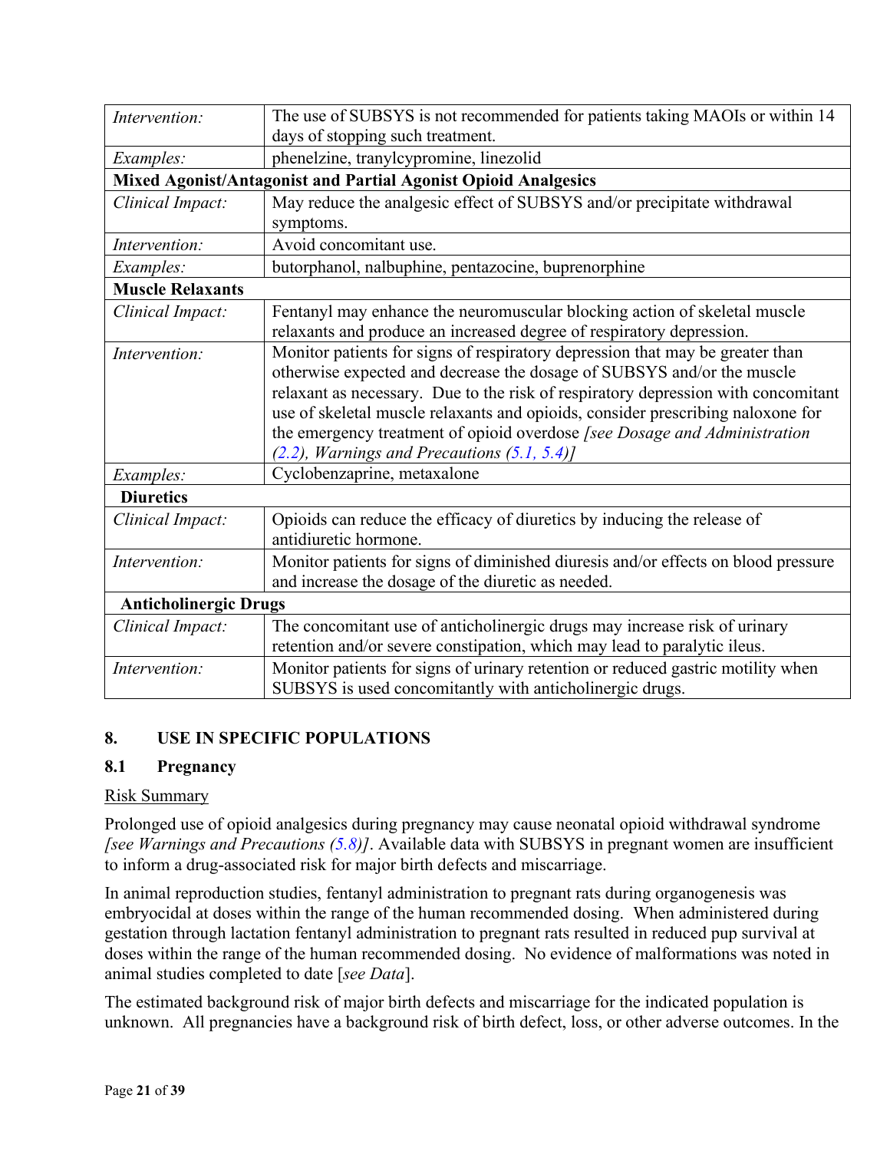| Intervention:                | The use of SUBSYS is not recommended for patients taking MAOIs or within 14        |  |  |  |  |
|------------------------------|------------------------------------------------------------------------------------|--|--|--|--|
|                              | days of stopping such treatment.                                                   |  |  |  |  |
| Examples:                    | phenelzine, tranylcypromine, linezolid                                             |  |  |  |  |
|                              | Mixed Agonist/Antagonist and Partial Agonist Opioid Analgesics                     |  |  |  |  |
| Clinical Impact:             | May reduce the analgesic effect of SUBSYS and/or precipitate withdrawal            |  |  |  |  |
|                              | symptoms.                                                                          |  |  |  |  |
| Intervention:                | Avoid concomitant use.                                                             |  |  |  |  |
| Examples:                    | butorphanol, nalbuphine, pentazocine, buprenorphine                                |  |  |  |  |
| <b>Muscle Relaxants</b>      |                                                                                    |  |  |  |  |
| Clinical Impact:             | Fentanyl may enhance the neuromuscular blocking action of skeletal muscle          |  |  |  |  |
|                              | relaxants and produce an increased degree of respiratory depression.               |  |  |  |  |
| Intervention:                | Monitor patients for signs of respiratory depression that may be greater than      |  |  |  |  |
|                              | otherwise expected and decrease the dosage of SUBSYS and/or the muscle             |  |  |  |  |
|                              | relaxant as necessary. Due to the risk of respiratory depression with concomitant  |  |  |  |  |
|                              | use of skeletal muscle relaxants and opioids, consider prescribing naloxone for    |  |  |  |  |
|                              | the emergency treatment of opioid overdose [see Dosage and Administration          |  |  |  |  |
|                              | $(2.2)$ , Warnings and Precautions $(5.1, 5.4)$ ]                                  |  |  |  |  |
| Examples:                    | Cyclobenzaprine, metaxalone                                                        |  |  |  |  |
| <b>Diuretics</b>             |                                                                                    |  |  |  |  |
| Clinical Impact:             | Opioids can reduce the efficacy of diuretics by inducing the release of            |  |  |  |  |
|                              | antidiuretic hormone.                                                              |  |  |  |  |
| Intervention:                | Monitor patients for signs of diminished diuresis and/or effects on blood pressure |  |  |  |  |
|                              | and increase the dosage of the diuretic as needed.                                 |  |  |  |  |
| <b>Anticholinergic Drugs</b> |                                                                                    |  |  |  |  |
| Clinical Impact:             | The concomitant use of anticholinergic drugs may increase risk of urinary          |  |  |  |  |
|                              | retention and/or severe constipation, which may lead to paralytic ileus.           |  |  |  |  |
| Intervention:                | Monitor patients for signs of urinary retention or reduced gastric motility when   |  |  |  |  |
|                              | SUBSYS is used concomitantly with anticholinergic drugs.                           |  |  |  |  |

# **8. USE IN SPECIFIC POPULATIONS**

# **8.1 Pregnancy**

# Risk Summary

Prolonged use of opioid analgesics during pregnancy may cause neonatal opioid withdrawal syndrome *[see Warnings and Precautions (5.8)]*. Available data with SUBSYS in pregnant women are insufficient to inform a drug-associated risk for major birth defects and miscarriage.

In animal reproduction studies, fentanyl administration to pregnant rats during organogenesis was embryocidal at doses within the range of the human recommended dosing. When administered during gestation through lactation fentanyl administration to pregnant rats resulted in reduced pup survival at doses within the range of the human recommended dosing. No evidence of malformations was noted in animal studies completed to date [*see Data*].

The estimated background risk of major birth defects and miscarriage for the indicated population is unknown. All pregnancies have a background risk of birth defect, loss, or other adverse outcomes. In the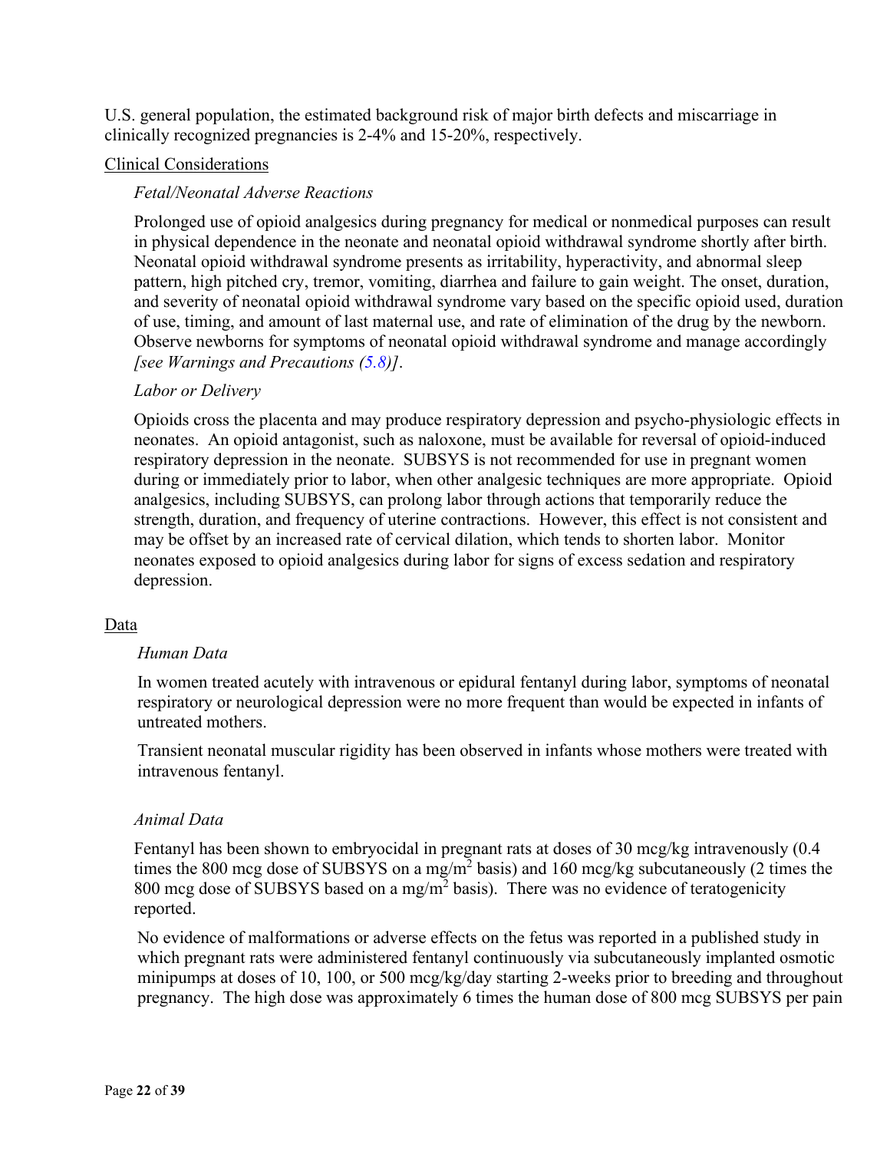U.S. general population, the estimated background risk of major birth defects and miscarriage in clinically recognized pregnancies is 2-4% and 15-20%, respectively.

## Clinical Considerations

## *Fetal/Neonatal Adverse Reactions*

Prolonged use of opioid analgesics during pregnancy for medical or nonmedical purposes can result in physical dependence in the neonate and neonatal opioid withdrawal syndrome shortly after birth. Neonatal opioid withdrawal syndrome presents as irritability, hyperactivity, and abnormal sleep pattern, high pitched cry, tremor, vomiting, diarrhea and failure to gain weight. The onset, duration, and severity of neonatal opioid withdrawal syndrome vary based on the specific opioid used, duration of use, timing, and amount of last maternal use, and rate of elimination of the drug by the newborn. Observe newborns for symptoms of neonatal opioid withdrawal syndrome and manage accordingly *[see Warnings and Precautions (5.8)]*.

## *Labor or Delivery*

Opioids cross the placenta and may produce respiratory depression and psycho-physiologic effects in neonates. An opioid antagonist, such as naloxone, must be available for reversal of opioid-induced respiratory depression in the neonate. SUBSYS is not recommended for use in pregnant women during or immediately prior to labor, when other analgesic techniques are more appropriate. Opioid analgesics, including SUBSYS, can prolong labor through actions that temporarily reduce the strength, duration, and frequency of uterine contractions. However, this effect is not consistent and may be offset by an increased rate of cervical dilation, which tends to shorten labor. Monitor neonates exposed to opioid analgesics during labor for signs of excess sedation and respiratory depression.

### Data

### *Human Data*

In women treated acutely with intravenous or epidural fentanyl during labor, symptoms of neonatal respiratory or neurological depression were no more frequent than would be expected in infants of untreated mothers.

Transient neonatal muscular rigidity has been observed in infants whose mothers were treated with intravenous fentanyl.

### *Animal Data*

Fentanyl has been shown to embryocidal in pregnant rats at doses of 30 mcg/kg intravenously (0.4 times the 800 mcg dose of SUBSYS on a mg/m<sup>2</sup> basis) and 160 mcg/kg subcutaneously (2 times the 800 mcg dose of SUBSYS based on a mg/m<sup>2</sup> basis). There was no evidence of teratogenicity reported.

No evidence of malformations or adverse effects on the fetus was reported in a published study in which pregnant rats were administered fentanyl continuously via subcutaneously implanted osmotic minipumps at doses of 10, 100, or 500 mcg/kg/day starting 2-weeks prior to breeding and throughout pregnancy. The high dose was approximately 6 times the human dose of 800 mcg SUBSYS per pain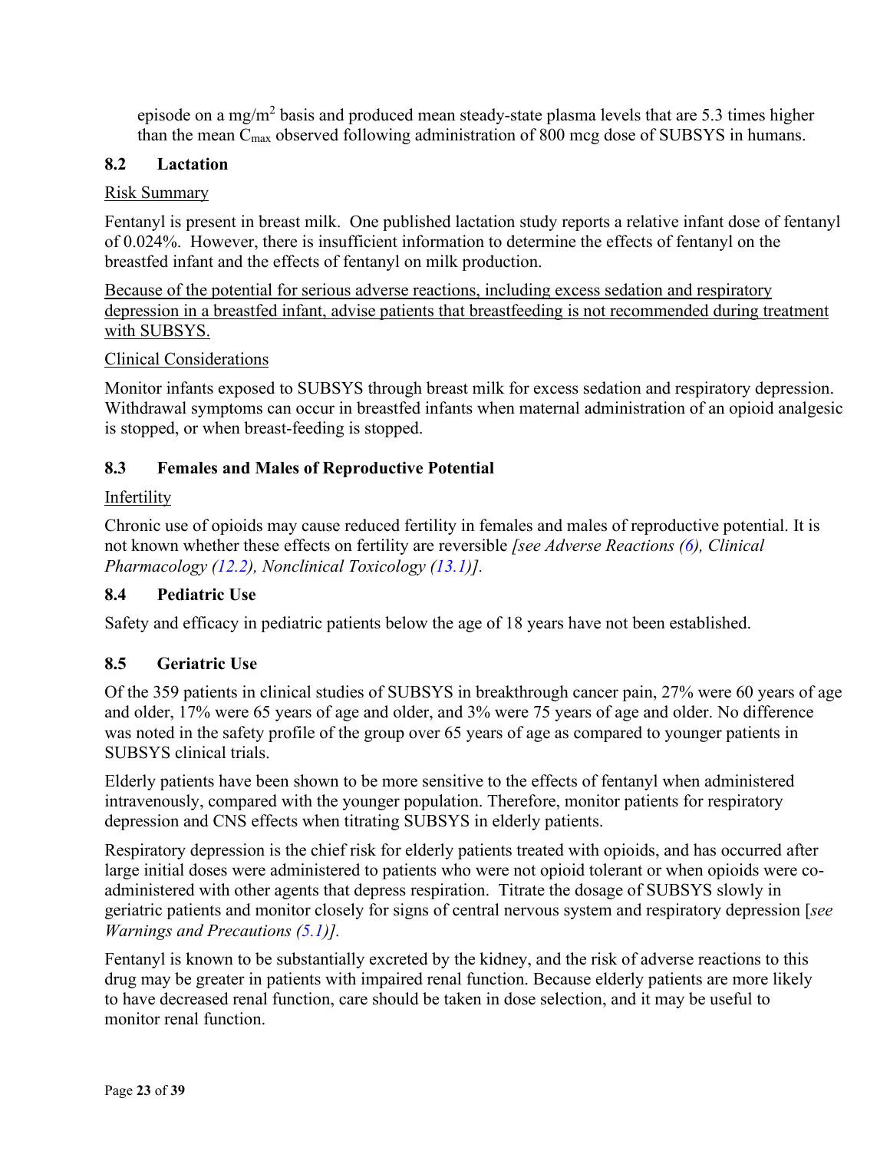episode on a mg/m<sup>2</sup> basis and produced mean steady-state plasma levels that are 5.3 times higher than the mean Cmax observed following administration of 800 mcg dose of SUBSYS in humans.

# **8.2 Lactation**

## Risk Summary

Fentanyl is present in breast milk. One published lactation study reports a relative infant dose of fentanyl of 0.024%. However, there is insufficient information to determine the effects of fentanyl on the breastfed infant and the effects of fentanyl on milk production.

Because of the potential for serious adverse reactions, including excess sedation and respiratory depression in a breastfed infant, advise patients that breastfeeding is not recommended during treatment with SUBSYS.

### Clinical Considerations

Monitor infants exposed to SUBSYS through breast milk for excess sedation and respiratory depression. Withdrawal symptoms can occur in breastfed infants when maternal administration of an opioid analgesic is stopped, or when breast-feeding is stopped.

# **8.3 Females and Males of Reproductive Potential**

## Infertility

Chronic use of opioids may cause reduced fertility in females and males of reproductive potential. It is not known whether these effects on fertility are reversible *[see Adverse Reactions (6), Clinical Pharmacology (12.2), Nonclinical Toxicology (13.1)].*

# **8.4 Pediatric Use**

Safety and efficacy in pediatric patients below the age of 18 years have not been established.

# **8.5 Geriatric Use**

Of the 359 patients in clinical studies of SUBSYS in breakthrough cancer pain, 27% were 60 years of age and older, 17% were 65 years of age and older, and 3% were 75 years of age and older. No difference was noted in the safety profile of the group over 65 years of age as compared to younger patients in SUBSYS clinical trials.

Elderly patients have been shown to be more sensitive to the effects of fentanyl when administered intravenously, compared with the younger population. Therefore, monitor patients for respiratory depression and CNS effects when titrating SUBSYS in elderly patients.

Respiratory depression is the chief risk for elderly patients treated with opioids, and has occurred after large initial doses were administered to patients who were not opioid tolerant or when opioids were coadministered with other agents that depress respiration. Titrate the dosage of SUBSYS slowly in geriatric patients and monitor closely for signs of central nervous system and respiratory depression [*see Warnings and Precautions (5.1)].*

Fentanyl is known to be substantially excreted by the kidney, and the risk of adverse reactions to this drug may be greater in patients with impaired renal function. Because elderly patients are more likely to have decreased renal function, care should be taken in dose selection, and it may be useful to monitor renal function.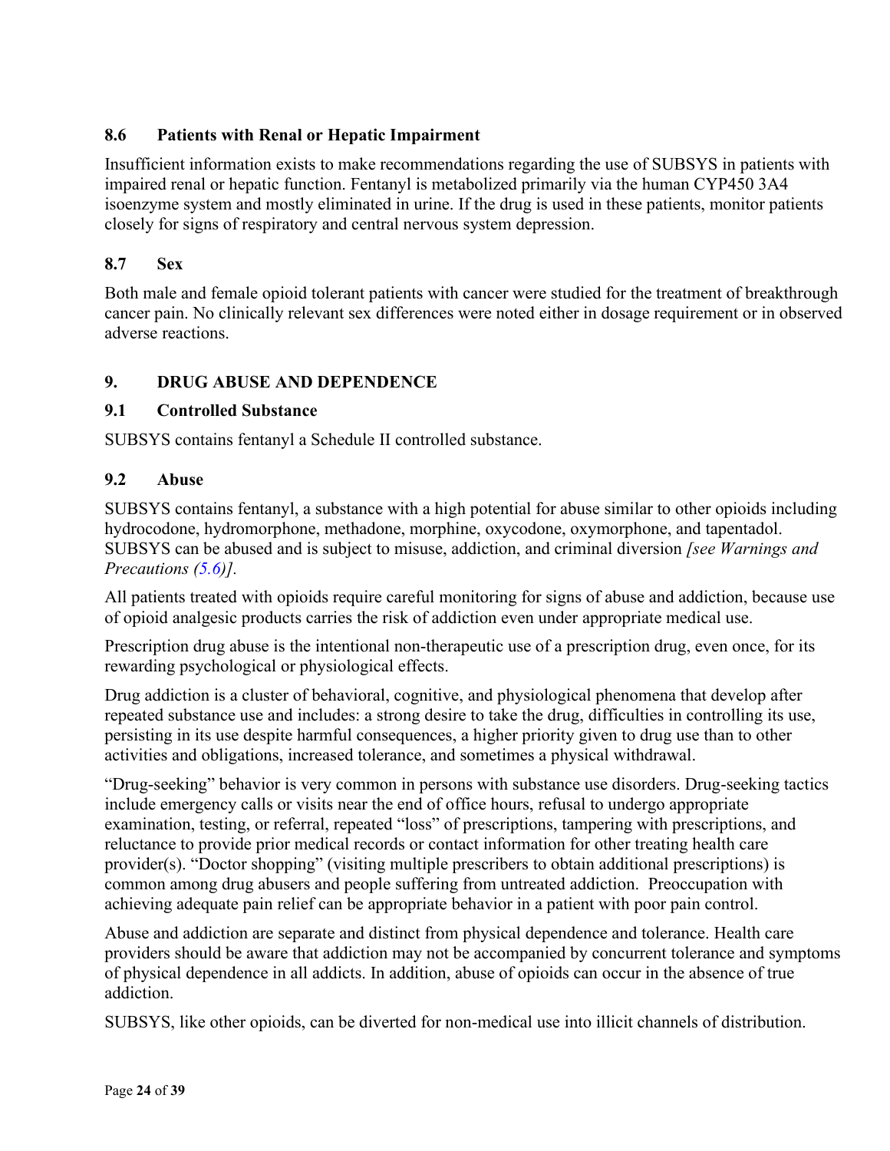# **8.6 Patients with Renal or Hepatic Impairment**

Insufficient information exists to make recommendations regarding the use of SUBSYS in patients with impaired renal or hepatic function. Fentanyl is metabolized primarily via the human CYP450 3A4 isoenzyme system and mostly eliminated in urine. If the drug is used in these patients, monitor patients closely for signs of respiratory and central nervous system depression.

# **8.7 Sex**

Both male and female opioid tolerant patients with cancer were studied for the treatment of breakthrough cancer pain. No clinically relevant sex differences were noted either in dosage requirement or in observed adverse reactions.

# **9. DRUG ABUSE AND DEPENDENCE**

# **9.1 Controlled Substance**

SUBSYS contains fentanyl a Schedule II controlled substance.

# **9.2 Abuse**

SUBSYS contains fentanyl, a substance with a high potential for abuse similar to other opioids including hydrocodone, hydromorphone, methadone, morphine, oxycodone, oxymorphone, and tapentadol. SUBSYS can be abused and is subject to misuse, addiction, and criminal diversion *[see Warnings and Precautions (5.6)].*

All patients treated with opioids require careful monitoring for signs of abuse and addiction, because use of opioid analgesic products carries the risk of addiction even under appropriate medical use.

Prescription drug abuse is the intentional non-therapeutic use of a prescription drug, even once, for its rewarding psychological or physiological effects.

Drug addiction is a cluster of behavioral, cognitive, and physiological phenomena that develop after repeated substance use and includes: a strong desire to take the drug, difficulties in controlling its use, persisting in its use despite harmful consequences, a higher priority given to drug use than to other activities and obligations, increased tolerance, and sometimes a physical withdrawal.

"Drug-seeking" behavior is very common in persons with substance use disorders. Drug-seeking tactics include emergency calls or visits near the end of office hours, refusal to undergo appropriate examination, testing, or referral, repeated "loss" of prescriptions, tampering with prescriptions, and reluctance to provide prior medical records or contact information for other treating health care provider(s). "Doctor shopping" (visiting multiple prescribers to obtain additional prescriptions) is common among drug abusers and people suffering from untreated addiction. Preoccupation with achieving adequate pain relief can be appropriate behavior in a patient with poor pain control.

Abuse and addiction are separate and distinct from physical dependence and tolerance. Health care providers should be aware that addiction may not be accompanied by concurrent tolerance and symptoms of physical dependence in all addicts. In addition, abuse of opioids can occur in the absence of true addiction.

SUBSYS, like other opioids, can be diverted for non-medical use into illicit channels of distribution.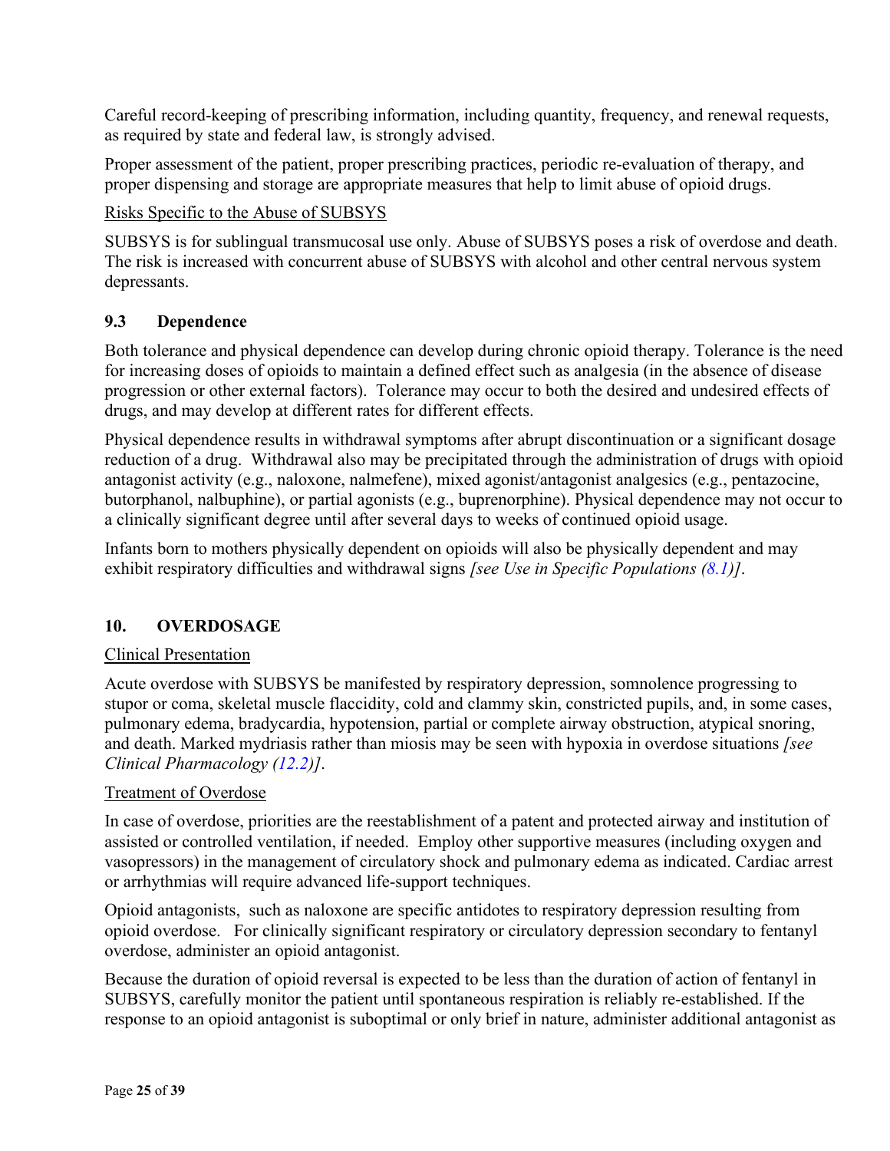Careful record-keeping of prescribing information, including quantity, frequency, and renewal requests, as required by state and federal law, is strongly advised.

Proper assessment of the patient, proper prescribing practices, periodic re-evaluation of therapy, and proper dispensing and storage are appropriate measures that help to limit abuse of opioid drugs.

Risks Specific to the Abuse of SUBSYS

SUBSYS is for sublingual transmucosal use only. Abuse of SUBSYS poses a risk of overdose and death. The risk is increased with concurrent abuse of SUBSYS with alcohol and other central nervous system depressants.

# **9.3 Dependence**

Both tolerance and physical dependence can develop during chronic opioid therapy. Tolerance is the need for increasing doses of opioids to maintain a defined effect such as analgesia (in the absence of disease progression or other external factors). Tolerance may occur to both the desired and undesired effects of drugs, and may develop at different rates for different effects.

Physical dependence results in withdrawal symptoms after abrupt discontinuation or a significant dosage reduction of a drug. Withdrawal also may be precipitated through the administration of drugs with opioid antagonist activity (e.g., naloxone, nalmefene), mixed agonist/antagonist analgesics (e.g., pentazocine, butorphanol, nalbuphine), or partial agonists (e.g., buprenorphine). Physical dependence may not occur to a clinically significant degree until after several days to weeks of continued opioid usage.

Infants born to mothers physically dependent on opioids will also be physically dependent and may exhibit respiratory difficulties and withdrawal signs *[see Use in Specific Populations (8.1)]*.

### **10. OVERDOSAGE**

### Clinical Presentation

Acute overdose with SUBSYS be manifested by respiratory depression, somnolence progressing to stupor or coma, skeletal muscle flaccidity, cold and clammy skin, constricted pupils, and, in some cases, pulmonary edema, bradycardia, hypotension, partial or complete airway obstruction, atypical snoring, and death. Marked mydriasis rather than miosis may be seen with hypoxia in overdose situations *[see Clinical Pharmacology (12.2)]*.

### Treatment of Overdose

In case of overdose, priorities are the reestablishment of a patent and protected airway and institution of assisted or controlled ventilation, if needed. Employ other supportive measures (including oxygen and vasopressors) in the management of circulatory shock and pulmonary edema as indicated. Cardiac arrest or arrhythmias will require advanced life-support techniques.

Opioid antagonists, such as naloxone are specific antidotes to respiratory depression resulting from opioid overdose. For clinically significant respiratory or circulatory depression secondary to fentanyl overdose, administer an opioid antagonist.

Because the duration of opioid reversal is expected to be less than the duration of action of fentanyl in SUBSYS, carefully monitor the patient until spontaneous respiration is reliably re-established. If the response to an opioid antagonist is suboptimal or only brief in nature, administer additional antagonist as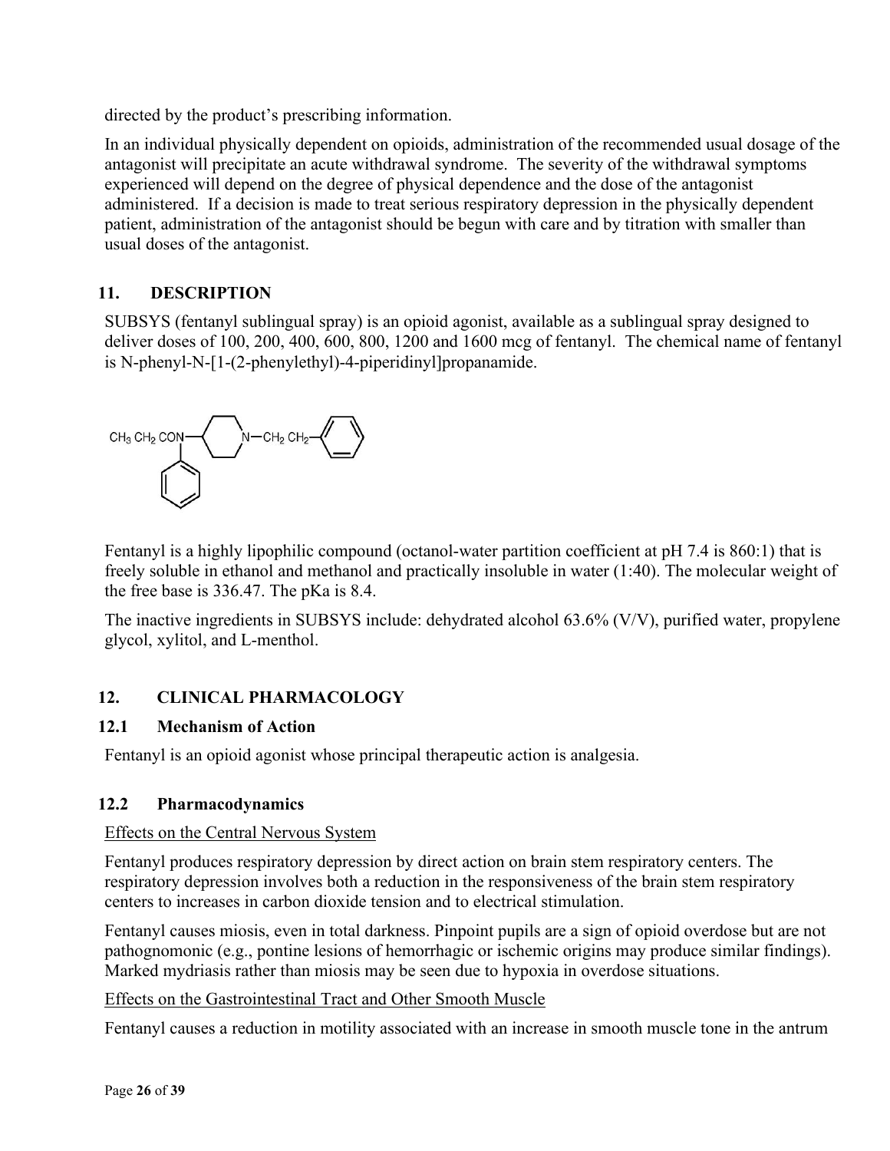directed by the product's prescribing information.

In an individual physically dependent on opioids, administration of the recommended usual dosage of the antagonist will precipitate an acute withdrawal syndrome. The severity of the withdrawal symptoms experienced will depend on the degree of physical dependence and the dose of the antagonist administered. If a decision is made to treat serious respiratory depression in the physically dependent patient, administration of the antagonist should be begun with care and by titration with smaller than usual doses of the antagonist.

# **11. DESCRIPTION**

SUBSYS (fentanyl sublingual spray) is an opioid agonist, available as a sublingual spray designed to deliver doses of 100, 200, 400, 600, 800, 1200 and 1600 mcg of fentanyl. The chemical name of fentanyl is N-phenyl-N-[1-(2-phenylethyl)-4-piperidinyl]propanamide.



Fentanyl is a highly lipophilic compound (octanol-water partition coefficient at pH 7.4 is 860:1) that is freely soluble in ethanol and methanol and practically insoluble in water (1:40). The molecular weight of the free base is 336.47. The pKa is 8.4.

The inactive ingredients in SUBSYS include: dehydrated alcohol 63.6% (V/V), purified water, propylene glycol, xylitol, and L-menthol.

# **12. CLINICAL PHARMACOLOGY**

# **12.1 Mechanism of Action**

Fentanyl is an opioid agonist whose principal therapeutic action is analgesia.

# **12.2 Pharmacodynamics**

# Effects on the Central Nervous System

Fentanyl produces respiratory depression by direct action on brain stem respiratory centers. The respiratory depression involves both a reduction in the responsiveness of the brain stem respiratory centers to increases in carbon dioxide tension and to electrical stimulation.

Fentanyl causes miosis, even in total darkness. Pinpoint pupils are a sign of opioid overdose but are not pathognomonic (e.g., pontine lesions of hemorrhagic or ischemic origins may produce similar findings). Marked mydriasis rather than miosis may be seen due to hypoxia in overdose situations.

Effects on the Gastrointestinal Tract and Other Smooth Muscle

Fentanyl causes a reduction in motility associated with an increase in smooth muscle tone in the antrum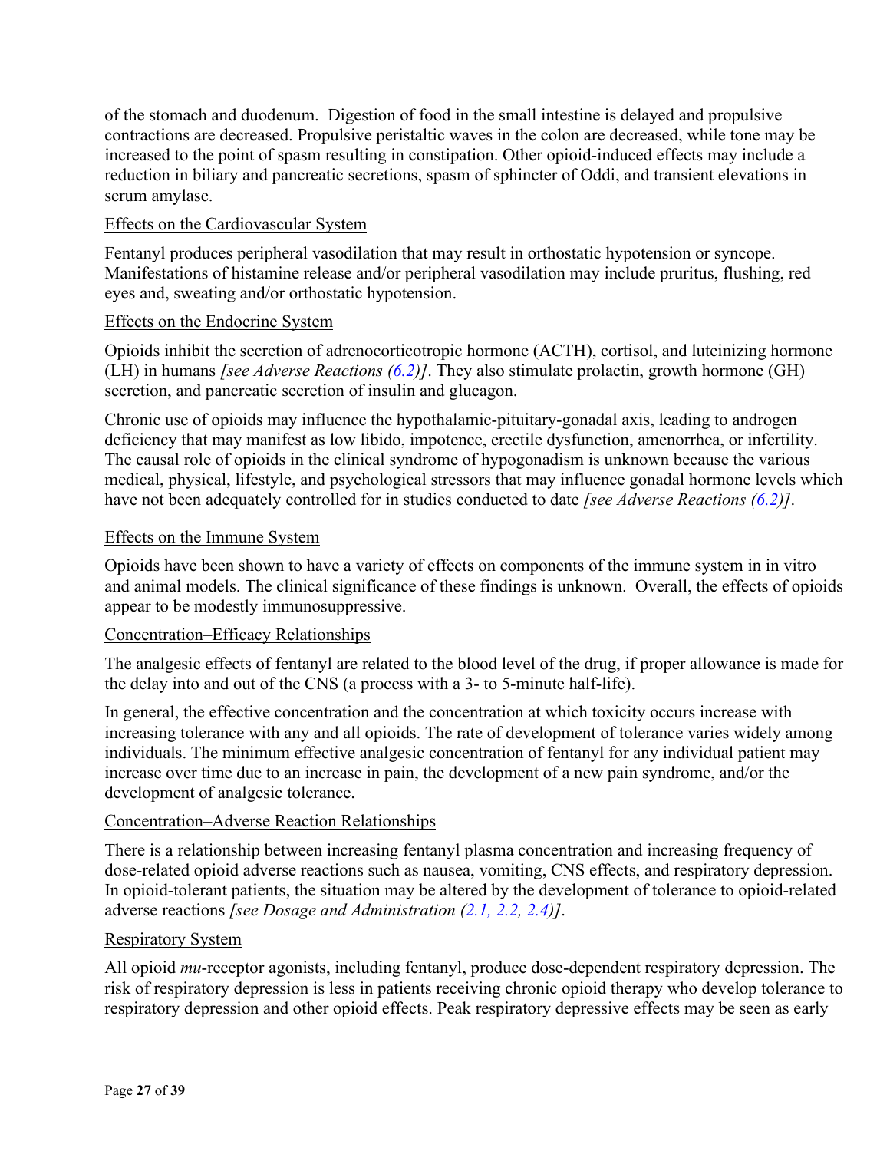of the stomach and duodenum. Digestion of food in the small intestine is delayed and propulsive contractions are decreased. Propulsive peristaltic waves in the colon are decreased, while tone may be increased to the point of spasm resulting in constipation. Other opioid-induced effects may include a reduction in biliary and pancreatic secretions, spasm of sphincter of Oddi, and transient elevations in serum amylase.

## Effects on the Cardiovascular System

Fentanyl produces peripheral vasodilation that may result in orthostatic hypotension or syncope. Manifestations of histamine release and/or peripheral vasodilation may include pruritus, flushing, red eyes and, sweating and/or orthostatic hypotension.

### Effects on the Endocrine System

Opioids inhibit the secretion of adrenocorticotropic hormone (ACTH), cortisol, and luteinizing hormone (LH) in humans *[see Adverse Reactions (6.2)]*. They also stimulate prolactin, growth hormone (GH) secretion, and pancreatic secretion of insulin and glucagon.

Chronic use of opioids may influence the hypothalamic-pituitary-gonadal axis, leading to androgen deficiency that may manifest as low libido, impotence, erectile dysfunction, amenorrhea, or infertility. The causal role of opioids in the clinical syndrome of hypogonadism is unknown because the various medical, physical, lifestyle, and psychological stressors that may influence gonadal hormone levels which have not been adequately controlled for in studies conducted to date *[see Adverse Reactions (6.2)]*.

## Effects on the Immune System

Opioids have been shown to have a variety of effects on components of the immune system in in vitro and animal models. The clinical significance of these findings is unknown. Overall, the effects of opioids appear to be modestly immunosuppressive.

# Concentration–Efficacy Relationships

The analgesic effects of fentanyl are related to the blood level of the drug, if proper allowance is made for the delay into and out of the CNS (a process with a 3- to 5-minute half-life).

In general, the effective concentration and the concentration at which toxicity occurs increase with increasing tolerance with any and all opioids. The rate of development of tolerance varies widely among individuals. The minimum effective analgesic concentration of fentanyl for any individual patient may increase over time due to an increase in pain, the development of a new pain syndrome, and/or the development of analgesic tolerance.

### Concentration–Adverse Reaction Relationships

There is a relationship between increasing fentanyl plasma concentration and increasing frequency of dose-related opioid adverse reactions such as nausea, vomiting, CNS effects, and respiratory depression. In opioid-tolerant patients, the situation may be altered by the development of tolerance to opioid-related adverse reactions *[see Dosage and Administration (2.1, 2.2, 2.4)]*.

### Respiratory System

All opioid *mu*-receptor agonists, including fentanyl, produce dose-dependent respiratory depression. The risk of respiratory depression is less in patients receiving chronic opioid therapy who develop tolerance to respiratory depression and other opioid effects. Peak respiratory depressive effects may be seen as early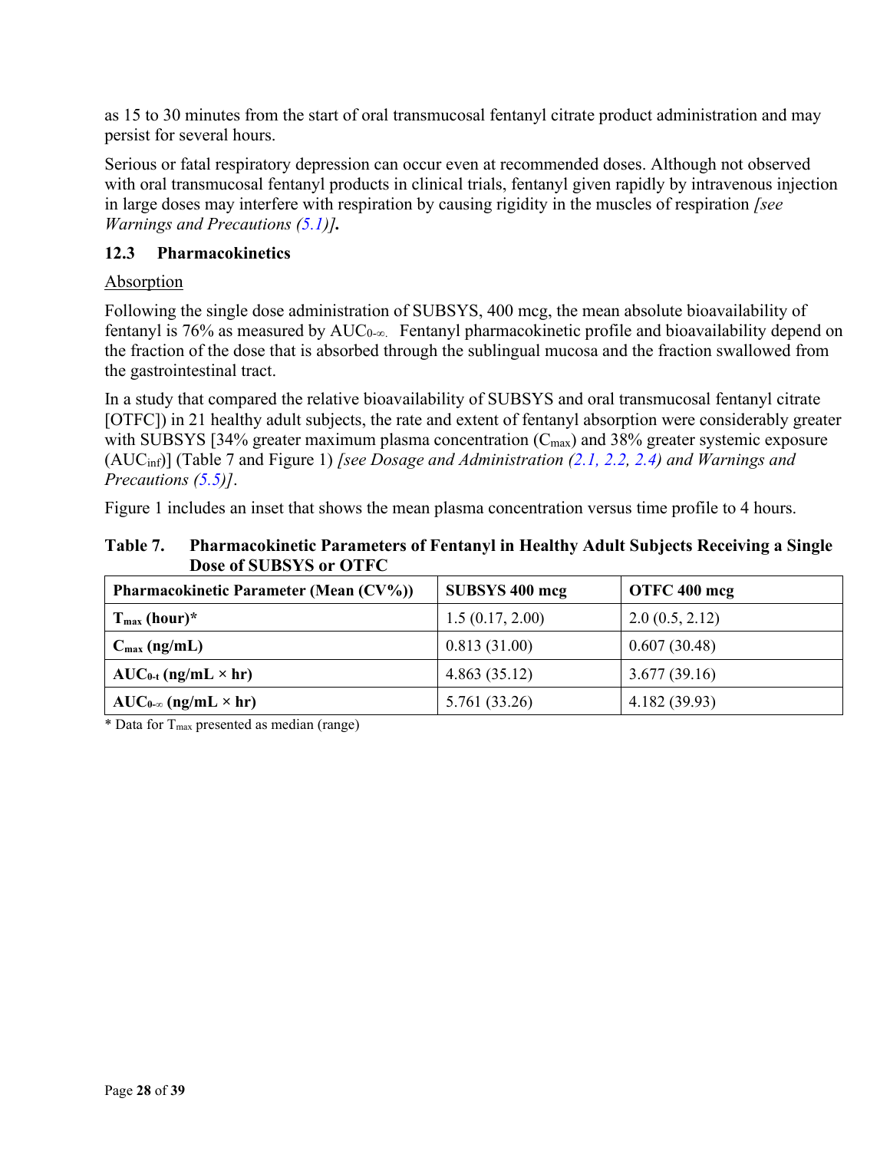as 15 to 30 minutes from the start of oral transmucosal fentanyl citrate product administration and may persist for several hours.

Serious or fatal respiratory depression can occur even at recommended doses. Although not observed with oral transmucosal fentanyl products in clinical trials, fentanyl given rapidly by intravenous injection in large doses may interfere with respiration by causing rigidity in the muscles of respiration *[see Warnings and Precautions (5.1)].*

# **12.3 Pharmacokinetics**

# Absorption

Following the single dose administration of SUBSYS, 400 mcg, the mean absolute bioavailability of fentanyl is 76% as measured by AUC0-∞. Fentanyl pharmacokinetic profile and bioavailability depend on the fraction of the dose that is absorbed through the sublingual mucosa and the fraction swallowed from the gastrointestinal tract.

In a study that compared the relative bioavailability of SUBSYS and oral transmucosal fentanyl citrate [OTFC]) in 21 healthy adult subjects, the rate and extent of fentanyl absorption were considerably greater with SUBSYS [34% greater maximum plasma concentration  $(C_{\text{max}})$  and 38% greater systemic exposure (AUCinf)] (Table 7 and Figure 1) *[see Dosage and Administration (2.1, 2.2, 2.4) and Warnings and Precautions (5.5)]*.

[Figure 1](#page-28-0) includes an inset that shows the mean plasma concentration versus time profile to 4 hours.

### **Table 7. Pharmacokinetic Parameters of Fentanyl in Healthy Adult Subjects Receiving a Single Dose of SUBSYS or OTFC**

| Pharmacokinetic Parameter (Mean (CV%)) | SUBSYS 400 mcg  | OTFC 400 mcg   |  |
|----------------------------------------|-----------------|----------------|--|
| $T_{\text{max}}$ (hour)*               | 1.5(0.17, 2.00) | 2.0(0.5, 2.12) |  |
| $C_{\text{max}}$ (ng/mL)               | 0.813(31.00)    | 0.607(30.48)   |  |
| $AUC_{0-t}$ (ng/mL $\times$ hr)        | 4.863(35.12)    | 3.677(39.16)   |  |
| $AUC_{0-\infty}$ (ng/mL $\times$ hr)   | 5.761 (33.26)   | 4.182 (39.93)  |  |

 $*$  Data for  $T_{\text{max}}$  presented as median (range)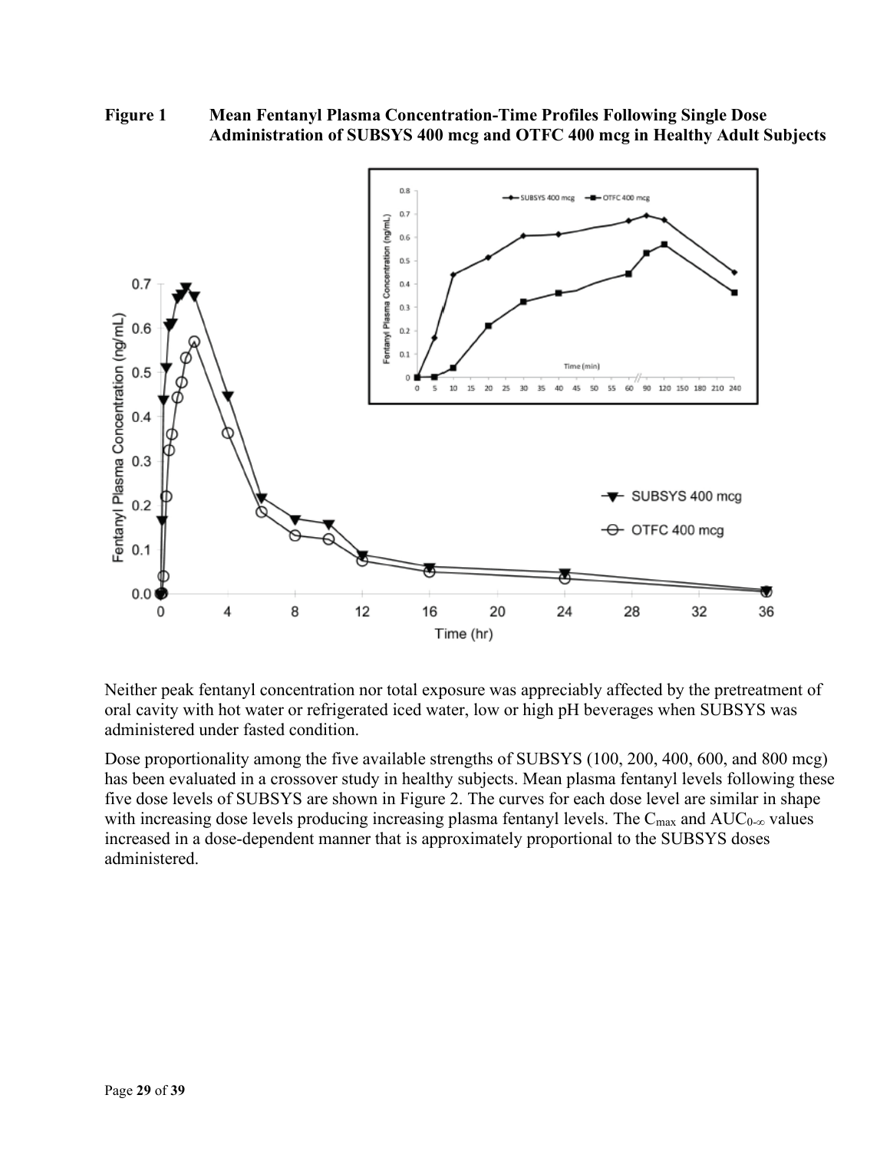<span id="page-28-0"></span>



Neither peak fentanyl concentration nor total exposure was appreciably affected by the pretreatment of oral cavity with hot water or refrigerated iced water, low or high pH beverages when SUBSYS was administered under fasted condition.

Dose proportionality among the five available strengths of SUBSYS (100, 200, 400, 600, and 800 mcg) has been evaluated in a crossover study in healthy subjects. Mean plasma fentanyl levels following these five dose levels of SUBSYS are shown in [Figure 2.](#page-29-0) The curves for each dose level are similar in shape with increasing dose levels producing increasing plasma fentanyl levels. The  $C_{\text{max}}$  and  $AUC_{0-\infty}$  values increased in a dose-dependent manner that is approximately proportional to the SUBSYS doses administered.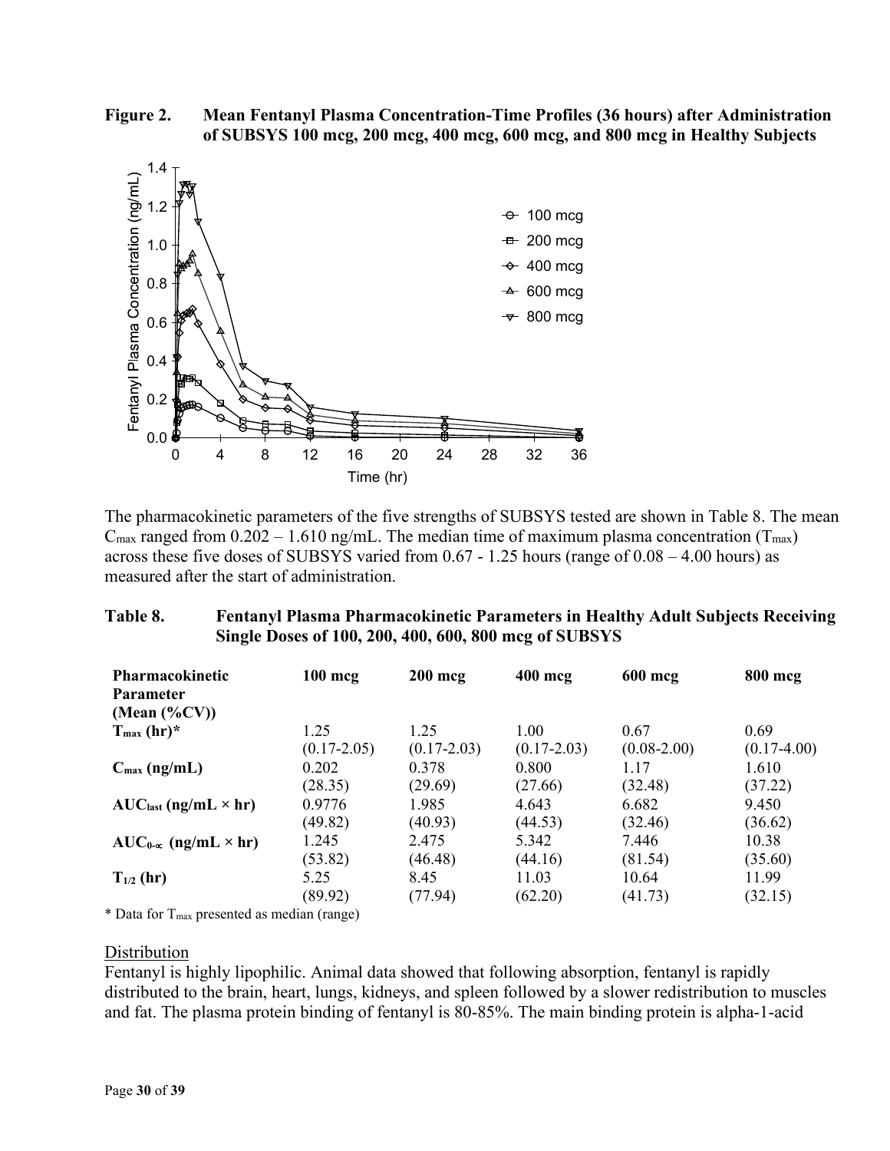<span id="page-29-0"></span>**Figure 2. Mean Fentanyl Plasma Concentration-Time Profiles (36 hours) after Administration of SUBSYS 100 mcg, 200 mcg, 400 mcg, 600 mcg, and 800 mcg in Healthy Subjects** 



The pharmacokinetic parameters of the five strengths of SUBSYS tested are shown in Table 8. The mean  $C_{\text{max}}$  ranged from 0.202 – 1.610 ng/mL. The median time of maximum plasma concentration (T<sub>max</sub>) across these five doses of SUBSYS varied from 0.67 - 1.25 hours (range of 0.08 – 4.00 hours) as measured after the start of administration.

| Table 8. | Fentanyl Plasma Pharmacokinetic Parameters in Healthy Adult Subjects Receiving |
|----------|--------------------------------------------------------------------------------|
|          | Single Doses of 100, 200, 400, 600, 800 mcg of SUBSYS                          |

| <b>Pharmacokinetic</b><br><b>Parameter</b><br>(Mean $(\%CV)$ ) | $100$ mcg       | $200$ mcg       | $400$ mcg       | <b>600 mcg</b>  | 800 mcg       |
|----------------------------------------------------------------|-----------------|-----------------|-----------------|-----------------|---------------|
| $T_{\text{max}}$ (hr)*                                         | 1.25            | 1.25            | 1.00            | 0.67            | 0.69          |
|                                                                | $(0.17 - 2.05)$ | $(0.17 - 2.03)$ | $(0.17 - 2.03)$ | $(0.08 - 2.00)$ | $(0.17-4.00)$ |
| $C_{\text{max}}$ (ng/mL)                                       | 0.202           | 0.378           | 0.800           | 1.17            | 1.610         |
|                                                                | (28.35)         | (29.69)         | (27.66)         | (32.48)         | (37.22)       |
| $AUClast$ (ng/mL $\times$ hr)                                  | 0.9776          | 1.985           | 4.643           | 6.682           | 9.450         |
|                                                                | (49.82)         | (40.93)         | (44.53)         | (32.46)         | (36.62)       |
| $AUC_{0-\alpha}$ (ng/mL × hr)                                  | 1.245           | 2.475           | 5.342           | 7.446           | 10.38         |
|                                                                | (53.82)         | (46.48)         | (44.16)         | (81.54)         | (35.60)       |
| $T_{1/2}$ (hr)                                                 | 5.25            | 8.45            | 11.03           | 10.64           | 11.99         |
|                                                                | (89.92)         | (77.94)         | (62.20)         | (41.73)         | (32.15)       |

 $*$  Data for  $T_{max}$  presented as median (range)

#### Distribution

Fentanyl is highly lipophilic. Animal data showed that following absorption, fentanyl is rapidly distributed to the brain, heart, lungs, kidneys, and spleen followed by a slower redistribution to muscles and fat. The plasma protein binding of fentanyl is 80-85%. The main binding protein is alpha-1-acid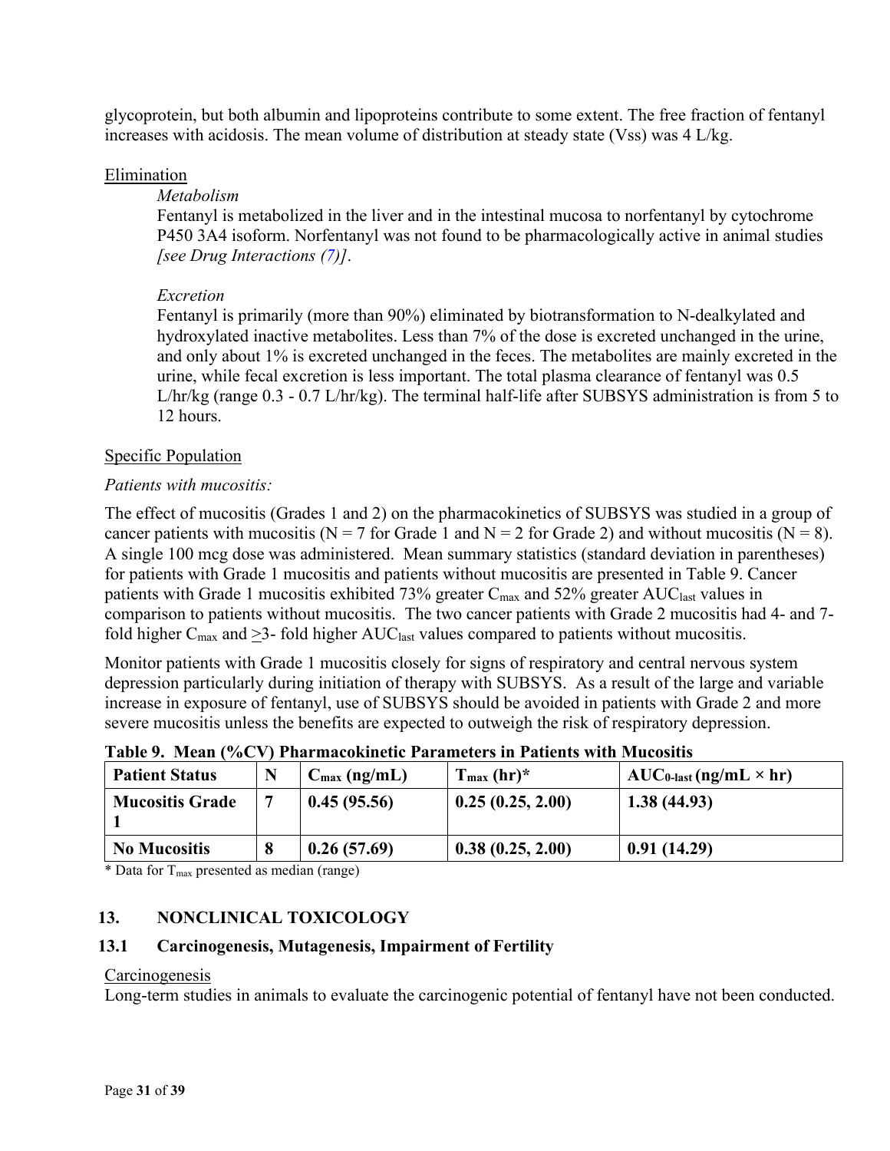glycoprotein, but both albumin and lipoproteins contribute to some extent. The free fraction of fentanyl increases with acidosis. The mean volume of distribution at steady state (Vss) was 4 L/kg.

## Elimination

## *Metabolism*

Fentanyl is metabolized in the liver and in the intestinal mucosa to norfentanyl by cytochrome P450 3A4 isoform. Norfentanyl was not found to be pharmacologically active in animal studies *[see Drug Interactions (7)]*.

## *Excretion*

Fentanyl is primarily (more than 90%) eliminated by biotransformation to N-dealkylated and hydroxylated inactive metabolites. Less than 7% of the dose is excreted unchanged in the urine, and only about 1% is excreted unchanged in the feces. The metabolites are mainly excreted in the urine, while fecal excretion is less important. The total plasma clearance of fentanyl was 0.5 L/hr/kg (range 0.3 - 0.7 L/hr/kg). The terminal half-life after SUBSYS administration is from 5 to 12 hours.

## Specific Population

## *Patients with mucositis:*

The effect of mucositis (Grades 1 and 2) on the pharmacokinetics of SUBSYS was studied in a group of cancer patients with mucositis ( $N = 7$  for Grade 1 and  $N = 2$  for Grade 2) and without mucositis ( $N = 8$ ). A single 100 mcg dose was administered. Mean summary statistics (standard deviation in parentheses) for patients with Grade 1 mucositis and patients without mucositis are presented in Table 9. Cancer patients with Grade 1 mucositis exhibited 73% greater  $C_{\text{max}}$  and 52% greater AUC<sub>last</sub> values in comparison to patients without mucositis. The two cancer patients with Grade 2 mucositis had 4- and 7 fold higher  $C_{\text{max}}$  and  $>3$ - fold higher AUC<sub>last</sub> values compared to patients without mucositis.

Monitor patients with Grade 1 mucositis closely for signs of respiratory and central nervous system depression particularly during initiation of therapy with SUBSYS. As a result of the large and variable increase in exposure of fentanyl, use of SUBSYS should be avoided in patients with Grade 2 and more severe mucositis unless the benefits are expected to outweigh the risk of respiratory depression.

| <b>Patient Status</b>  | $C_{\text{max}}$ (ng/mL) | $T_{\text{max}}$ (hr)* | $AUC_{0-{\rm last}} (ng/mL \times hr)$ |
|------------------------|--------------------------|------------------------|----------------------------------------|
| <b>Mucositis Grade</b> | 0.45(95.56)              | 0.25(0.25, 2.00)       | 1.38(44.93)                            |
| <b>No Mucositis</b>    | 0.26(57.69)              | 0.38(0.25, 2.00)       | 0.91(14.29)                            |

**Table 9. Mean (%CV) Pharmacokinetic Parameters in Patients with Mucositis**

\* Data for  $T_{\text{max}}$  presented as median (range)

# **13. NONCLINICAL TOXICOLOGY**

# **13.1 Carcinogenesis, Mutagenesis, Impairment of Fertility**

### **Carcinogenesis**

Long-term studies in animals to evaluate the carcinogenic potential of fentanyl have not been conducted.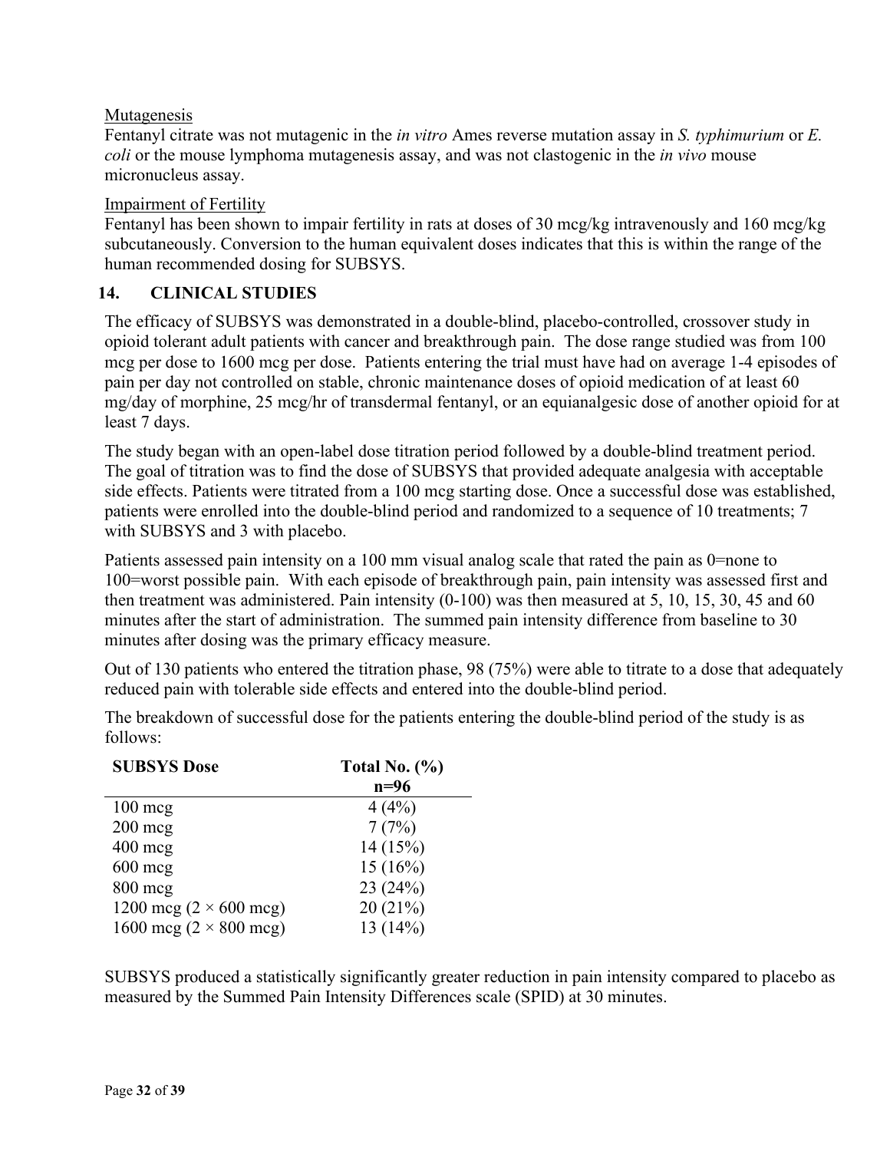# Mutagenesis

Fentanyl citrate was not mutagenic in the *in vitro* Ames reverse mutation assay in *S. typhimurium* or *E. coli* or the mouse lymphoma mutagenesis assay, and was not clastogenic in the *in vivo* mouse micronucleus assay.

## Impairment of Fertility

Fentanyl has been shown to impair fertility in rats at doses of 30 mcg/kg intravenously and 160 mcg/kg subcutaneously. Conversion to the human equivalent doses indicates that this is within the range of the human recommended dosing for SUBSYS.

# **14. CLINICAL STUDIES**

The efficacy of SUBSYS was demonstrated in a double-blind, placebo-controlled, crossover study in opioid tolerant adult patients with cancer and breakthrough pain. The dose range studied was from 100 mcg per dose to 1600 mcg per dose. Patients entering the trial must have had on average 1-4 episodes of pain per day not controlled on stable, chronic maintenance doses of opioid medication of at least 60 mg/day of morphine, 25 mcg/hr of transdermal fentanyl, or an equianalgesic dose of another opioid for at least 7 days.

The study began with an open-label dose titration period followed by a double-blind treatment period. The goal of titration was to find the dose of SUBSYS that provided adequate analgesia with acceptable side effects. Patients were titrated from a 100 mcg starting dose. Once a successful dose was established, patients were enrolled into the double-blind period and randomized to a sequence of 10 treatments; 7 with SUBSYS and 3 with placebo.

Patients assessed pain intensity on a 100 mm visual analog scale that rated the pain as 0=none to 100=worst possible pain. With each episode of breakthrough pain, pain intensity was assessed first and then treatment was administered. Pain intensity (0-100) was then measured at 5, 10, 15, 30, 45 and 60 minutes after the start of administration. The summed pain intensity difference from baseline to 30 minutes after dosing was the primary efficacy measure.

Out of 130 patients who entered the titration phase, 98 (75%) were able to titrate to a dose that adequately reduced pain with tolerable side effects and entered into the double-blind period.

| <b>SUBSYS Dose</b>             | Total No. $(\%)$ |
|--------------------------------|------------------|
|                                | $n=96$           |
| $100 \text{~mg}$               | 4(4%)            |
| $200$ mcg                      | 7(7%)            |
| $400 \text{~mg}$               | 14(15%)          |
| $600$ mcg                      | 15(16%)          |
| $800$ mcg                      | 23 (24%)         |
| 1200 mcg ( $2 \times 600$ mcg) | 20(21%)          |
| 1600 mcg ( $2 \times 800$ mcg) | 13 (14%)         |

The breakdown of successful dose for the patients entering the double-blind period of the study is as follows:

SUBSYS produced a statistically significantly greater reduction in pain intensity compared to placebo as measured by the Summed Pain Intensity Differences scale (SPID) at 30 minutes.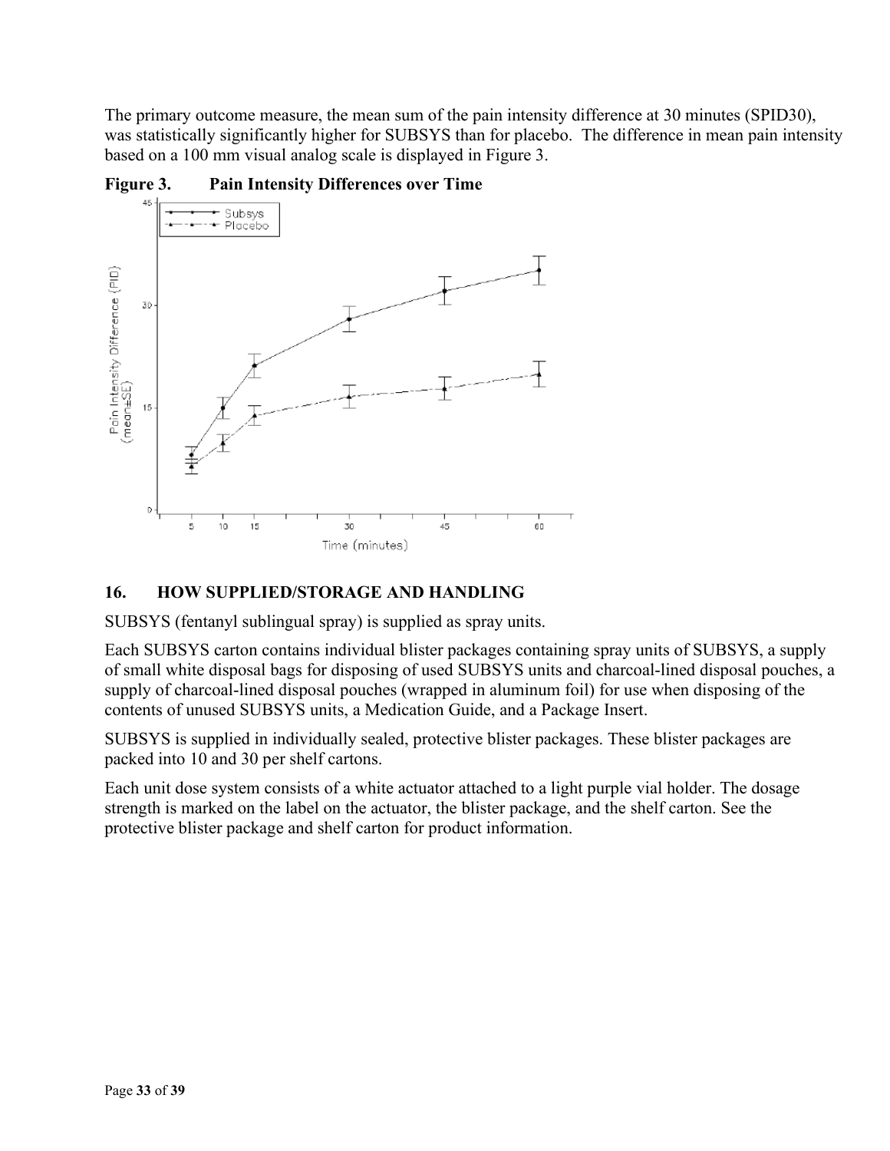The primary outcome measure, the mean sum of the pain intensity difference at 30 minutes (SPID30), was statistically significantly higher for SUBSYS than for placebo. The difference in mean pain intensity based on a 100 mm visual analog scale is displayed in Figure 3.





# **16. HOW SUPPLIED/STORAGE AND HANDLING**

SUBSYS (fentanyl sublingual spray) is supplied as spray units.

Each SUBSYS carton contains individual blister packages containing spray units of SUBSYS, a supply of small white disposal bags for disposing of used SUBSYS units and charcoal-lined disposal pouches, a supply of charcoal-lined disposal pouches (wrapped in aluminum foil) for use when disposing of the contents of unused SUBSYS units, a Medication Guide, and a Package Insert.

SUBSYS is supplied in individually sealed, protective blister packages. These blister packages are packed into 10 and 30 per shelf cartons.

Each unit dose system consists of a white actuator attached to a light purple vial holder. The dosage strength is marked on the label on the actuator, the blister package, and the shelf carton. See the protective blister package and shelf carton for product information.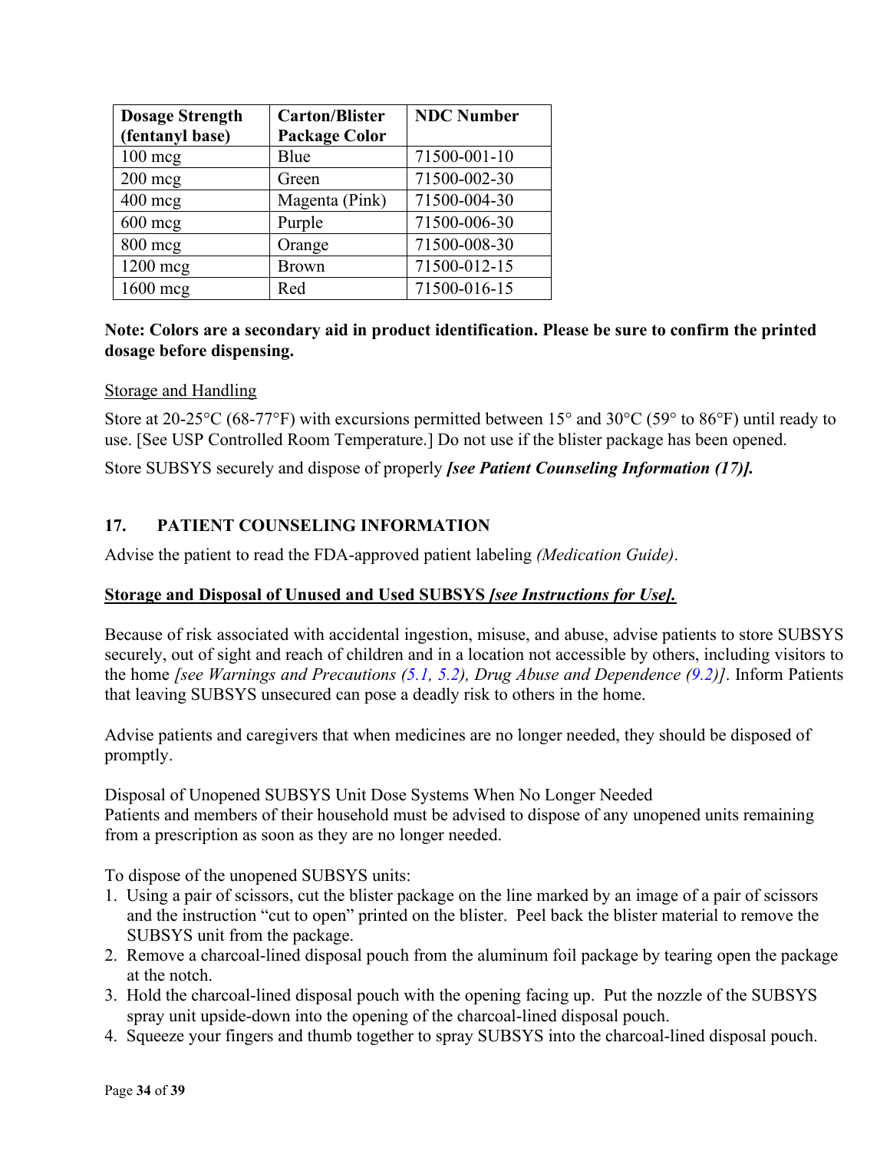| <b>Dosage Strength</b> | <b>Carton/Blister</b> | <b>NDC Number</b> |
|------------------------|-----------------------|-------------------|
| (fentanyl base)        | <b>Package Color</b>  |                   |
| $100 \text{ mg}$       | Blue                  | 71500-001-10      |
| $200$ mcg              | Green                 | 71500-002-30      |
| $400$ mcg              | Magenta (Pink)        | 71500-004-30      |
| $600$ mcg              | Purple                | 71500-006-30      |
| $800$ mcg              | Orange                | 71500-008-30      |
| $1200$ mcg             | <b>Brown</b>          | 71500-012-15      |
| $1600$ mcg             | Red                   | 71500-016-15      |

# **Note: Colors are a secondary aid in product identification. Please be sure to confirm the printed dosage before dispensing.**

# Storage and Handling

Store at 20-25°C (68-77°F) with excursions permitted between  $15^{\circ}$  and  $30^{\circ}$ C (59° to 86°F) until ready to use. [See USP Controlled Room Temperature.] Do not use if the blister package has been opened.

Store SUBSYS securely and dispose of properly *[see Patient Counseling Information (17)].*

# **17. PATIENT COUNSELING INFORMATION**

Advise the patient to read the FDA-approved patient labeling *(Medication Guide)*.

# **Storage and Disposal of Unused and Used SUBSYS** *[see Instructions for Use].*

Because of risk associated with accidental ingestion, misuse, and abuse, advise patients to store SUBSYS securely, out of sight and reach of children and in a location not accessible by others, including visitors to the home *[see Warnings and Precautions (5.1, 5.2), Drug Abuse and Dependence (9.2)]*. Inform Patients that leaving SUBSYS unsecured can pose a deadly risk to others in the home.

Advise patients and caregivers that when medicines are no longer needed, they should be disposed of promptly.

Disposal of Unopened SUBSYS Unit Dose Systems When No Longer Needed Patients and members of their household must be advised to dispose of any unopened units remaining from a prescription as soon as they are no longer needed.

To dispose of the unopened SUBSYS units:

- 1. Using a pair of scissors, cut the blister package on the line marked by an image of a pair of scissors and the instruction "cut to open" printed on the blister. Peel back the blister material to remove the SUBSYS unit from the package.
- 2. Remove a charcoal-lined disposal pouch from the aluminum foil package by tearing open the package at the notch.
- 3. Hold the charcoal-lined disposal pouch with the opening facing up. Put the nozzle of the SUBSYS spray unit upside-down into the opening of the charcoal-lined disposal pouch.
- 4. Squeeze your fingers and thumb together to spray SUBSYS into the charcoal-lined disposal pouch.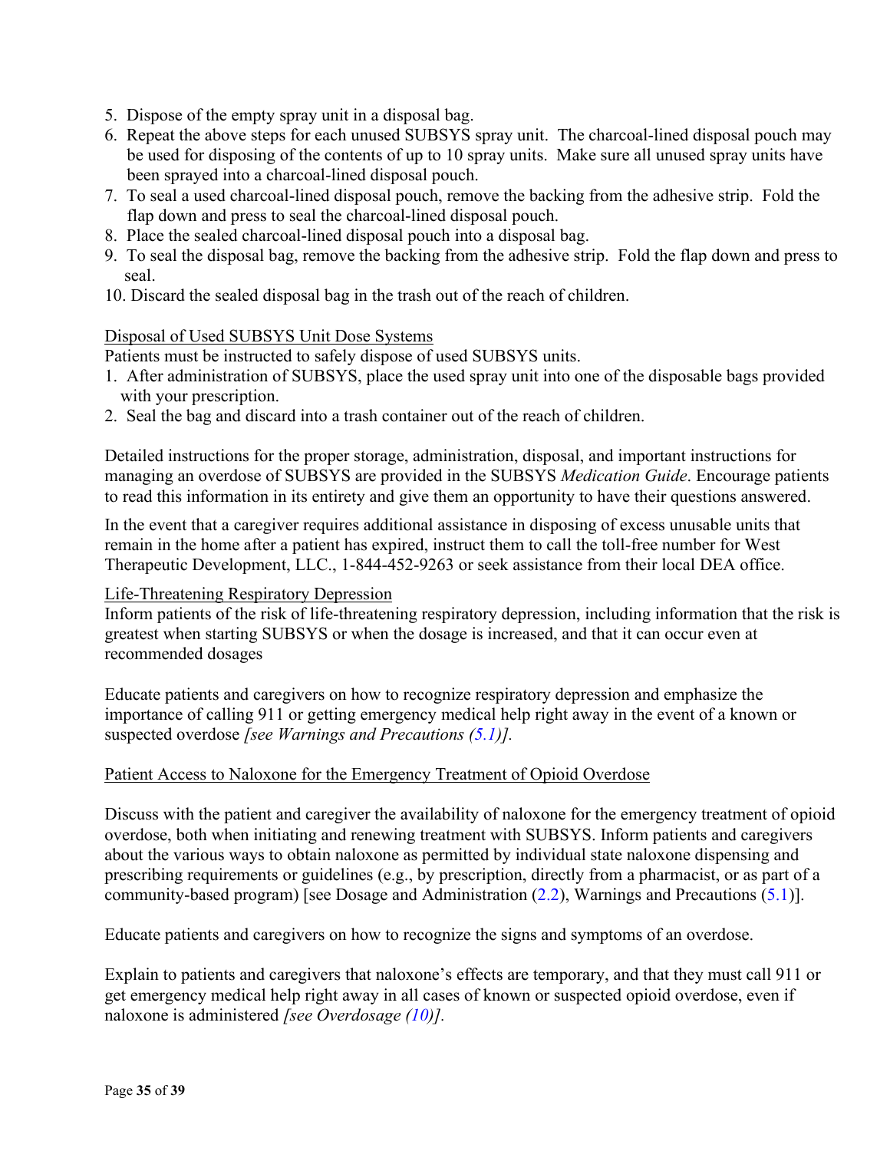- 5. Dispose of the empty spray unit in a disposal bag.
- 6. Repeat the above steps for each unused SUBSYS spray unit. The charcoal-lined disposal pouch may be used for disposing of the contents of up to 10 spray units. Make sure all unused spray units have been sprayed into a charcoal-lined disposal pouch.
- 7. To seal a used charcoal-lined disposal pouch, remove the backing from the adhesive strip. Fold the flap down and press to seal the charcoal-lined disposal pouch.
- 8. Place the sealed charcoal-lined disposal pouch into a disposal bag.
- 9. To seal the disposal bag, remove the backing from the adhesive strip. Fold the flap down and press to seal.
- 10. Discard the sealed disposal bag in the trash out of the reach of children.

### Disposal of Used SUBSYS Unit Dose Systems

Patients must be instructed to safely dispose of used SUBSYS units.

- 1. After administration of SUBSYS, place the used spray unit into one of the disposable bags provided with your prescription.
- 2. Seal the bag and discard into a trash container out of the reach of children.

Detailed instructions for the proper storage, administration, disposal, and important instructions for managing an overdose of SUBSYS are provided in the SUBSYS *Medication Guide*. Encourage patients to read this information in its entirety and give them an opportunity to have their questions answered.

In the event that a caregiver requires additional assistance in disposing of excess unusable units that remain in the home after a patient has expired, instruct them to call the toll-free number for West Therapeutic Development, LLC., 1-844-452-9263 or seek assistance from their local DEA office.

### Life-Threatening Respiratory Depression

Inform patients of the risk of life-threatening respiratory depression, including information that the risk is greatest when starting SUBSYS or when the dosage is increased, and that it can occur even at recommended dosages

Educate patients and caregivers on how to recognize respiratory depression and emphasize the importance of calling 911 or getting emergency medical help right away in the event of a known or suspected overdose *[see Warnings and Precautions (5.1)].*

### Patient Access to Naloxone for the Emergency Treatment of Opioid Overdose

Discuss with the patient and caregiver the availability of naloxone for the emergency treatment of opioid overdose, both when initiating and renewing treatment with SUBSYS. Inform patients and caregivers about the various ways to obtain naloxone as permitted by individual state naloxone dispensing and prescribing requirements or guidelines (e.g., by prescription, directly from a pharmacist, or as part of a community-based program) [see Dosage and Administration (2.2), Warnings and Precautions (5.1)].

Educate patients and caregivers on how to recognize the signs and symptoms of an overdose.

Explain to patients and caregivers that naloxone's effects are temporary, and that they must call 911 or get emergency medical help right away in all cases of known or suspected opioid overdose, even if naloxone is administered *[see Overdosage (10)].*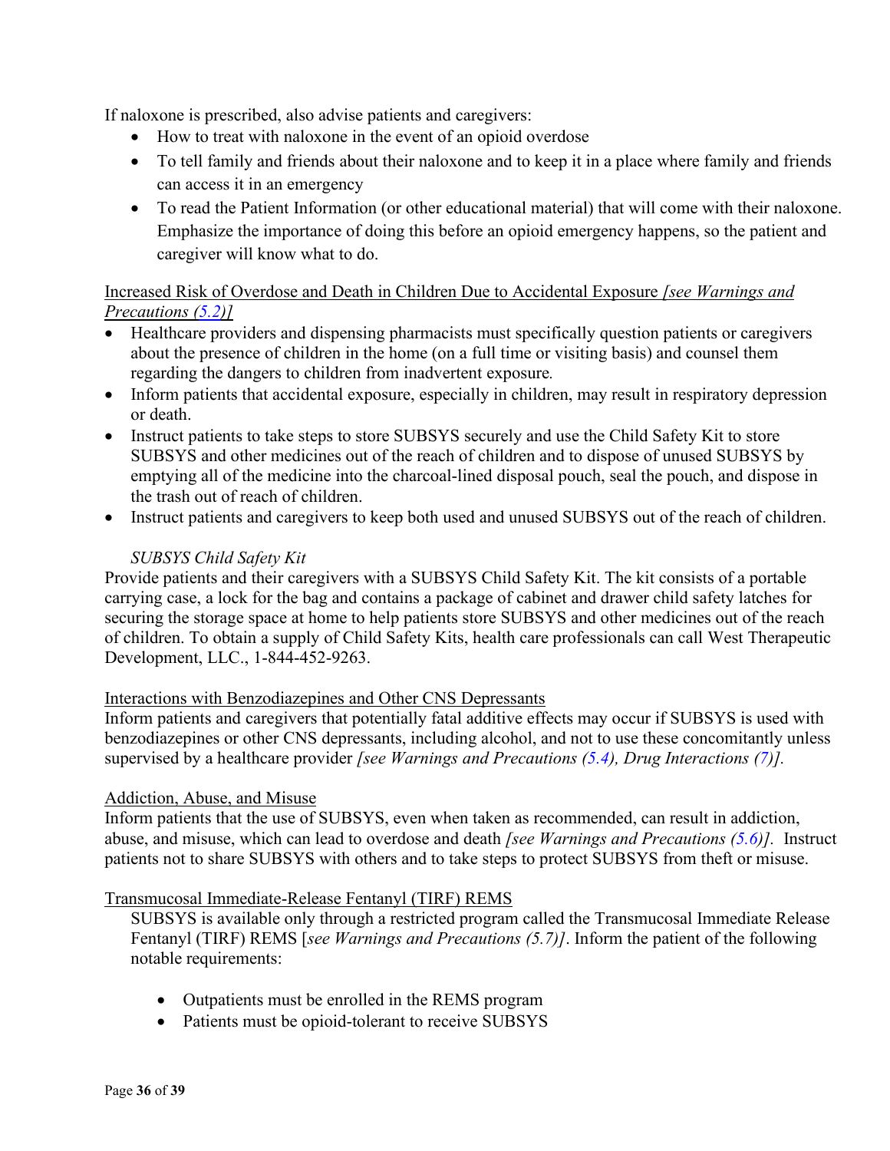If naloxone is prescribed, also advise patients and caregivers:

- How to treat with naloxone in the event of an opioid overdose
- To tell family and friends about their naloxone and to keep it in a place where family and friends can access it in an emergency
- To read the Patient Information (or other educational material) that will come with their naloxone. Emphasize the importance of doing this before an opioid emergency happens, so the patient and caregiver will know what to do.

# Increased Risk of Overdose and Death in Children Due to Accidental Exposure *[see Warnings and Precautions (5.2)]*

- Healthcare providers and dispensing pharmacists must specifically question patients or caregivers about the presence of children in the home (on a full time or visiting basis) and counsel them regarding the dangers to children from inadvertent exposure*.*
- Inform patients that accidental exposure, especially in children, may result in respiratory depression or death.
- Instruct patients to take steps to store SUBSYS securely and use the Child Safety Kit to store SUBSYS and other medicines out of the reach of children and to dispose of unused SUBSYS by emptying all of the medicine into the charcoal-lined disposal pouch, seal the pouch, and dispose in the trash out of reach of children.
- Instruct patients and caregivers to keep both used and unused SUBSYS out of the reach of children.

# *SUBSYS Child Safety Kit*

Provide patients and their caregivers with a SUBSYS Child Safety Kit. The kit consists of a portable carrying case, a lock for the bag and contains a package of cabinet and drawer child safety latches for securing the storage space at home to help patients store SUBSYS and other medicines out of the reach of children. To obtain a supply of Child Safety Kits, health care professionals can call West Therapeutic Development, LLC., 1-844-452-9263.

# Interactions with Benzodiazepines and Other CNS Depressants

Inform patients and caregivers that potentially fatal additive effects may occur if SUBSYS is used with benzodiazepines or other CNS depressants, including alcohol, and not to use these concomitantly unless supervised by a healthcare provider *[see Warnings and Precautions (5.4), Drug Interactions (7)].*

# Addiction, Abuse, and Misuse

Inform patients that the use of SUBSYS, even when taken as recommended, can result in addiction, abuse, and misuse, which can lead to overdose and death *[see Warnings and Precautions (5.6)].* Instruct patients not to share SUBSYS with others and to take steps to protect SUBSYS from theft or misuse.

# Transmucosal Immediate-Release Fentanyl (TIRF) REMS

SUBSYS is available only through a restricted program called the Transmucosal Immediate Release Fentanyl (TIRF) REMS [*see Warnings and Precautions (5.7)]*. Inform the patient of the following notable requirements:

- Outpatients must be enrolled in the REMS program
- Patients must be opioid-tolerant to receive SUBSYS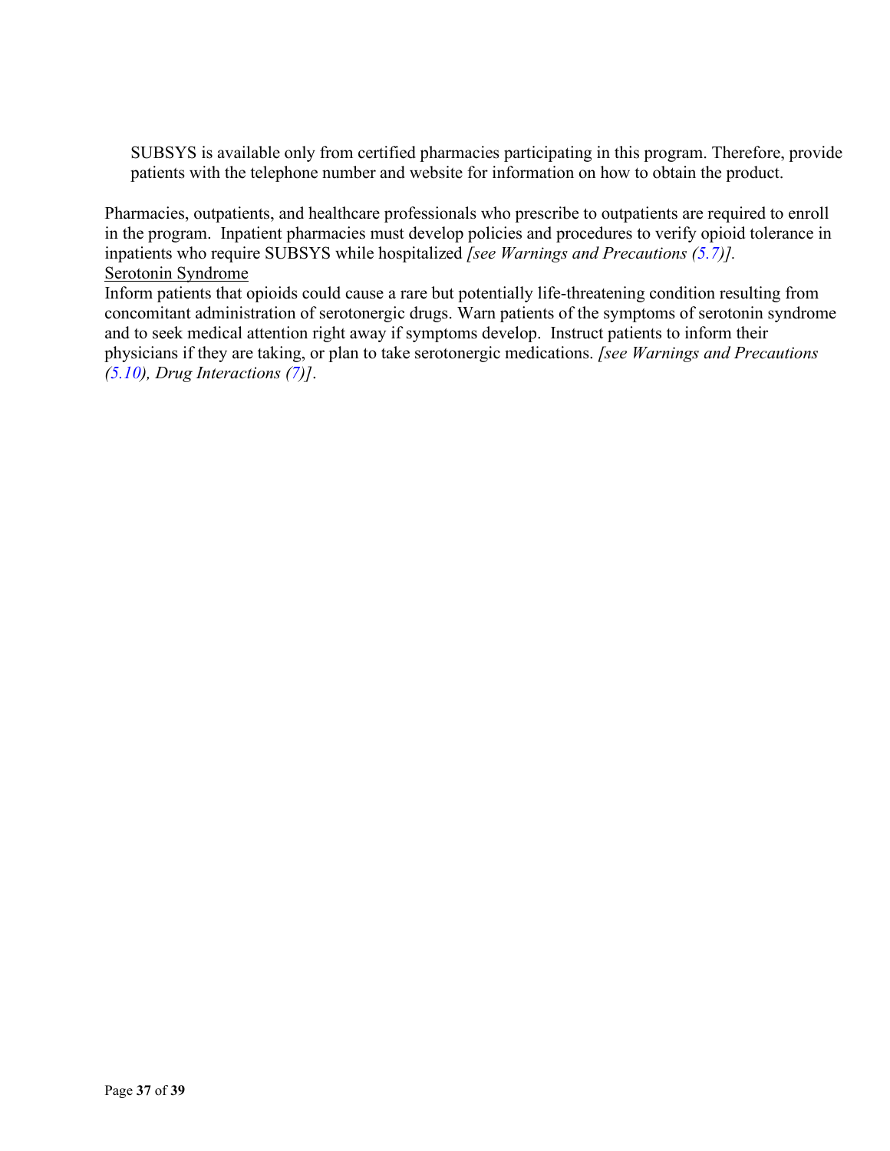SUBSYS is available only from certified pharmacies participating in this program. Therefore, provide patients with the telephone number and website for information on how to obtain the product.

Pharmacies, outpatients, and healthcare professionals who prescribe to outpatients are required to enroll in the program. Inpatient pharmacies must develop policies and procedures to verify opioid tolerance in inpatients who require SUBSYS while hospitalized *[see Warnings and Precautions (5.7)].* Serotonin Syndrome

Inform patients that opioids could cause a rare but potentially life-threatening condition resulting from concomitant administration of serotonergic drugs. Warn patients of the symptoms of serotonin syndrome and to seek medical attention right away if symptoms develop. Instruct patients to inform their physicians if they are taking, or plan to take serotonergic medications. *[see Warnings and Precautions (5.10), Drug Interactions (7)]*.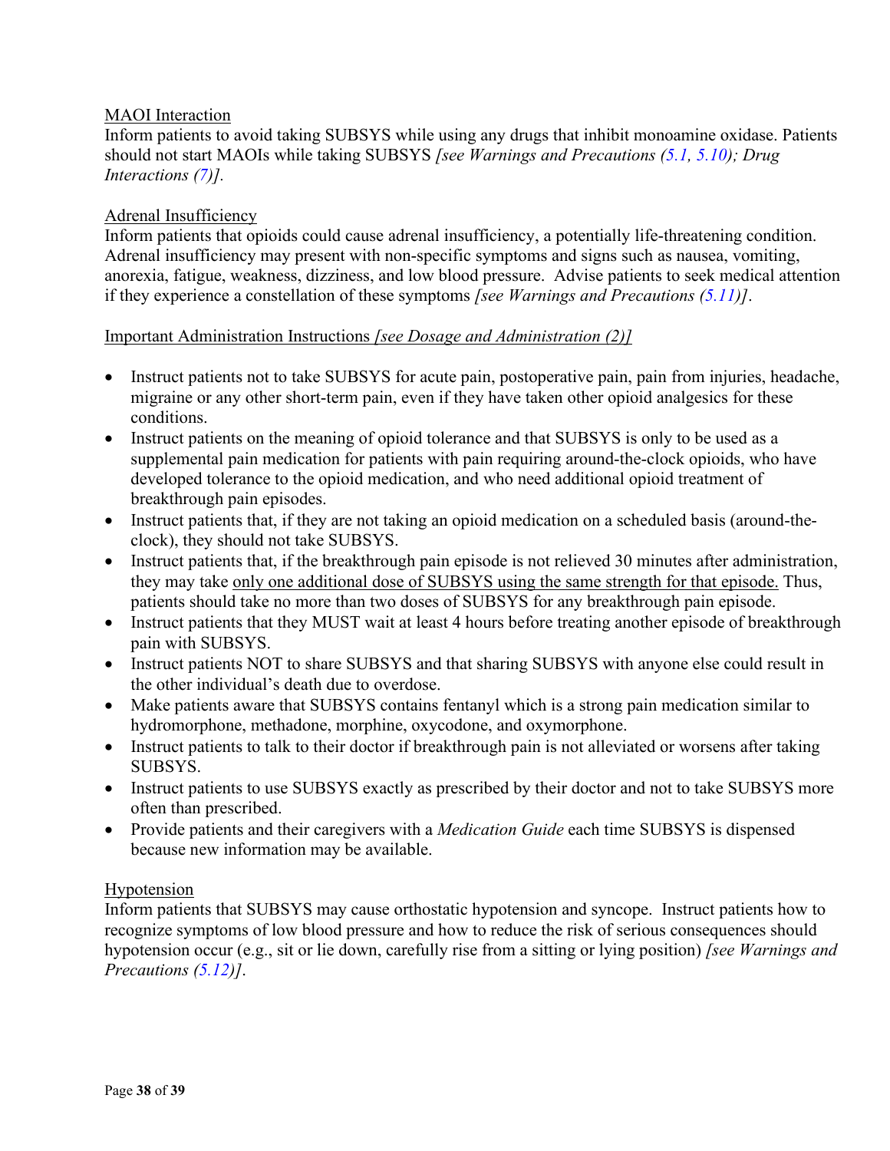# MAOI Interaction

Inform patients to avoid taking SUBSYS while using any drugs that inhibit monoamine oxidase. Patients should not start MAOIs while taking SUBSYS *[see Warnings and Precautions (5.1, 5.10); Drug Interactions (7)].*

## Adrenal Insufficiency

Inform patients that opioids could cause adrenal insufficiency, a potentially life-threatening condition. Adrenal insufficiency may present with non-specific symptoms and signs such as nausea, vomiting, anorexia, fatigue, weakness, dizziness, and low blood pressure. Advise patients to seek medical attention if they experience a constellation of these symptoms *[see Warnings and Precautions (5.11)]*.

## Important Administration Instructions *[see Dosage and Administration (2)]*

- Instruct patients not to take SUBSYS for acute pain, postoperative pain, pain from injuries, headache, migraine or any other short-term pain, even if they have taken other opioid analgesics for these conditions.
- Instruct patients on the meaning of opioid tolerance and that SUBSYS is only to be used as a supplemental pain medication for patients with pain requiring around-the-clock opioids, who have developed tolerance to the opioid medication, and who need additional opioid treatment of breakthrough pain episodes.
- Instruct patients that, if they are not taking an opioid medication on a scheduled basis (around-theclock), they should not take SUBSYS.
- Instruct patients that, if the breakthrough pain episode is not relieved 30 minutes after administration, they may take only one additional dose of SUBSYS using the same strength for that episode. Thus, patients should take no more than two doses of SUBSYS for any breakthrough pain episode.
- Instruct patients that they MUST wait at least 4 hours before treating another episode of breakthrough pain with SUBSYS.
- Instruct patients NOT to share SUBSYS and that sharing SUBSYS with anyone else could result in the other individual's death due to overdose.
- Make patients aware that SUBSYS contains fentanyl which is a strong pain medication similar to hydromorphone, methadone, morphine, oxycodone, and oxymorphone.
- Instruct patients to talk to their doctor if breakthrough pain is not alleviated or worsens after taking SUBSYS.
- Instruct patients to use SUBSYS exactly as prescribed by their doctor and not to take SUBSYS more often than prescribed.
- Provide patients and their caregivers with a *Medication Guide* each time SUBSYS is dispensed because new information may be available.

### Hypotension

Inform patients that SUBSYS may cause orthostatic hypotension and syncope. Instruct patients how to recognize symptoms of low blood pressure and how to reduce the risk of serious consequences should hypotension occur (e.g., sit or lie down, carefully rise from a sitting or lying position) *[see Warnings and Precautions (5.12)]*.